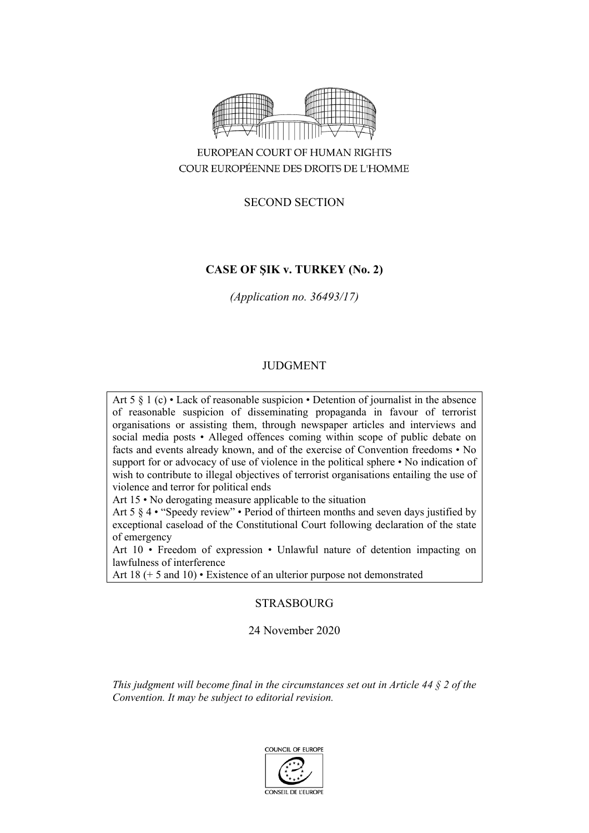

# EUROPEAN COURT OF HUMAN RIGHTS COUR EUROPÉENNE DES DROITS DE L'HOMME

# SECOND SECTION

# **CASE OF ŞIK v. TURKEY (No. 2)**

*(Application no. 36493/17)*

# JUDGMENT

Art 5 § 1 (c) • Lack of reasonable suspicion • Detention of journalist in the absence of reasonable suspicion of disseminating propaganda in favour of terrorist organisations or assisting them, through newspaper articles and interviews and social media posts • Alleged offences coming within scope of public debate on facts and events already known, and of the exercise of Convention freedoms • No support for or advocacy of use of violence in the political sphere • No indication of wish to contribute to illegal objectives of terrorist organisations entailing the use of violence and terror for political ends

Art 15 • No derogating measure applicable to the situation

Art 5 § 4 • "Speedy review" • Period of thirteen months and seven days justified by exceptional caseload of the Constitutional Court following declaration of the state of emergency

Art 10 • Freedom of expression • Unlawful nature of detention impacting on lawfulness of interference

Art 18 (+ 5 and 10) • Existence of an ulterior purpose not demonstrated

# STRASBOURG

# 24 November 2020

*This judgment will become final in the circumstances set out in Article 44 § 2 of the Convention. It may be subject to editorial revision.*

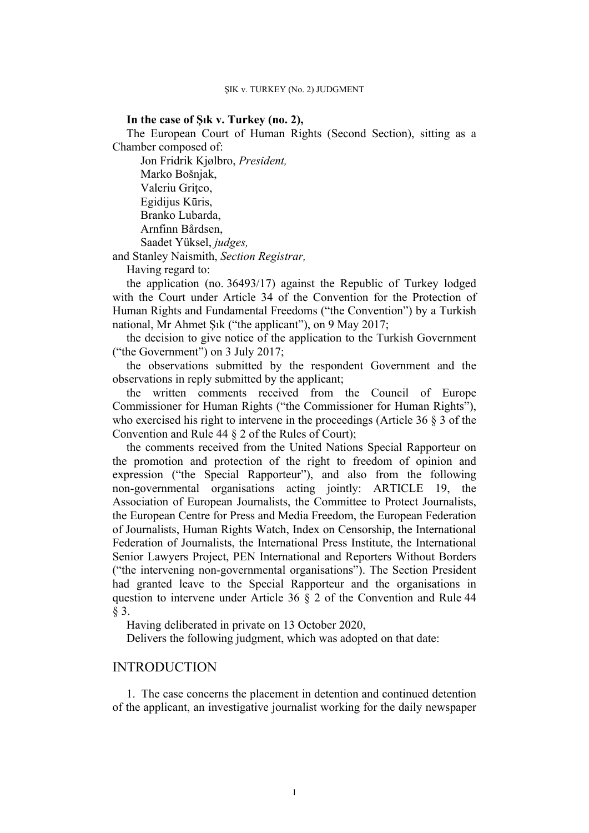## **In the case of Şık v. Turkey (no. 2),**

The European Court of Human Rights (Second Section), sitting as a Chamber composed of:

Jon Fridrik Kjølbro, *President,* Marko Bošnjak, Valeriu Griţco, Egidijus Kūris, Branko Lubarda, Arnfinn Bårdsen, Saadet Yüksel, *judges,*

and Stanley Naismith, *Section Registrar,*

Having regard to:

the application (no. 36493/17) against the Republic of Turkey lodged with the Court under Article 34 of the Convention for the Protection of Human Rights and Fundamental Freedoms ("the Convention") by a Turkish national, Mr Ahmet Şık ("the applicant"), on 9 May 2017;

the decision to give notice of the application to the Turkish Government ("the Government") on 3 July 2017;

the observations submitted by the respondent Government and the observations in reply submitted by the applicant;

the written comments received from the Council of Europe Commissioner for Human Rights ("the Commissioner for Human Rights"), who exercised his right to intervene in the proceedings (Article 36 § 3 of the Convention and Rule 44 § 2 of the Rules of Court);

the comments received from the United Nations Special Rapporteur on the promotion and protection of the right to freedom of opinion and expression ("the Special Rapporteur"), and also from the following non-governmental organisations acting jointly: ARTICLE 19, the Association of European Journalists, the Committee to Protect Journalists, the European Centre for Press and Media Freedom, the European Federation of Journalists, Human Rights Watch, Index on Censorship, the International Federation of Journalists, the International Press Institute, the International Senior Lawyers Project, PEN International and Reporters Without Borders ("the intervening non-governmental organisations"). The Section President had granted leave to the Special Rapporteur and the organisations in question to intervene under Article 36 § 2 of the Convention and Rule 44 § 3.

Having deliberated in private on 13 October 2020,

Delivers the following judgment, which was adopted on that date:

# INTRODUCTION

1. The case concerns the placement in detention and continued detention of the applicant, an investigative journalist working for the daily newspaper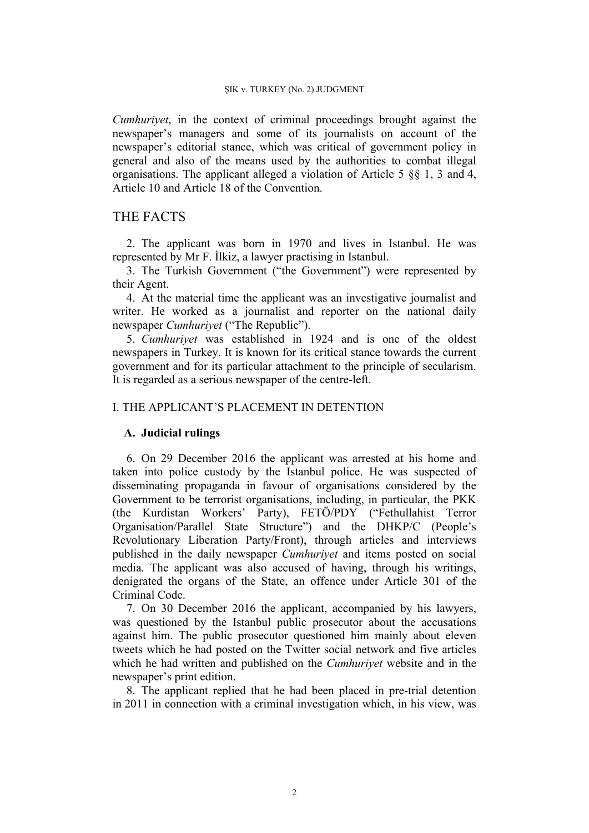*Cumhuriyet*, in the context of criminal proceedings brought against the newspaper's managers and some of its journalists on account of the newspaper's editorial stance, which was critical of government policy in general and also of the means used by the authorities to combat illegal organisations. The applicant alleged a violation of Article 5 §§ 1, 3 and 4, Article 10 and Article 18 of the Convention.

# THE FACTS

2. The applicant was born in 1970 and lives in Istanbul. He was represented by Mr F. İlkiz, a lawyer practising in Istanbul.

3. The Turkish Government ("the Government") were represented by their Agent.

4. At the material time the applicant was an investigative journalist and writer. He worked as a journalist and reporter on the national daily newspaper *Cumhuriyet* ("The Republic").

5. *Cumhuriyet* was established in 1924 and is one of the oldest newspapers in Turkey. It is known for its critical stance towards the current government and for its particular attachment to the principle of secularism. It is regarded as a serious newspaper of the centre-left.

# I. THE APPLICANT'S PLACEMENT IN DETENTION

# **A. Judicial rulings**

6. On 29 December 2016 the applicant was arrested at his home and taken into police custody by the Istanbul police. He was suspected of disseminating propaganda in favour of organisations considered by the Government to be terrorist organisations, including, in particular, the PKK (the Kurdistan Workers' Party), FETÖ/PDY ("Fethullahist Terror Organisation/Parallel State Structure") and the DHKP/C (People's Revolutionary Liberation Party/Front), through articles and interviews published in the daily newspaper *Cumhuriyet* and items posted on social media. The applicant was also accused of having, through his writings, denigrated the organs of the State, an offence under Article 301 of the Criminal Code.

7. On 30 December 2016 the applicant, accompanied by his lawyers, was questioned by the Istanbul public prosecutor about the accusations against him. The public prosecutor questioned him mainly about eleven tweets which he had posted on the Twitter social network and five articles which he had written and published on the *Cumhuriyet* website and in the newspaper's print edition.

8. The applicant replied that he had been placed in pre-trial detention in 2011 in connection with a criminal investigation which, in his view, was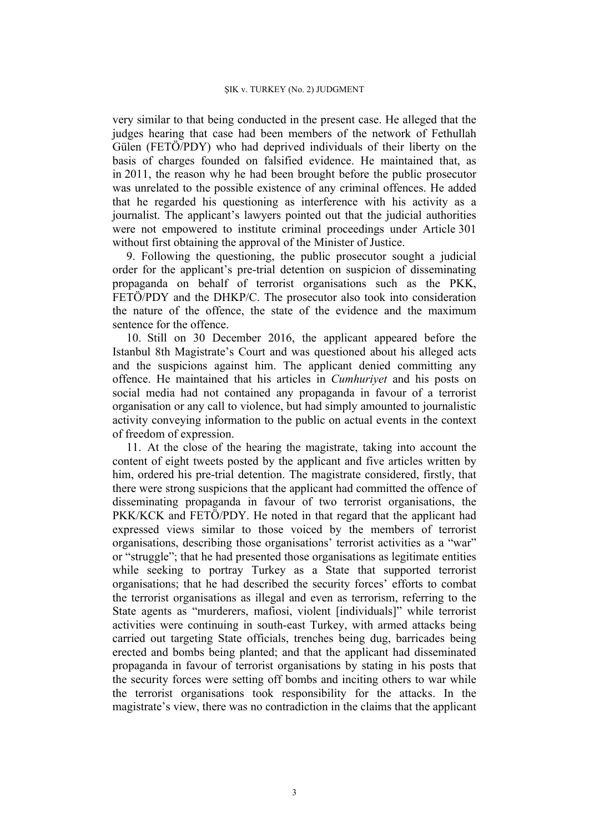very similar to that being conducted in the present case. He alleged that the judges hearing that case had been members of the network of Fethullah Gülen (FETÖ/PDY) who had deprived individuals of their liberty on the basis of charges founded on falsified evidence. He maintained that, as in 2011, the reason why he had been brought before the public prosecutor was unrelated to the possible existence of any criminal offences. He added that he regarded his questioning as interference with his activity as a journalist. The applicant's lawyers pointed out that the judicial authorities were not empowered to institute criminal proceedings under Article 301 without first obtaining the approval of the Minister of Justice.

9. Following the questioning, the public prosecutor sought a judicial order for the applicant's pre-trial detention on suspicion of disseminating propaganda on behalf of terrorist organisations such as the PKK, FETÖ/PDY and the DHKP/C. The prosecutor also took into consideration the nature of the offence, the state of the evidence and the maximum sentence for the offence.

10. Still on 30 December 2016, the applicant appeared before the Istanbul 8th Magistrate's Court and was questioned about his alleged acts and the suspicions against him. The applicant denied committing any offence. He maintained that his articles in *Cumhuriyet* and his posts on social media had not contained any propaganda in favour of a terrorist organisation or any call to violence, but had simply amounted to journalistic activity conveying information to the public on actual events in the context of freedom of expression.

11. At the close of the hearing the magistrate, taking into account the content of eight tweets posted by the applicant and five articles written by him, ordered his pre-trial detention. The magistrate considered, firstly, that there were strong suspicions that the applicant had committed the offence of disseminating propaganda in favour of two terrorist organisations, the PKK/KCK and FETÖ/PDY. He noted in that regard that the applicant had expressed views similar to those voiced by the members of terrorist organisations, describing those organisations' terrorist activities as a "war" or "struggle"; that he had presented those organisations as legitimate entities while seeking to portray Turkey as a State that supported terrorist organisations; that he had described the security forces' efforts to combat the terrorist organisations as illegal and even as terrorism, referring to the State agents as "murderers, mafiosi, violent [individuals]" while terrorist activities were continuing in south-east Turkey, with armed attacks being carried out targeting State officials, trenches being dug, barricades being erected and bombs being planted; and that the applicant had disseminated propaganda in favour of terrorist organisations by stating in his posts that the security forces were setting off bombs and inciting others to war while the terrorist organisations took responsibility for the attacks. In the magistrate's view, there was no contradiction in the claims that the applicant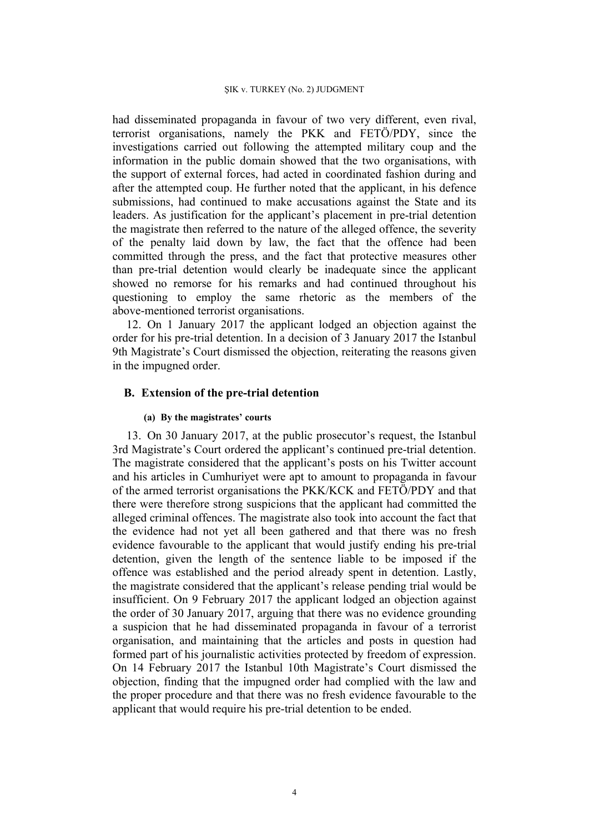had disseminated propaganda in favour of two very different, even rival, terrorist organisations, namely the PKK and FETÖ/PDY, since the investigations carried out following the attempted military coup and the information in the public domain showed that the two organisations, with the support of external forces, had acted in coordinated fashion during and after the attempted coup. He further noted that the applicant, in his defence submissions, had continued to make accusations against the State and its leaders. As justification for the applicant's placement in pre-trial detention the magistrate then referred to the nature of the alleged offence, the severity of the penalty laid down by law, the fact that the offence had been committed through the press, and the fact that protective measures other than pre-trial detention would clearly be inadequate since the applicant showed no remorse for his remarks and had continued throughout his questioning to employ the same rhetoric as the members of the above-mentioned terrorist organisations.

12. On 1 January 2017 the applicant lodged an objection against the order for his pre-trial detention. In a decision of 3 January 2017 the Istanbul 9th Magistrate's Court dismissed the objection, reiterating the reasons given in the impugned order.

## **B. Extension of the pre-trial detention**

# **(a) By the magistrates' courts**

13. On 30 January 2017, at the public prosecutor's request, the Istanbul 3rd Magistrate's Court ordered the applicant's continued pre-trial detention. The magistrate considered that the applicant's posts on his Twitter account and his articles in Cumhuriyet were apt to amount to propaganda in favour of the armed terrorist organisations the PKK/KCK and FETÖ/PDY and that there were therefore strong suspicions that the applicant had committed the alleged criminal offences. The magistrate also took into account the fact that the evidence had not yet all been gathered and that there was no fresh evidence favourable to the applicant that would justify ending his pre-trial detention, given the length of the sentence liable to be imposed if the offence was established and the period already spent in detention. Lastly, the magistrate considered that the applicant's release pending trial would be insufficient. On 9 February 2017 the applicant lodged an objection against the order of 30 January 2017, arguing that there was no evidence grounding a suspicion that he had disseminated propaganda in favour of a terrorist organisation, and maintaining that the articles and posts in question had formed part of his journalistic activities protected by freedom of expression. On 14 February 2017 the Istanbul 10th Magistrate's Court dismissed the objection, finding that the impugned order had complied with the law and the proper procedure and that there was no fresh evidence favourable to the applicant that would require his pre-trial detention to be ended.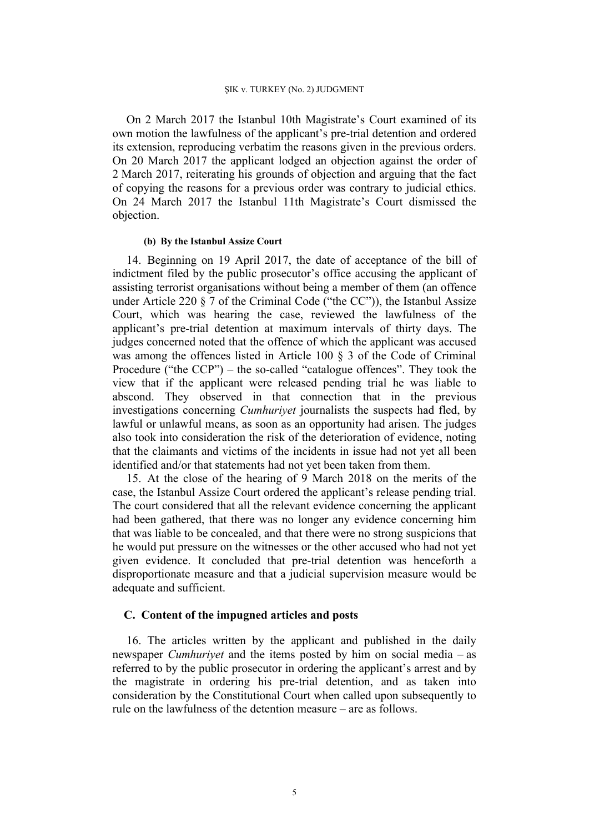On 2 March 2017 the Istanbul 10th Magistrate's Court examined of its own motion the lawfulness of the applicant's pre-trial detention and ordered its extension, reproducing verbatim the reasons given in the previous orders. On 20 March 2017 the applicant lodged an objection against the order of 2 March 2017, reiterating his grounds of objection and arguing that the fact of copying the reasons for a previous order was contrary to judicial ethics. On 24 March 2017 the Istanbul 11th Magistrate's Court dismissed the objection.

#### **(b) By the Istanbul Assize Court**

14. Beginning on 19 April 2017, the date of acceptance of the bill of indictment filed by the public prosecutor's office accusing the applicant of assisting terrorist organisations without being a member of them (an offence under Article 220  $\S$  7 of the Criminal Code ("the CC")), the Istanbul Assize Court, which was hearing the case, reviewed the lawfulness of the applicant's pre-trial detention at maximum intervals of thirty days. The judges concerned noted that the offence of which the applicant was accused was among the offences listed in Article 100 § 3 of the Code of Criminal Procedure ("the CCP") – the so-called "catalogue offences". They took the view that if the applicant were released pending trial he was liable to abscond. They observed in that connection that in the previous investigations concerning *Cumhuriyet* journalists the suspects had fled, by lawful or unlawful means, as soon as an opportunity had arisen. The judges also took into consideration the risk of the deterioration of evidence, noting that the claimants and victims of the incidents in issue had not yet all been identified and/or that statements had not yet been taken from them.

15. At the close of the hearing of 9 March 2018 on the merits of the case, the Istanbul Assize Court ordered the applicant's release pending trial. The court considered that all the relevant evidence concerning the applicant had been gathered, that there was no longer any evidence concerning him that was liable to be concealed, and that there were no strong suspicions that he would put pressure on the witnesses or the other accused who had not yet given evidence. It concluded that pre-trial detention was henceforth a disproportionate measure and that a judicial supervision measure would be adequate and sufficient.

## **C. Content of the impugned articles and posts**

16. The articles written by the applicant and published in the daily newspaper *Cumhuriyet* and the items posted by him on social media – as referred to by the public prosecutor in ordering the applicant's arrest and by the magistrate in ordering his pre-trial detention, and as taken into consideration by the Constitutional Court when called upon subsequently to rule on the lawfulness of the detention measure – are as follows.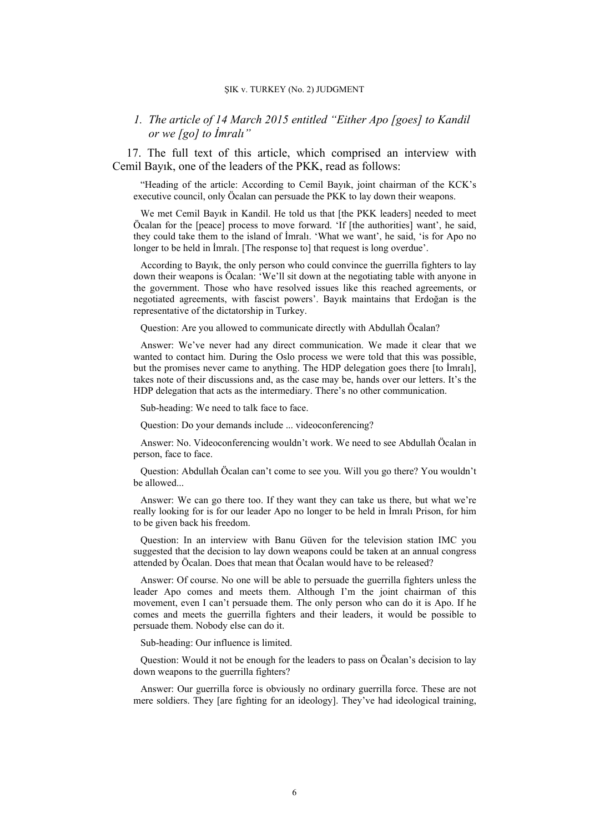## *1. The article of 14 March 2015 entitled "Either Apo [goes] to Kandil or we [go] to İmralı"*

17. The full text of this article, which comprised an interview with Cemil Bayık, one of the leaders of the PKK, read as follows:

"Heading of the article: According to Cemil Bayık, joint chairman of the KCK's executive council, only Öcalan can persuade the PKK to lay down their weapons.

We met Cemil Bayık in Kandil. He told us that [the PKK leaders] needed to meet Öcalan for the [peace] process to move forward. 'If [the authorities] want', he said, they could take them to the island of İmralı. 'What we want', he said, 'is for Apo no longer to be held in Imralı. [The response to] that request is long overdue'.

According to Bayık, the only person who could convince the guerrilla fighters to lay down their weapons is Öcalan: 'We'll sit down at the negotiating table with anyone in the government. Those who have resolved issues like this reached agreements, or negotiated agreements, with fascist powers'. Bayık maintains that Erdoğan is the representative of the dictatorship in Turkey.

Question: Are you allowed to communicate directly with Abdullah Öcalan?

Answer: We've never had any direct communication. We made it clear that we wanted to contact him. During the Oslo process we were told that this was possible, but the promises never came to anything. The HDP delegation goes there [to İmralı], takes note of their discussions and, as the case may be, hands over our letters. It's the HDP delegation that acts as the intermediary. There's no other communication.

Sub-heading: We need to talk face to face.

Question: Do your demands include ... videoconferencing?

Answer: No. Videoconferencing wouldn't work. We need to see Abdullah Öcalan in person, face to face.

Question: Abdullah Öcalan can't come to see you. Will you go there? You wouldn't be allowed...

Answer: We can go there too. If they want they can take us there, but what we're really looking for is for our leader Apo no longer to be held in İmralı Prison, for him to be given back his freedom.

Question: In an interview with Banu Güven for the television station IMC you suggested that the decision to lay down weapons could be taken at an annual congress attended by Öcalan. Does that mean that Öcalan would have to be released?

Answer: Of course. No one will be able to persuade the guerrilla fighters unless the leader Apo comes and meets them. Although I'm the joint chairman of this movement, even I can't persuade them. The only person who can do it is Apo. If he comes and meets the guerrilla fighters and their leaders, it would be possible to persuade them. Nobody else can do it.

Sub-heading: Our influence is limited.

Question: Would it not be enough for the leaders to pass on Öcalan's decision to lay down weapons to the guerrilla fighters?

Answer: Our guerrilla force is obviously no ordinary guerrilla force. These are not mere soldiers. They [are fighting for an ideology]. They've had ideological training,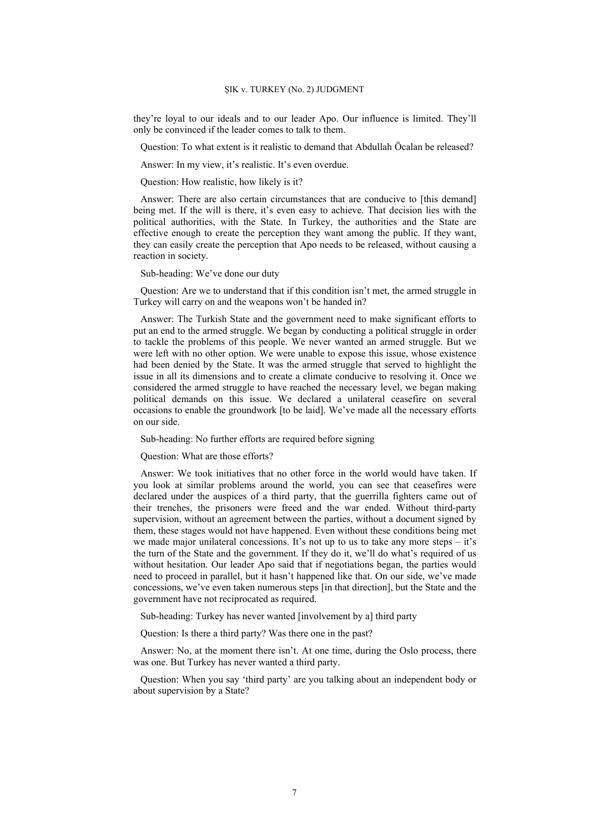they're loyal to our ideals and to our leader Apo. Our influence is limited. They'll only be convinced if the leader comes to talk to them.

Question: To what extent is it realistic to demand that Abdullah Öcalan be released?

Answer: In my view, it's realistic. It's even overdue.

Question: How realistic, how likely is it?

Answer: There are also certain circumstances that are conducive to [this demand] being met. If the will is there, it's even easy to achieve. That decision lies with the political authorities, with the State. In Turkey, the authorities and the State are effective enough to create the perception they want among the public. If they want, they can easily create the perception that Apo needs to be released, without causing a reaction in society.

Sub-heading: We've done our duty

Question: Are we to understand that if this condition isn't met, the armed struggle in Turkey will carry on and the weapons won't be handed in?

Answer: The Turkish State and the government need to make significant efforts to put an end to the armed struggle. We began by conducting a political struggle in order to tackle the problems of this people. We never wanted an armed struggle. But we were left with no other option. We were unable to expose this issue, whose existence had been denied by the State. It was the armed struggle that served to highlight the issue in all its dimensions and to create a climate conducive to resolving it. Once we considered the armed struggle to have reached the necessary level, we began making political demands on this issue. We declared a unilateral ceasefire on several occasions to enable the groundwork [to be laid]. We've made all the necessary efforts on our side.

Sub-heading: No further efforts are required before signing

Question: What are those efforts?

Answer: We took initiatives that no other force in the world would have taken. If you look at similar problems around the world, you can see that ceasefires were declared under the auspices of a third party, that the guerrilla fighters came out of their trenches, the prisoners were freed and the war ended. Without third-party supervision, without an agreement between the parties, without a document signed by them, these stages would not have happened. Even without these conditions being met we made major unilateral concessions. It's not up to us to take any more steps – it's the turn of the State and the government. If they do it, we'll do what's required of us without hesitation. Our leader Apo said that if negotiations began, the parties would need to proceed in parallel, but it hasn't happened like that. On our side, we've made concessions, we've even taken numerous steps [in that direction], but the State and the government have not reciprocated as required.

Sub-heading: Turkey has never wanted [involvement by a] third party

Question: Is there a third party? Was there one in the past?

Answer: No, at the moment there isn't. At one time, during the Oslo process, there was one. But Turkey has never wanted a third party.

Question: When you say 'third party' are you talking about an independent body or about supervision by a State?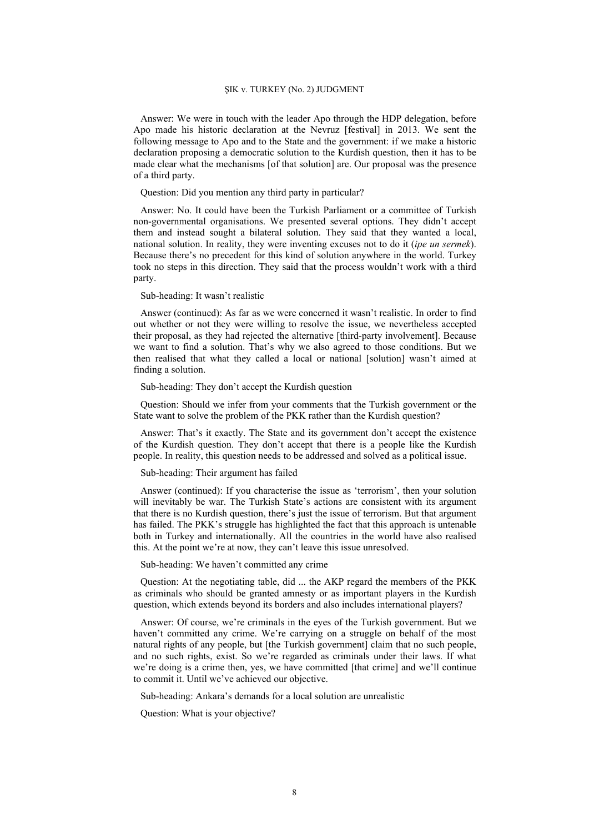Answer: We were in touch with the leader Apo through the HDP delegation, before Apo made his historic declaration at the Nevruz [festival] in 2013. We sent the following message to Apo and to the State and the government: if we make a historic declaration proposing a democratic solution to the Kurdish question, then it has to be made clear what the mechanisms [of that solution] are. Our proposal was the presence of a third party.

#### Question: Did you mention any third party in particular?

Answer: No. It could have been the Turkish Parliament or a committee of Turkish non-governmental organisations. We presented several options. They didn't accept them and instead sought a bilateral solution. They said that they wanted a local, national solution. In reality, they were inventing excuses not to do it (*ipe un sermek*). Because there's no precedent for this kind of solution anywhere in the world. Turkey took no steps in this direction. They said that the process wouldn't work with a third party.

#### Sub-heading: It wasn't realistic

Answer (continued): As far as we were concerned it wasn't realistic. In order to find out whether or not they were willing to resolve the issue, we nevertheless accepted their proposal, as they had rejected the alternative [third-party involvement]. Because we want to find a solution. That's why we also agreed to those conditions. But we then realised that what they called a local or national [solution] wasn't aimed at finding a solution.

#### Sub-heading: They don't accept the Kurdish question

Question: Should we infer from your comments that the Turkish government or the State want to solve the problem of the PKK rather than the Kurdish question?

Answer: That's it exactly. The State and its government don't accept the existence of the Kurdish question. They don't accept that there is a people like the Kurdish people. In reality, this question needs to be addressed and solved as a political issue.

#### Sub-heading: Their argument has failed

Answer (continued): If you characterise the issue as 'terrorism', then your solution will inevitably be war. The Turkish State's actions are consistent with its argument that there is no Kurdish question, there's just the issue of terrorism. But that argument has failed. The PKK's struggle has highlighted the fact that this approach is untenable both in Turkey and internationally. All the countries in the world have also realised this. At the point we're at now, they can't leave this issue unresolved.

#### Sub-heading: We haven't committed any crime

Question: At the negotiating table, did ... the AKP regard the members of the PKK as criminals who should be granted amnesty or as important players in the Kurdish question, which extends beyond its borders and also includes international players?

Answer: Of course, we're criminals in the eyes of the Turkish government. But we haven't committed any crime. We're carrying on a struggle on behalf of the most natural rights of any people, but [the Turkish government] claim that no such people, and no such rights, exist. So we're regarded as criminals under their laws. If what we're doing is a crime then, yes, we have committed [that crime] and we'll continue to commit it. Until we've achieved our objective.

Sub-heading: Ankara's demands for a local solution are unrealistic

Question: What is your objective?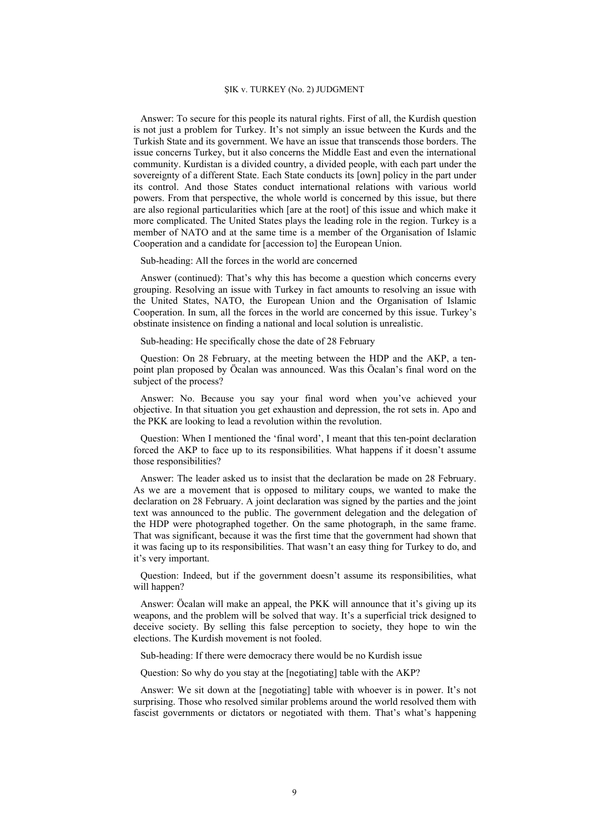Answer: To secure for this people its natural rights. First of all, the Kurdish question is not just a problem for Turkey. It's not simply an issue between the Kurds and the Turkish State and its government. We have an issue that transcends those borders. The issue concerns Turkey, but it also concerns the Middle East and even the international community. Kurdistan is a divided country, a divided people, with each part under the sovereignty of a different State. Each State conducts its [own] policy in the part under its control. And those States conduct international relations with various world powers. From that perspective, the whole world is concerned by this issue, but there are also regional particularities which [are at the root] of this issue and which make it more complicated. The United States plays the leading role in the region. Turkey is a member of NATO and at the same time is a member of the Organisation of Islamic Cooperation and a candidate for [accession to] the European Union.

Sub-heading: All the forces in the world are concerned

Answer (continued): That's why this has become a question which concerns every grouping. Resolving an issue with Turkey in fact amounts to resolving an issue with the United States, NATO, the European Union and the Organisation of Islamic Cooperation. In sum, all the forces in the world are concerned by this issue. Turkey's obstinate insistence on finding a national and local solution is unrealistic.

Sub-heading: He specifically chose the date of 28 February

Question: On 28 February, at the meeting between the HDP and the AKP, a tenpoint plan proposed by Öcalan was announced. Was this Öcalan's final word on the subject of the process?

Answer: No. Because you say your final word when you've achieved your objective. In that situation you get exhaustion and depression, the rot sets in. Apo and the PKK are looking to lead a revolution within the revolution.

Question: When I mentioned the 'final word', I meant that this ten-point declaration forced the AKP to face up to its responsibilities. What happens if it doesn't assume those responsibilities?

Answer: The leader asked us to insist that the declaration be made on 28 February. As we are a movement that is opposed to military coups, we wanted to make the declaration on 28 February. A joint declaration was signed by the parties and the joint text was announced to the public. The government delegation and the delegation of the HDP were photographed together. On the same photograph, in the same frame. That was significant, because it was the first time that the government had shown that it was facing up to its responsibilities. That wasn't an easy thing for Turkey to do, and it's very important.

Question: Indeed, but if the government doesn't assume its responsibilities, what will happen?

Answer: Öcalan will make an appeal, the PKK will announce that it's giving up its weapons, and the problem will be solved that way. It's a superficial trick designed to deceive society. By selling this false perception to society, they hope to win the elections. The Kurdish movement is not fooled.

Sub-heading: If there were democracy there would be no Kurdish issue

Question: So why do you stay at the [negotiating] table with the AKP?

Answer: We sit down at the [negotiating] table with whoever is in power. It's not surprising. Those who resolved similar problems around the world resolved them with fascist governments or dictators or negotiated with them. That's what's happening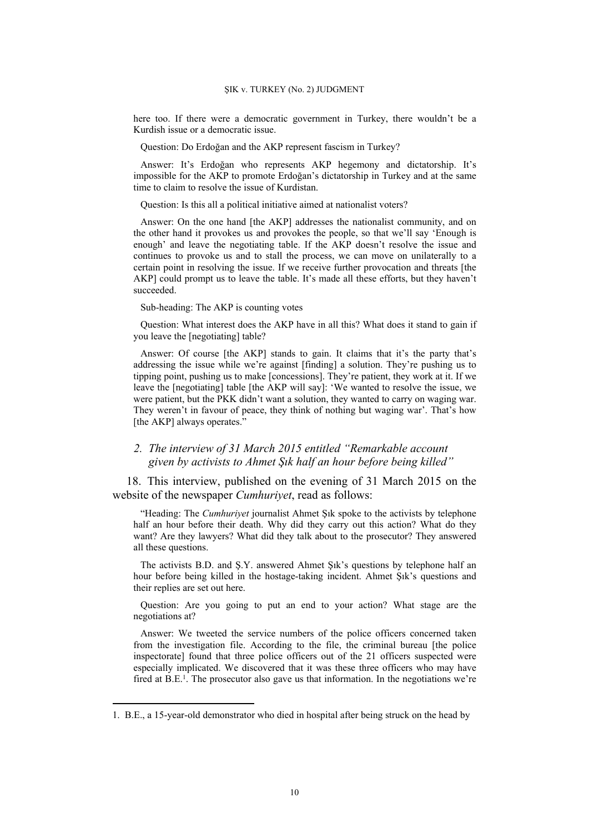here too. If there were a democratic government in Turkey, there wouldn't be a Kurdish issue or a democratic issue.

Question: Do Erdoğan and the AKP represent fascism in Turkey?

Answer: It's Erdoğan who represents AKP hegemony and dictatorship. It's impossible for the AKP to promote Erdoğan's dictatorship in Turkey and at the same time to claim to resolve the issue of Kurdistan.

Question: Is this all a political initiative aimed at nationalist voters?

Answer: On the one hand [the AKP] addresses the nationalist community, and on the other hand it provokes us and provokes the people, so that we'll say 'Enough is enough' and leave the negotiating table. If the AKP doesn't resolve the issue and continues to provoke us and to stall the process, we can move on unilaterally to a certain point in resolving the issue. If we receive further provocation and threats [the AKP] could prompt us to leave the table. It's made all these efforts, but they haven't succeeded.

Sub-heading: The AKP is counting votes

Question: What interest does the AKP have in all this? What does it stand to gain if you leave the [negotiating] table?

Answer: Of course [the AKP] stands to gain. It claims that it's the party that's addressing the issue while we're against [finding] a solution. They're pushing us to tipping point, pushing us to make [concessions]. They're patient, they work at it. If we leave the [negotiating] table [the AKP will say]: 'We wanted to resolve the issue, we were patient, but the PKK didn't want a solution, they wanted to carry on waging war. They weren't in favour of peace, they think of nothing but waging war'. That's how [the AKP] always operates.'

# *2. The interview of 31 March 2015 entitled "Remarkable account given by activists to Ahmet Şık half an hour before being killed"*

18. This interview, published on the evening of 31 March 2015 on the website of the newspaper *Cumhuriyet*, read as follows:

"Heading: The *Cumhuriyet* journalist Ahmet Şık spoke to the activists by telephone half an hour before their death. Why did they carry out this action? What do they want? Are they lawyers? What did they talk about to the prosecutor? They answered all these questions.

The activists B.D. and Ş.Y. answered Ahmet Şık's questions by telephone half an hour before being killed in the hostage-taking incident. Ahmet Şık's questions and their replies are set out here.

Question: Are you going to put an end to your action? What stage are the negotiations at?

Answer: We tweeted the service numbers of the police officers concerned taken from the investigation file. According to the file, the criminal bureau [the police inspectorate] found that three police officers out of the 21 officers suspected were especially implicated. We discovered that it was these three officers who may have fired at B.E.<sup>1</sup>. The prosecutor also gave us that information. In the negotiations we're

<sup>1.</sup> B.E., a 15-year-old demonstrator who died in hospital after being struck on the head by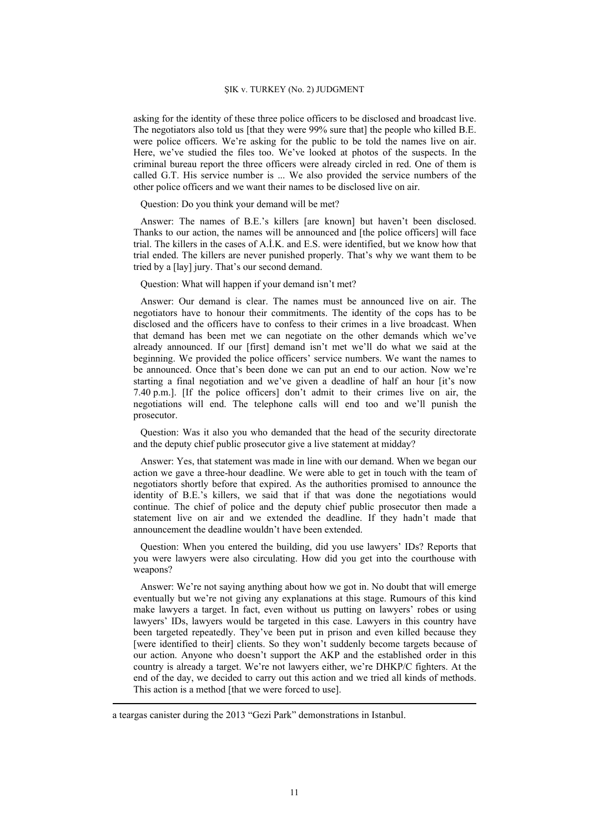asking for the identity of these three police officers to be disclosed and broadcast live. The negotiators also told us [that they were 99% sure that] the people who killed B.E. were police officers. We're asking for the public to be told the names live on air. Here, we've studied the files too. We've looked at photos of the suspects. In the criminal bureau report the three officers were already circled in red. One of them is called G.T. His service number is ... We also provided the service numbers of the other police officers and we want their names to be disclosed live on air.

Question: Do you think your demand will be met?

Answer: The names of B.E.'s killers [are known] but haven't been disclosed. Thanks to our action, the names will be announced and [the police officers] will face trial. The killers in the cases of A.İ.K. and E.S. were identified, but we know how that trial ended. The killers are never punished properly. That's why we want them to be tried by a [lay] jury. That's our second demand.

Question: What will happen if your demand isn't met?

Answer: Our demand is clear. The names must be announced live on air. The negotiators have to honour their commitments. The identity of the cops has to be disclosed and the officers have to confess to their crimes in a live broadcast. When that demand has been met we can negotiate on the other demands which we've already announced. If our [first] demand isn't met we'll do what we said at the beginning. We provided the police officers' service numbers. We want the names to be announced. Once that's been done we can put an end to our action. Now we're starting a final negotiation and we've given a deadline of half an hour [it's now 7.40 p.m.]. [If the police officers] don't admit to their crimes live on air, the negotiations will end. The telephone calls will end too and we'll punish the prosecutor.

Question: Was it also you who demanded that the head of the security directorate and the deputy chief public prosecutor give a live statement at midday?

Answer: Yes, that statement was made in line with our demand. When we began our action we gave a three-hour deadline. We were able to get in touch with the team of negotiators shortly before that expired. As the authorities promised to announce the identity of B.E.'s killers, we said that if that was done the negotiations would continue. The chief of police and the deputy chief public prosecutor then made a statement live on air and we extended the deadline. If they hadn't made that announcement the deadline wouldn't have been extended.

Question: When you entered the building, did you use lawyers' IDs? Reports that you were lawyers were also circulating. How did you get into the courthouse with weapons?

Answer: We're not saying anything about how we got in. No doubt that will emerge eventually but we're not giving any explanations at this stage. Rumours of this kind make lawyers a target. In fact, even without us putting on lawyers' robes or using lawyers' IDs, lawyers would be targeted in this case. Lawyers in this country have been targeted repeatedly. They've been put in prison and even killed because they [were identified to their] clients. So they won't suddenly become targets because of our action. Anyone who doesn't support the AKP and the established order in this country is already a target. We're not lawyers either, we're DHKP/C fighters. At the end of the day, we decided to carry out this action and we tried all kinds of methods. This action is a method [that we were forced to use].

a teargas canister during the 2013 "Gezi Park" demonstrations in Istanbul.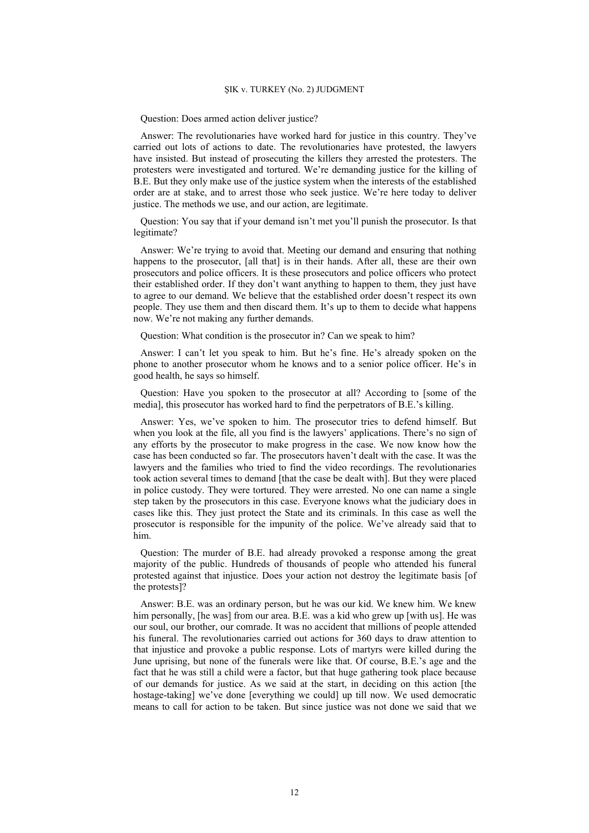Question: Does armed action deliver justice?

Answer: The revolutionaries have worked hard for justice in this country. They've carried out lots of actions to date. The revolutionaries have protested, the lawyers have insisted. But instead of prosecuting the killers they arrested the protesters. The protesters were investigated and tortured. We're demanding justice for the killing of B.E. But they only make use of the justice system when the interests of the established order are at stake, and to arrest those who seek justice. We're here today to deliver justice. The methods we use, and our action, are legitimate.

Question: You say that if your demand isn't met you'll punish the prosecutor. Is that legitimate?

Answer: We're trying to avoid that. Meeting our demand and ensuring that nothing happens to the prosecutor, [all that] is in their hands. After all, these are their own prosecutors and police officers. It is these prosecutors and police officers who protect their established order. If they don't want anything to happen to them, they just have to agree to our demand. We believe that the established order doesn't respect its own people. They use them and then discard them. It's up to them to decide what happens now. We're not making any further demands.

Question: What condition is the prosecutor in? Can we speak to him?

Answer: I can't let you speak to him. But he's fine. He's already spoken on the phone to another prosecutor whom he knows and to a senior police officer. He's in good health, he says so himself.

Question: Have you spoken to the prosecutor at all? According to [some of the media], this prosecutor has worked hard to find the perpetrators of B.E.'s killing.

Answer: Yes, we've spoken to him. The prosecutor tries to defend himself. But when you look at the file, all you find is the lawyers' applications. There's no sign of any efforts by the prosecutor to make progress in the case. We now know how the case has been conducted so far. The prosecutors haven't dealt with the case. It was the lawyers and the families who tried to find the video recordings. The revolutionaries took action several times to demand [that the case be dealt with]. But they were placed in police custody. They were tortured. They were arrested. No one can name a single step taken by the prosecutors in this case. Everyone knows what the judiciary does in cases like this. They just protect the State and its criminals. In this case as well the prosecutor is responsible for the impunity of the police. We've already said that to him.

Question: The murder of B.E. had already provoked a response among the great majority of the public. Hundreds of thousands of people who attended his funeral protested against that injustice. Does your action not destroy the legitimate basis [of the protests]?

Answer: B.E. was an ordinary person, but he was our kid. We knew him. We knew him personally, [he was] from our area. B.E. was a kid who grew up [with us]. He was our soul, our brother, our comrade. It was no accident that millions of people attended his funeral. The revolutionaries carried out actions for 360 days to draw attention to that injustice and provoke a public response. Lots of martyrs were killed during the June uprising, but none of the funerals were like that. Of course, B.E.'s age and the fact that he was still a child were a factor, but that huge gathering took place because of our demands for justice. As we said at the start, in deciding on this action [the hostage-taking] we've done [everything we could] up till now. We used democratic means to call for action to be taken. But since justice was not done we said that we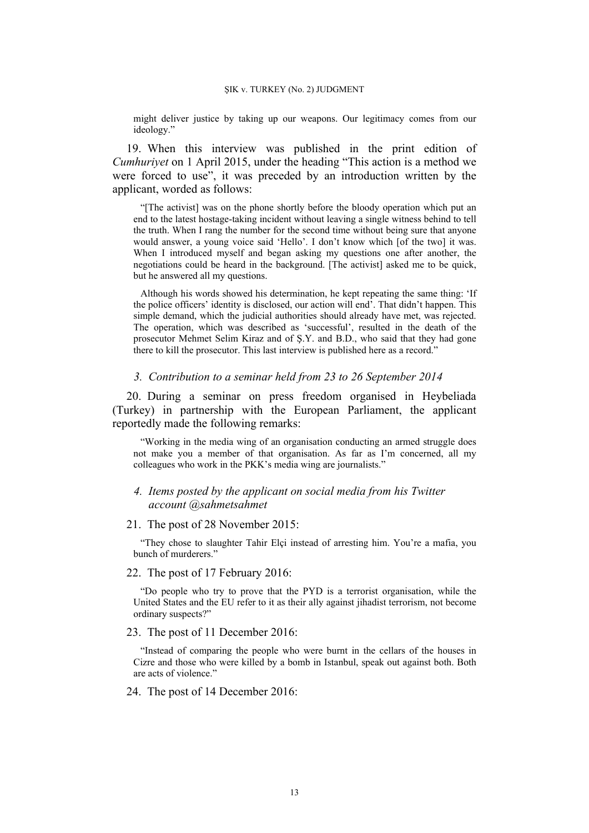might deliver justice by taking up our weapons. Our legitimacy comes from our ideology."

19. When this interview was published in the print edition of *Cumhuriyet* on 1 April 2015, under the heading "This action is a method we were forced to use", it was preceded by an introduction written by the applicant, worded as follows:

"[The activist] was on the phone shortly before the bloody operation which put an end to the latest hostage-taking incident without leaving a single witness behind to tell the truth. When I rang the number for the second time without being sure that anyone would answer, a young voice said 'Hello'. I don't know which [of the two] it was. When I introduced myself and began asking my questions one after another, the negotiations could be heard in the background. [The activist] asked me to be quick, but he answered all my questions.

Although his words showed his determination, he kept repeating the same thing: 'If the police officers' identity is disclosed, our action will end'. That didn't happen. This simple demand, which the judicial authorities should already have met, was rejected. The operation, which was described as 'successful', resulted in the death of the prosecutor Mehmet Selim Kiraz and of Ş.Y. and B.D., who said that they had gone there to kill the prosecutor. This last interview is published here as a record."

## *3. Contribution to a seminar held from 23 to 26 September 2014*

20. During a seminar on press freedom organised in Heybeliada (Turkey) in partnership with the European Parliament, the applicant reportedly made the following remarks:

"Working in the media wing of an organisation conducting an armed struggle does not make you a member of that organisation. As far as I'm concerned, all my colleagues who work in the PKK's media wing are journalists."

## *4. Items posted by the applicant on social media from his Twitter account @sahmetsahmet*

21. The post of 28 November 2015:

"They chose to slaughter Tahir Elçi instead of arresting him. You're a mafia, you bunch of murderers."

### 22. The post of 17 February 2016:

"Do people who try to prove that the PYD is a terrorist organisation, while the United States and the EU refer to it as their ally against jihadist terrorism, not become ordinary suspects?"

#### 23. The post of 11 December 2016:

"Instead of comparing the people who were burnt in the cellars of the houses in Cizre and those who were killed by a bomb in Istanbul, speak out against both. Both are acts of violence."

## 24. The post of 14 December 2016: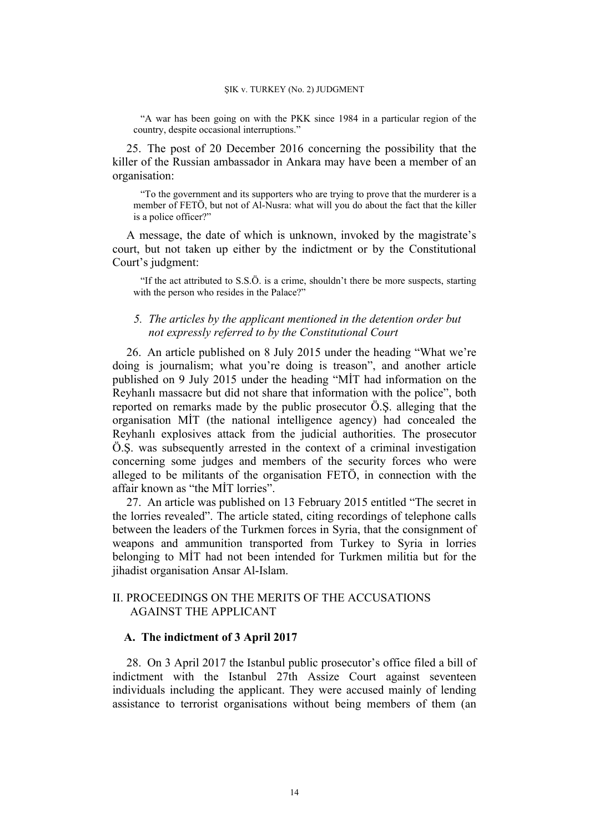"A war has been going on with the PKK since 1984 in a particular region of the country, despite occasional interruptions."

25. The post of 20 December 2016 concerning the possibility that the killer of the Russian ambassador in Ankara may have been a member of an organisation:

"To the government and its supporters who are trying to prove that the murderer is a member of FETÖ, but not of Al-Nusra: what will you do about the fact that the killer is a police officer?"

A message, the date of which is unknown, invoked by the magistrate's court, but not taken up either by the indictment or by the Constitutional Court's judgment:

"If the act attributed to S.S.Ö. is a crime, shouldn't there be more suspects, starting with the person who resides in the Palace?"

# *5. The articles by the applicant mentioned in the detention order but not expressly referred to by the Constitutional Court*

26. An article published on 8 July 2015 under the heading "What we're doing is journalism; what you're doing is treason", and another article published on 9 July 2015 under the heading "MİT had information on the Reyhanlı massacre but did not share that information with the police", both reported on remarks made by the public prosecutor Ö.Ş. alleging that the organisation MİT (the national intelligence agency) had concealed the Reyhanlı explosives attack from the judicial authorities. The prosecutor Ö.Ş. was subsequently arrested in the context of a criminal investigation concerning some judges and members of the security forces who were alleged to be militants of the organisation FETÖ, in connection with the affair known as "the MİT lorries".

27. An article was published on 13 February 2015 entitled "The secret in the lorries revealed". The article stated, citing recordings of telephone calls between the leaders of the Turkmen forces in Syria, that the consignment of weapons and ammunition transported from Turkey to Syria in lorries belonging to MİT had not been intended for Turkmen militia but for the jihadist organisation Ansar Al-Islam.

# II. PROCEEDINGS ON THE MERITS OF THE ACCUSATIONS AGAINST THE APPLICANT

## **A. The indictment of 3 April 2017**

28. On 3 April 2017 the Istanbul public prosecutor's office filed a bill of indictment with the Istanbul 27th Assize Court against seventeen individuals including the applicant. They were accused mainly of lending assistance to terrorist organisations without being members of them (an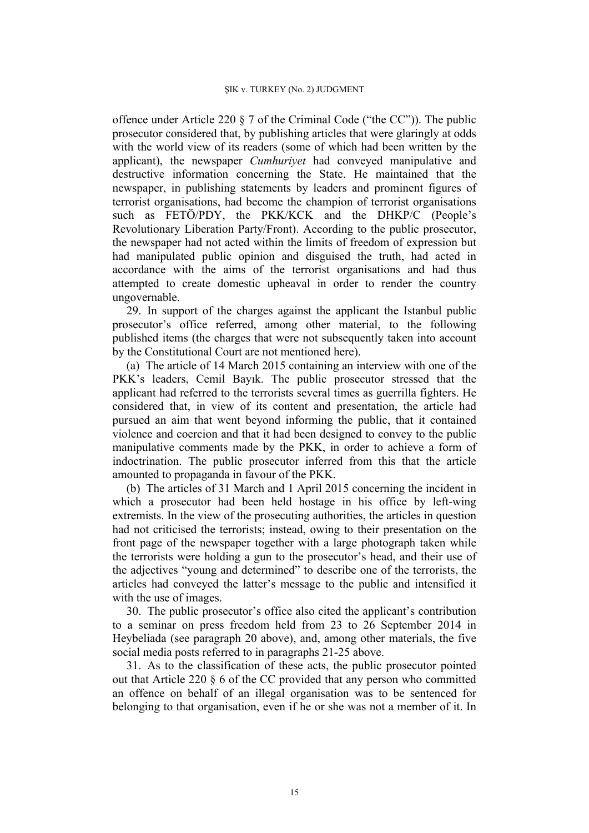offence under Article 220 § 7 of the Criminal Code ("the CC")). The public prosecutor considered that, by publishing articles that were glaringly at odds with the world view of its readers (some of which had been written by the applicant), the newspaper *Cumhuriyet* had conveyed manipulative and destructive information concerning the State. He maintained that the newspaper, in publishing statements by leaders and prominent figures of terrorist organisations, had become the champion of terrorist organisations such as FETÖ/PDY, the PKK/KCK and the DHKP/C (People's Revolutionary Liberation Party/Front). According to the public prosecutor, the newspaper had not acted within the limits of freedom of expression but had manipulated public opinion and disguised the truth, had acted in accordance with the aims of the terrorist organisations and had thus attempted to create domestic upheaval in order to render the country ungovernable.

29. In support of the charges against the applicant the Istanbul public prosecutor's office referred, among other material, to the following published items (the charges that were not subsequently taken into account by the Constitutional Court are not mentioned here).

(a) The article of 14 March 2015 containing an interview with one of the PKK's leaders, Cemil Bayık. The public prosecutor stressed that the applicant had referred to the terrorists several times as guerrilla fighters. He considered that, in view of its content and presentation, the article had pursued an aim that went beyond informing the public, that it contained violence and coercion and that it had been designed to convey to the public manipulative comments made by the PKK, in order to achieve a form of indoctrination. The public prosecutor inferred from this that the article amounted to propaganda in favour of the PKK.

(b) The articles of 31 March and 1 April 2015 concerning the incident in which a prosecutor had been held hostage in his office by left-wing extremists. In the view of the prosecuting authorities, the articles in question had not criticised the terrorists; instead, owing to their presentation on the front page of the newspaper together with a large photograph taken while the terrorists were holding a gun to the prosecutor's head, and their use of the adjectives "young and determined" to describe one of the terrorists, the articles had conveyed the latter's message to the public and intensified it with the use of images.

30. The public prosecutor's office also cited the applicant's contribution to a seminar on press freedom held from 23 to 26 September 2014 in Heybeliada (see paragraph 20 above), and, among other materials, the five social media posts referred to in paragraphs 21-25 above.

31. As to the classification of these acts, the public prosecutor pointed out that Article 220 § 6 of the CC provided that any person who committed an offence on behalf of an illegal organisation was to be sentenced for belonging to that organisation, even if he or she was not a member of it. In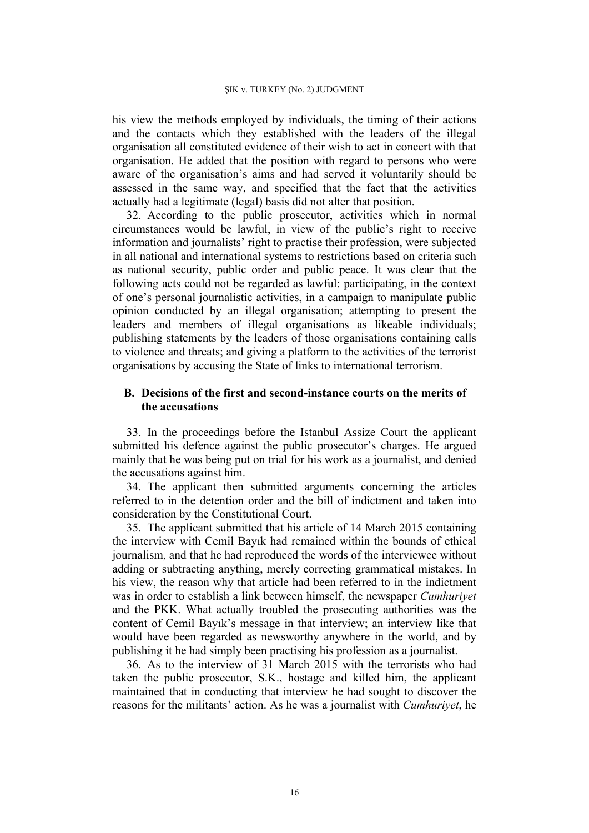his view the methods employed by individuals, the timing of their actions and the contacts which they established with the leaders of the illegal organisation all constituted evidence of their wish to act in concert with that organisation. He added that the position with regard to persons who were aware of the organisation's aims and had served it voluntarily should be assessed in the same way, and specified that the fact that the activities actually had a legitimate (legal) basis did not alter that position.

32. According to the public prosecutor, activities which in normal circumstances would be lawful, in view of the public's right to receive information and journalists' right to practise their profession, were subjected in all national and international systems to restrictions based on criteria such as national security, public order and public peace. It was clear that the following acts could not be regarded as lawful: participating, in the context of one's personal journalistic activities, in a campaign to manipulate public opinion conducted by an illegal organisation; attempting to present the leaders and members of illegal organisations as likeable individuals; publishing statements by the leaders of those organisations containing calls to violence and threats; and giving a platform to the activities of the terrorist organisations by accusing the State of links to international terrorism.

# **B. Decisions of the first and second-instance courts on the merits of the accusations**

33. In the proceedings before the Istanbul Assize Court the applicant submitted his defence against the public prosecutor's charges. He argued mainly that he was being put on trial for his work as a journalist, and denied the accusations against him.

34. The applicant then submitted arguments concerning the articles referred to in the detention order and the bill of indictment and taken into consideration by the Constitutional Court.

35. The applicant submitted that his article of 14 March 2015 containing the interview with Cemil Bayık had remained within the bounds of ethical journalism, and that he had reproduced the words of the interviewee without adding or subtracting anything, merely correcting grammatical mistakes. In his view, the reason why that article had been referred to in the indictment was in order to establish a link between himself, the newspaper *Cumhuriyet* and the PKK. What actually troubled the prosecuting authorities was the content of Cemil Bayık's message in that interview; an interview like that would have been regarded as newsworthy anywhere in the world, and by publishing it he had simply been practising his profession as a journalist.

36. As to the interview of 31 March 2015 with the terrorists who had taken the public prosecutor, S.K., hostage and killed him, the applicant maintained that in conducting that interview he had sought to discover the reasons for the militants' action. As he was a journalist with *Cumhuriyet*, he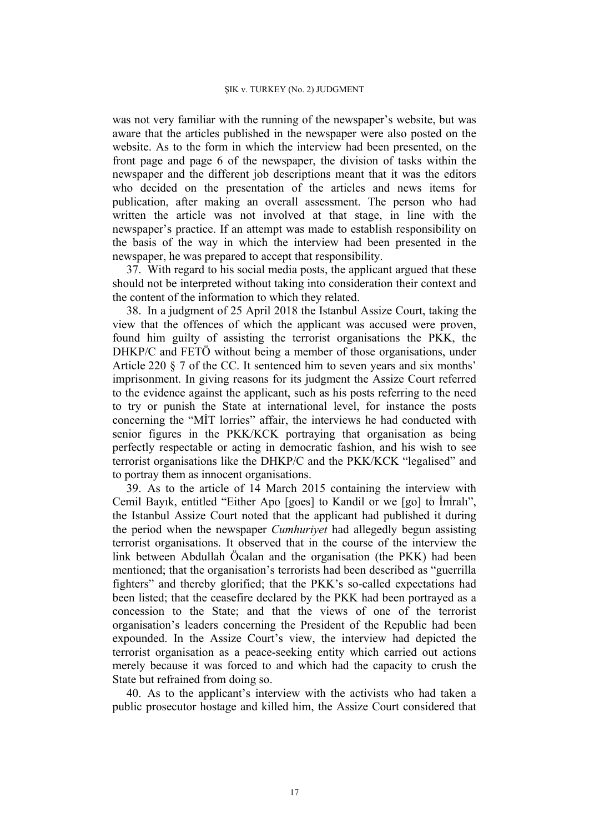was not very familiar with the running of the newspaper's website, but was aware that the articles published in the newspaper were also posted on the website. As to the form in which the interview had been presented, on the front page and page 6 of the newspaper, the division of tasks within the newspaper and the different job descriptions meant that it was the editors who decided on the presentation of the articles and news items for publication, after making an overall assessment. The person who had written the article was not involved at that stage, in line with the newspaper's practice. If an attempt was made to establish responsibility on the basis of the way in which the interview had been presented in the newspaper, he was prepared to accept that responsibility.

37. With regard to his social media posts, the applicant argued that these should not be interpreted without taking into consideration their context and the content of the information to which they related.

38. In a judgment of 25 April 2018 the Istanbul Assize Court, taking the view that the offences of which the applicant was accused were proven, found him guilty of assisting the terrorist organisations the PKK, the DHKP/C and FETÖ without being a member of those organisations, under Article 220 § 7 of the CC. It sentenced him to seven years and six months' imprisonment. In giving reasons for its judgment the Assize Court referred to the evidence against the applicant, such as his posts referring to the need to try or punish the State at international level, for instance the posts concerning the "MİT lorries" affair, the interviews he had conducted with senior figures in the PKK/KCK portraying that organisation as being perfectly respectable or acting in democratic fashion, and his wish to see terrorist organisations like the DHKP/C and the PKK/KCK "legalised" and to portray them as innocent organisations.

39. As to the article of 14 March 2015 containing the interview with Cemil Bayık, entitled "Either Apo [goes] to Kandil or we [go] to İmralı", the Istanbul Assize Court noted that the applicant had published it during the period when the newspaper *Cumhuriyet* had allegedly begun assisting terrorist organisations. It observed that in the course of the interview the link between Abdullah Öcalan and the organisation (the PKK) had been mentioned; that the organisation's terrorists had been described as "guerrilla fighters" and thereby glorified; that the PKK's so-called expectations had been listed; that the ceasefire declared by the PKK had been portrayed as a concession to the State; and that the views of one of the terrorist organisation's leaders concerning the President of the Republic had been expounded. In the Assize Court's view, the interview had depicted the terrorist organisation as a peace-seeking entity which carried out actions merely because it was forced to and which had the capacity to crush the State but refrained from doing so.

40. As to the applicant's interview with the activists who had taken a public prosecutor hostage and killed him, the Assize Court considered that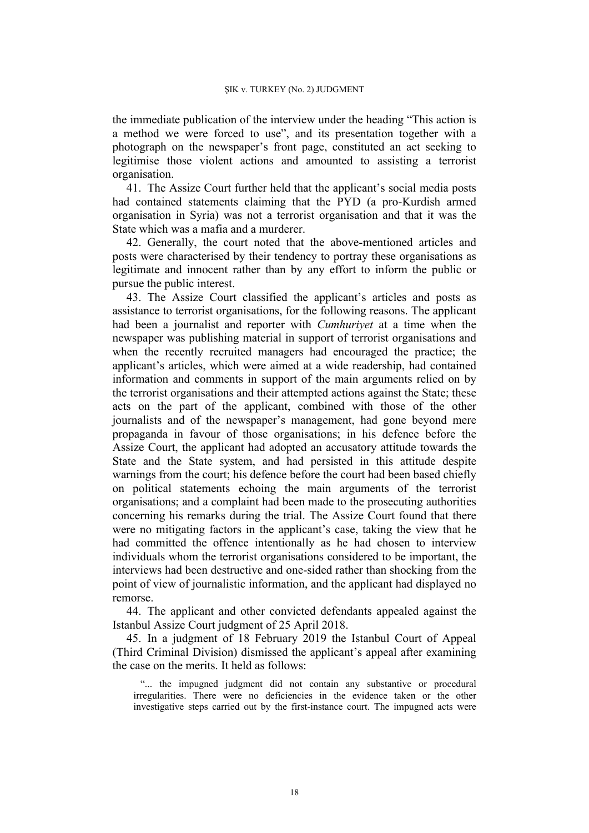the immediate publication of the interview under the heading "This action is a method we were forced to use", and its presentation together with a photograph on the newspaper's front page, constituted an act seeking to legitimise those violent actions and amounted to assisting a terrorist organisation.

41. The Assize Court further held that the applicant's social media posts had contained statements claiming that the PYD (a pro-Kurdish armed organisation in Syria) was not a terrorist organisation and that it was the State which was a mafia and a murderer.

42. Generally, the court noted that the above-mentioned articles and posts were characterised by their tendency to portray these organisations as legitimate and innocent rather than by any effort to inform the public or pursue the public interest.

43. The Assize Court classified the applicant's articles and posts as assistance to terrorist organisations, for the following reasons. The applicant had been a journalist and reporter with *Cumhuriyet* at a time when the newspaper was publishing material in support of terrorist organisations and when the recently recruited managers had encouraged the practice; the applicant's articles, which were aimed at a wide readership, had contained information and comments in support of the main arguments relied on by the terrorist organisations and their attempted actions against the State; these acts on the part of the applicant, combined with those of the other journalists and of the newspaper's management, had gone beyond mere propaganda in favour of those organisations; in his defence before the Assize Court, the applicant had adopted an accusatory attitude towards the State and the State system, and had persisted in this attitude despite warnings from the court; his defence before the court had been based chiefly on political statements echoing the main arguments of the terrorist organisations; and a complaint had been made to the prosecuting authorities concerning his remarks during the trial. The Assize Court found that there were no mitigating factors in the applicant's case, taking the view that he had committed the offence intentionally as he had chosen to interview individuals whom the terrorist organisations considered to be important, the interviews had been destructive and one-sided rather than shocking from the point of view of journalistic information, and the applicant had displayed no remorse.

44. The applicant and other convicted defendants appealed against the Istanbul Assize Court judgment of 25 April 2018.

45. In a judgment of 18 February 2019 the Istanbul Court of Appeal (Third Criminal Division) dismissed the applicant's appeal after examining the case on the merits. It held as follows:

"... the impugned judgment did not contain any substantive or procedural irregularities. There were no deficiencies in the evidence taken or the other investigative steps carried out by the first-instance court. The impugned acts were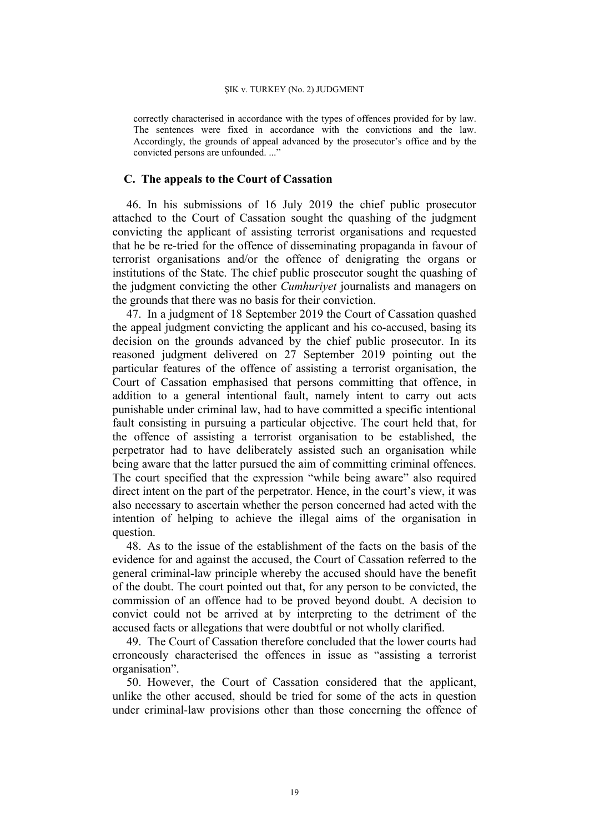correctly characterised in accordance with the types of offences provided for by law. The sentences were fixed in accordance with the convictions and the law. Accordingly, the grounds of appeal advanced by the prosecutor's office and by the convicted persons are unfounded...."

## **C. The appeals to the Court of Cassation**

46. In his submissions of 16 July 2019 the chief public prosecutor attached to the Court of Cassation sought the quashing of the judgment convicting the applicant of assisting terrorist organisations and requested that he be re-tried for the offence of disseminating propaganda in favour of terrorist organisations and/or the offence of denigrating the organs or institutions of the State. The chief public prosecutor sought the quashing of the judgment convicting the other *Cumhuriyet* journalists and managers on the grounds that there was no basis for their conviction.

47. In a judgment of 18 September 2019 the Court of Cassation quashed the appeal judgment convicting the applicant and his co-accused, basing its decision on the grounds advanced by the chief public prosecutor. In its reasoned judgment delivered on 27 September 2019 pointing out the particular features of the offence of assisting a terrorist organisation, the Court of Cassation emphasised that persons committing that offence, in addition to a general intentional fault, namely intent to carry out acts punishable under criminal law, had to have committed a specific intentional fault consisting in pursuing a particular objective. The court held that, for the offence of assisting a terrorist organisation to be established, the perpetrator had to have deliberately assisted such an organisation while being aware that the latter pursued the aim of committing criminal offences. The court specified that the expression "while being aware" also required direct intent on the part of the perpetrator. Hence, in the court's view, it was also necessary to ascertain whether the person concerned had acted with the intention of helping to achieve the illegal aims of the organisation in question.

48. As to the issue of the establishment of the facts on the basis of the evidence for and against the accused, the Court of Cassation referred to the general criminal-law principle whereby the accused should have the benefit of the doubt. The court pointed out that, for any person to be convicted, the commission of an offence had to be proved beyond doubt. A decision to convict could not be arrived at by interpreting to the detriment of the accused facts or allegations that were doubtful or not wholly clarified.

49. The Court of Cassation therefore concluded that the lower courts had erroneously characterised the offences in issue as "assisting a terrorist organisation".

50. However, the Court of Cassation considered that the applicant, unlike the other accused, should be tried for some of the acts in question under criminal-law provisions other than those concerning the offence of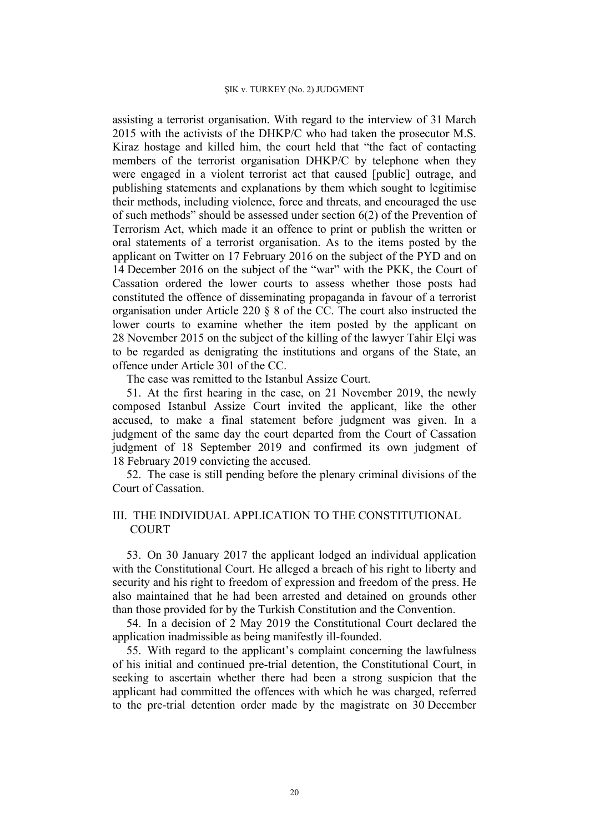assisting a terrorist organisation. With regard to the interview of 31 March 2015 with the activists of the DHKP/C who had taken the prosecutor M.S. Kiraz hostage and killed him, the court held that "the fact of contacting members of the terrorist organisation DHKP/C by telephone when they were engaged in a violent terrorist act that caused [public] outrage, and publishing statements and explanations by them which sought to legitimise their methods, including violence, force and threats, and encouraged the use of such methods" should be assessed under section 6(2) of the Prevention of Terrorism Act, which made it an offence to print or publish the written or oral statements of a terrorist organisation. As to the items posted by the applicant on Twitter on 17 February 2016 on the subject of the PYD and on 14 December 2016 on the subject of the "war" with the PKK, the Court of Cassation ordered the lower courts to assess whether those posts had constituted the offence of disseminating propaganda in favour of a terrorist organisation under Article 220 § 8 of the CC. The court also instructed the lower courts to examine whether the item posted by the applicant on 28 November 2015 on the subject of the killing of the lawyer Tahir Elçi was to be regarded as denigrating the institutions and organs of the State, an offence under Article 301 of the CC.

The case was remitted to the Istanbul Assize Court.

51. At the first hearing in the case, on 21 November 2019, the newly composed Istanbul Assize Court invited the applicant, like the other accused, to make a final statement before judgment was given. In a judgment of the same day the court departed from the Court of Cassation judgment of 18 September 2019 and confirmed its own judgment of 18 February 2019 convicting the accused.

52. The case is still pending before the plenary criminal divisions of the Court of Cassation.

# III. THE INDIVIDUAL APPLICATION TO THE CONSTITUTIONAL **COURT**

53. On 30 January 2017 the applicant lodged an individual application with the Constitutional Court. He alleged a breach of his right to liberty and security and his right to freedom of expression and freedom of the press. He also maintained that he had been arrested and detained on grounds other than those provided for by the Turkish Constitution and the Convention.

54. In a decision of 2 May 2019 the Constitutional Court declared the application inadmissible as being manifestly ill-founded.

55. With regard to the applicant's complaint concerning the lawfulness of his initial and continued pre-trial detention, the Constitutional Court, in seeking to ascertain whether there had been a strong suspicion that the applicant had committed the offences with which he was charged, referred to the pre-trial detention order made by the magistrate on 30 December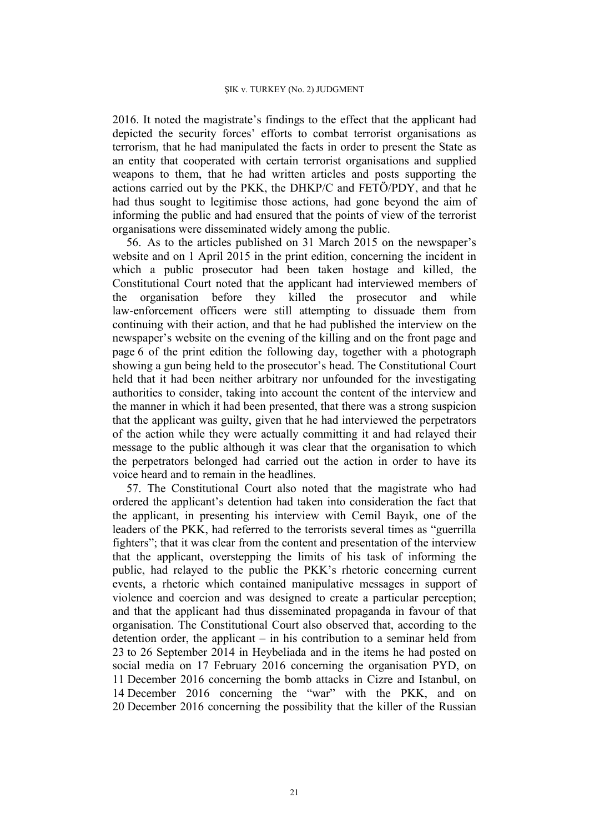2016. It noted the magistrate's findings to the effect that the applicant had depicted the security forces' efforts to combat terrorist organisations as terrorism, that he had manipulated the facts in order to present the State as an entity that cooperated with certain terrorist organisations and supplied weapons to them, that he had written articles and posts supporting the actions carried out by the PKK, the DHKP/C and FETÖ/PDY, and that he had thus sought to legitimise those actions, had gone beyond the aim of informing the public and had ensured that the points of view of the terrorist organisations were disseminated widely among the public.

56. As to the articles published on 31 March 2015 on the newspaper's website and on 1 April 2015 in the print edition, concerning the incident in which a public prosecutor had been taken hostage and killed, the Constitutional Court noted that the applicant had interviewed members of the organisation before they killed the prosecutor and while law-enforcement officers were still attempting to dissuade them from continuing with their action, and that he had published the interview on the newspaper's website on the evening of the killing and on the front page and page 6 of the print edition the following day, together with a photograph showing a gun being held to the prosecutor's head. The Constitutional Court held that it had been neither arbitrary nor unfounded for the investigating authorities to consider, taking into account the content of the interview and the manner in which it had been presented, that there was a strong suspicion that the applicant was guilty, given that he had interviewed the perpetrators of the action while they were actually committing it and had relayed their message to the public although it was clear that the organisation to which the perpetrators belonged had carried out the action in order to have its voice heard and to remain in the headlines.

57. The Constitutional Court also noted that the magistrate who had ordered the applicant's detention had taken into consideration the fact that the applicant, in presenting his interview with Cemil Bayık, one of the leaders of the PKK, had referred to the terrorists several times as "guerrilla fighters"; that it was clear from the content and presentation of the interview that the applicant, overstepping the limits of his task of informing the public, had relayed to the public the PKK's rhetoric concerning current events, a rhetoric which contained manipulative messages in support of violence and coercion and was designed to create a particular perception; and that the applicant had thus disseminated propaganda in favour of that organisation. The Constitutional Court also observed that, according to the detention order, the applicant – in his contribution to a seminar held from 23 to 26 September 2014 in Heybeliada and in the items he had posted on social media on 17 February 2016 concerning the organisation PYD, on 11 December 2016 concerning the bomb attacks in Cizre and Istanbul, on 14 December 2016 concerning the "war" with the PKK, and on 20 December 2016 concerning the possibility that the killer of the Russian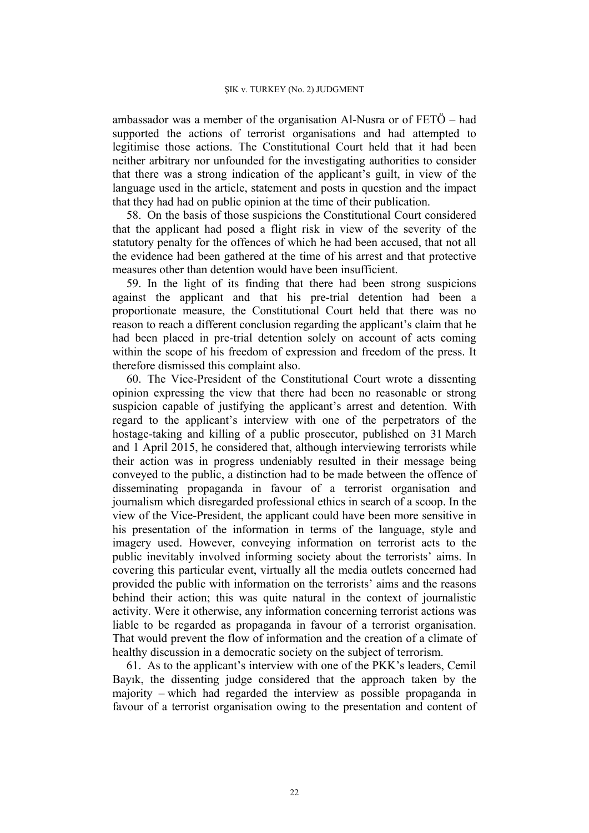ambassador was a member of the organisation Al-Nusra or of FETÖ – had supported the actions of terrorist organisations and had attempted to legitimise those actions. The Constitutional Court held that it had been neither arbitrary nor unfounded for the investigating authorities to consider that there was a strong indication of the applicant's guilt, in view of the language used in the article, statement and posts in question and the impact that they had had on public opinion at the time of their publication.

58. On the basis of those suspicions the Constitutional Court considered that the applicant had posed a flight risk in view of the severity of the statutory penalty for the offences of which he had been accused, that not all the evidence had been gathered at the time of his arrest and that protective measures other than detention would have been insufficient.

59. In the light of its finding that there had been strong suspicions against the applicant and that his pre-trial detention had been a proportionate measure, the Constitutional Court held that there was no reason to reach a different conclusion regarding the applicant's claim that he had been placed in pre-trial detention solely on account of acts coming within the scope of his freedom of expression and freedom of the press. It therefore dismissed this complaint also.

60. The Vice-President of the Constitutional Court wrote a dissenting opinion expressing the view that there had been no reasonable or strong suspicion capable of justifying the applicant's arrest and detention. With regard to the applicant's interview with one of the perpetrators of the hostage-taking and killing of a public prosecutor, published on 31 March and 1 April 2015, he considered that, although interviewing terrorists while their action was in progress undeniably resulted in their message being conveyed to the public, a distinction had to be made between the offence of disseminating propaganda in favour of a terrorist organisation and journalism which disregarded professional ethics in search of a scoop. In the view of the Vice-President, the applicant could have been more sensitive in his presentation of the information in terms of the language, style and imagery used. However, conveying information on terrorist acts to the public inevitably involved informing society about the terrorists' aims. In covering this particular event, virtually all the media outlets concerned had provided the public with information on the terrorists' aims and the reasons behind their action; this was quite natural in the context of journalistic activity. Were it otherwise, any information concerning terrorist actions was liable to be regarded as propaganda in favour of a terrorist organisation. That would prevent the flow of information and the creation of a climate of healthy discussion in a democratic society on the subject of terrorism.

61. As to the applicant's interview with one of the PKK's leaders, Cemil Bayık, the dissenting judge considered that the approach taken by the majority – which had regarded the interview as possible propaganda in favour of a terrorist organisation owing to the presentation and content of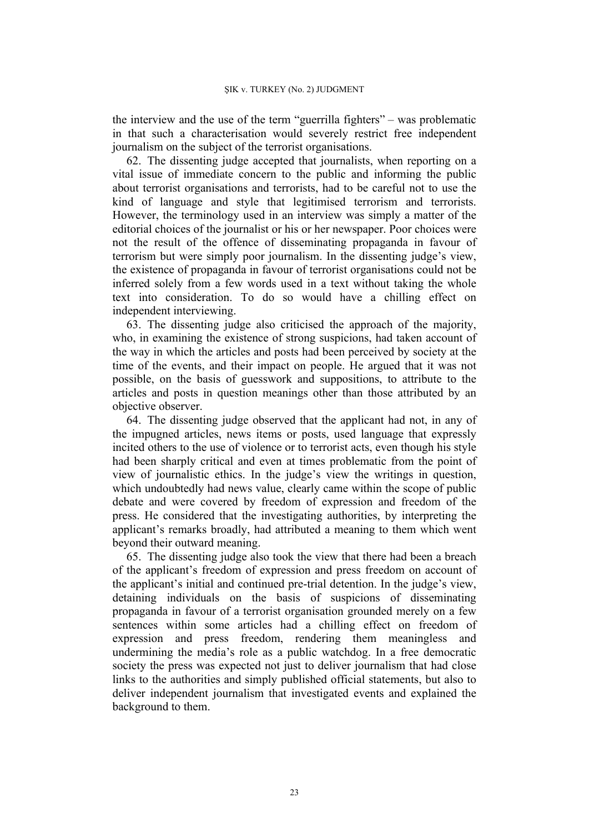the interview and the use of the term "guerrilla fighters" – was problematic in that such a characterisation would severely restrict free independent journalism on the subject of the terrorist organisations.

62. The dissenting judge accepted that journalists, when reporting on a vital issue of immediate concern to the public and informing the public about terrorist organisations and terrorists, had to be careful not to use the kind of language and style that legitimised terrorism and terrorists. However, the terminology used in an interview was simply a matter of the editorial choices of the journalist or his or her newspaper. Poor choices were not the result of the offence of disseminating propaganda in favour of terrorism but were simply poor journalism. In the dissenting judge's view, the existence of propaganda in favour of terrorist organisations could not be inferred solely from a few words used in a text without taking the whole text into consideration. To do so would have a chilling effect on independent interviewing.

63. The dissenting judge also criticised the approach of the majority, who, in examining the existence of strong suspicions, had taken account of the way in which the articles and posts had been perceived by society at the time of the events, and their impact on people. He argued that it was not possible, on the basis of guesswork and suppositions, to attribute to the articles and posts in question meanings other than those attributed by an objective observer.

64. The dissenting judge observed that the applicant had not, in any of the impugned articles, news items or posts, used language that expressly incited others to the use of violence or to terrorist acts, even though his style had been sharply critical and even at times problematic from the point of view of journalistic ethics. In the judge's view the writings in question, which undoubtedly had news value, clearly came within the scope of public debate and were covered by freedom of expression and freedom of the press. He considered that the investigating authorities, by interpreting the applicant's remarks broadly, had attributed a meaning to them which went beyond their outward meaning.

65. The dissenting judge also took the view that there had been a breach of the applicant's freedom of expression and press freedom on account of the applicant's initial and continued pre-trial detention. In the judge's view, detaining individuals on the basis of suspicions of disseminating propaganda in favour of a terrorist organisation grounded merely on a few sentences within some articles had a chilling effect on freedom of expression and press freedom, rendering them meaningless and undermining the media's role as a public watchdog. In a free democratic society the press was expected not just to deliver journalism that had close links to the authorities and simply published official statements, but also to deliver independent journalism that investigated events and explained the background to them.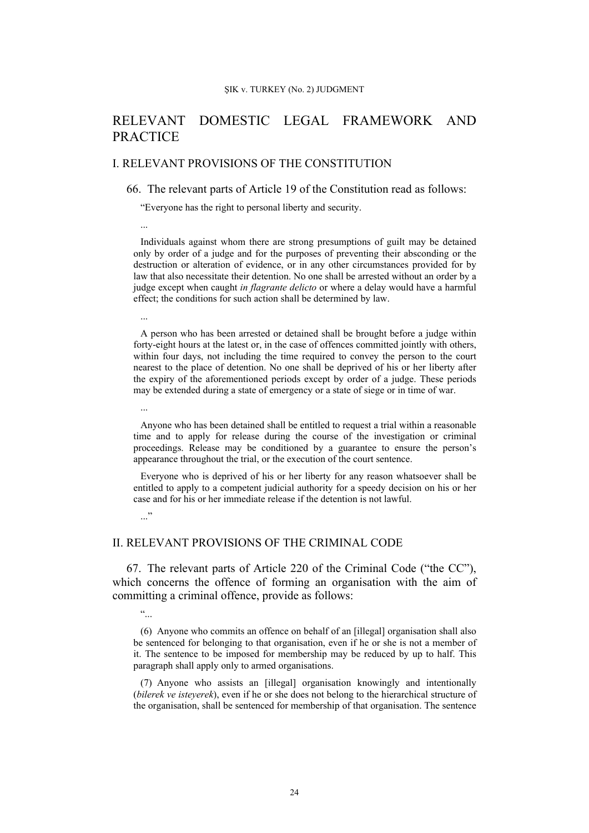# RELEVANT DOMESTIC LEGAL FRAMEWORK AND PRACTICE

## I. RELEVANT PROVISIONS OF THE CONSTITUTION

### 66. The relevant parts of Article 19 of the Constitution read as follows:

"Everyone has the right to personal liberty and security.

Individuals against whom there are strong presumptions of guilt may be detained only by order of a judge and for the purposes of preventing their absconding or the destruction or alteration of evidence, or in any other circumstances provided for by law that also necessitate their detention. No one shall be arrested without an order by a judge except when caught *in flagrante delicto* or where a delay would have a harmful effect; the conditions for such action shall be determined by law.

A person who has been arrested or detained shall be brought before a judge within forty-eight hours at the latest or, in the case of offences committed jointly with others, within four days, not including the time required to convey the person to the court nearest to the place of detention. No one shall be deprived of his or her liberty after the expiry of the aforementioned periods except by order of a judge. These periods may be extended during a state of emergency or a state of siege or in time of war.

Anyone who has been detained shall be entitled to request a trial within a reasonable time and to apply for release during the course of the investigation or criminal proceedings. Release may be conditioned by a guarantee to ensure the person's appearance throughout the trial, or the execution of the court sentence.

Everyone who is deprived of his or her liberty for any reason whatsoever shall be entitled to apply to a competent judicial authority for a speedy decision on his or her case and for his or her immediate release if the detention is not lawful.

II. RELEVANT PROVISIONS OF THE CRIMINAL CODE

67. The relevant parts of Article 220 of the Criminal Code ("the CC"), which concerns the offence of forming an organisation with the aim of committing a criminal offence, provide as follows:

"...

..."

...

...

(6) Anyone who commits an offence on behalf of an [illegal] organisation shall also be sentenced for belonging to that organisation, even if he or she is not a member of it. The sentence to be imposed for membership may be reduced by up to half. This paragraph shall apply only to armed organisations.

(7) Anyone who assists an [illegal] organisation knowingly and intentionally (*bilerek ve isteyerek*), even if he or she does not belong to the hierarchical structure of the organisation, shall be sentenced for membership of that organisation. The sentence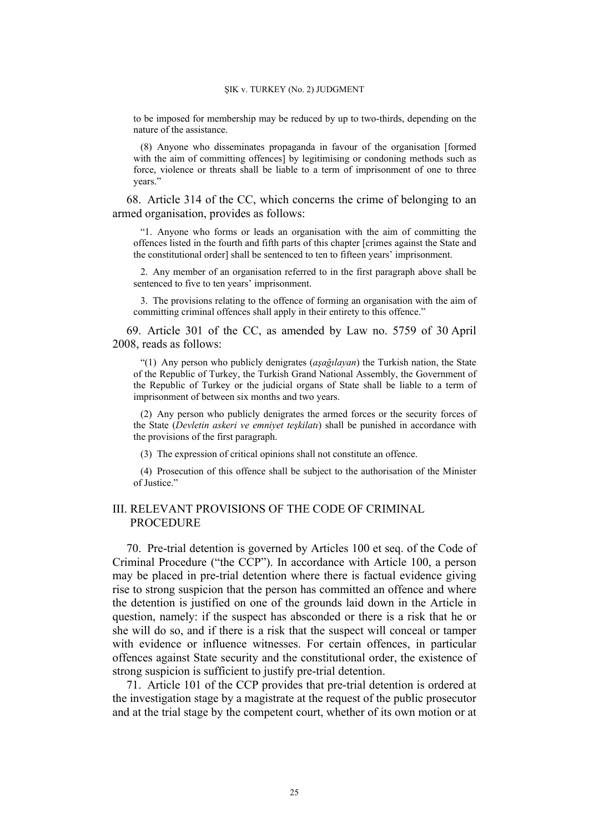to be imposed for membership may be reduced by up to two-thirds, depending on the nature of the assistance.

(8) Anyone who disseminates propaganda in favour of the organisation [formed with the aim of committing offences] by legitimising or condoning methods such as force, violence or threats shall be liable to a term of imprisonment of one to three years."

68. Article 314 of the CC, which concerns the crime of belonging to an armed organisation, provides as follows:

"1. Anyone who forms or leads an organisation with the aim of committing the offences listed in the fourth and fifth parts of this chapter [crimes against the State and the constitutional order] shall be sentenced to ten to fifteen years' imprisonment.

2. Any member of an organisation referred to in the first paragraph above shall be sentenced to five to ten years' imprisonment.

3. The provisions relating to the offence of forming an organisation with the aim of committing criminal offences shall apply in their entirety to this offence."

69. Article 301 of the CC, as amended by Law no. 5759 of 30 April 2008, reads as follows:

"(1) Any person who publicly denigrates (*aşağılayan*) the Turkish nation, the State of the Republic of Turkey, the Turkish Grand National Assembly, the Government of the Republic of Turkey or the judicial organs of State shall be liable to a term of imprisonment of between six months and two years.

(2) Any person who publicly denigrates the armed forces or the security forces of the State (*Devletin askeri ve emniyet teşkilatı*) shall be punished in accordance with the provisions of the first paragraph.

(3) The expression of critical opinions shall not constitute an offence.

(4) Prosecution of this offence shall be subject to the authorisation of the Minister of Justice."

## III. RELEVANT PROVISIONS OF THE CODE OF CRIMINAL PROCEDURE

70. Pre-trial detention is governed by Articles 100 et seq. of the Code of Criminal Procedure ("the CCP"). In accordance with Article 100, a person may be placed in pre-trial detention where there is factual evidence giving rise to strong suspicion that the person has committed an offence and where the detention is justified on one of the grounds laid down in the Article in question, namely: if the suspect has absconded or there is a risk that he or she will do so, and if there is a risk that the suspect will conceal or tamper with evidence or influence witnesses. For certain offences, in particular offences against State security and the constitutional order, the existence of strong suspicion is sufficient to justify pre-trial detention.

71. Article 101 of the CCP provides that pre-trial detention is ordered at the investigation stage by a magistrate at the request of the public prosecutor and at the trial stage by the competent court, whether of its own motion or at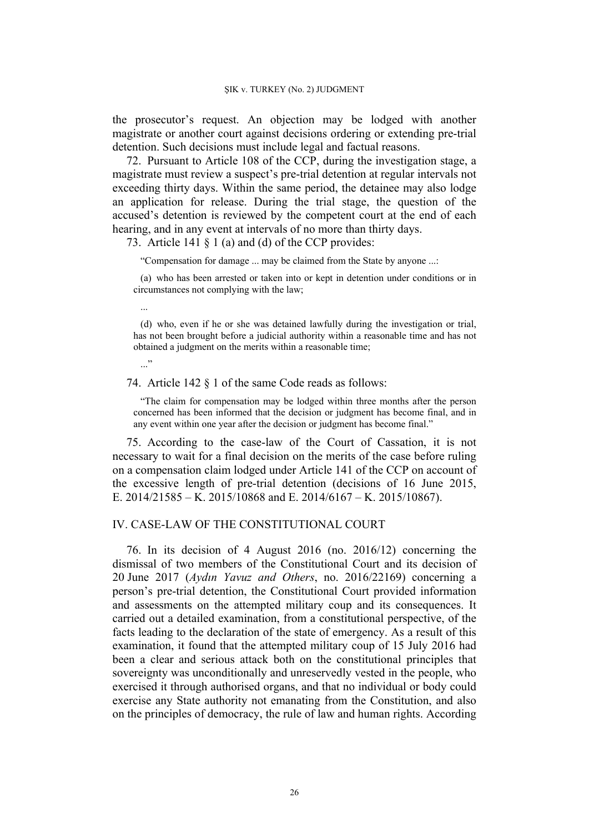the prosecutor's request. An objection may be lodged with another magistrate or another court against decisions ordering or extending pre-trial detention. Such decisions must include legal and factual reasons.

72. Pursuant to Article 108 of the CCP, during the investigation stage, a magistrate must review a suspect's pre-trial detention at regular intervals not exceeding thirty days. Within the same period, the detainee may also lodge an application for release. During the trial stage, the question of the accused's detention is reviewed by the competent court at the end of each hearing, and in any event at intervals of no more than thirty days.

73. Article 141 § 1 (a) and (d) of the CCP provides:

...

..."

"Compensation for damage ... may be claimed from the State by anyone ...:

(a) who has been arrested or taken into or kept in detention under conditions or in circumstances not complying with the law;

(d) who, even if he or she was detained lawfully during the investigation or trial, has not been brought before a judicial authority within a reasonable time and has not obtained a judgment on the merits within a reasonable time;

74. Article 142 § 1 of the same Code reads as follows:

"The claim for compensation may be lodged within three months after the person concerned has been informed that the decision or judgment has become final, and in any event within one year after the decision or judgment has become final."

75. According to the case-law of the Court of Cassation, it is not necessary to wait for a final decision on the merits of the case before ruling on a compensation claim lodged under Article 141 of the CCP on account of the excessive length of pre-trial detention (decisions of 16 June 2015, E. 2014/21585 – K. 2015/10868 and E. 2014/6167 – K. 2015/10867).

## IV. CASE-LAW OF THE CONSTITUTIONAL COURT

76. In its decision of 4 August 2016 (no. 2016/12) concerning the dismissal of two members of the Constitutional Court and its decision of 20 June 2017 (*Aydın Yavuz and Others*, no. 2016/22169) concerning a person's pre-trial detention, the Constitutional Court provided information and assessments on the attempted military coup and its consequences. It carried out a detailed examination, from a constitutional perspective, of the facts leading to the declaration of the state of emergency. As a result of this examination, it found that the attempted military coup of 15 July 2016 had been a clear and serious attack both on the constitutional principles that sovereignty was unconditionally and unreservedly vested in the people, who exercised it through authorised organs, and that no individual or body could exercise any State authority not emanating from the Constitution, and also on the principles of democracy, the rule of law and human rights. According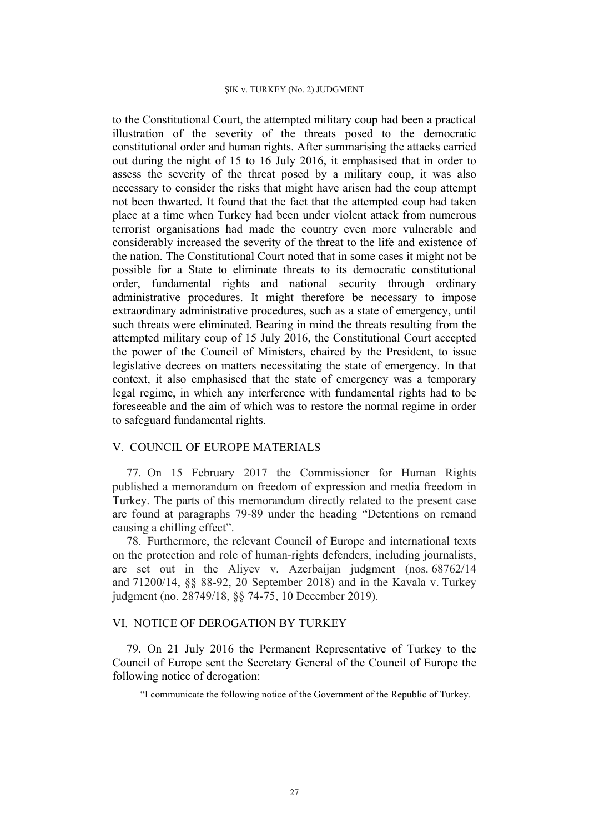to the Constitutional Court, the attempted military coup had been a practical illustration of the severity of the threats posed to the democratic constitutional order and human rights. After summarising the attacks carried out during the night of 15 to 16 July 2016, it emphasised that in order to assess the severity of the threat posed by a military coup, it was also necessary to consider the risks that might have arisen had the coup attempt not been thwarted. It found that the fact that the attempted coup had taken place at a time when Turkey had been under violent attack from numerous terrorist organisations had made the country even more vulnerable and considerably increased the severity of the threat to the life and existence of the nation. The Constitutional Court noted that in some cases it might not be possible for a State to eliminate threats to its democratic constitutional order, fundamental rights and national security through ordinary administrative procedures. It might therefore be necessary to impose extraordinary administrative procedures, such as a state of emergency, until such threats were eliminated. Bearing in mind the threats resulting from the attempted military coup of 15 July 2016, the Constitutional Court accepted the power of the Council of Ministers, chaired by the President, to issue legislative decrees on matters necessitating the state of emergency. In that context, it also emphasised that the state of emergency was a temporary legal regime, in which any interference with fundamental rights had to be foreseeable and the aim of which was to restore the normal regime in order to safeguard fundamental rights.

# V. COUNCIL OF EUROPE MATERIALS

77. On 15 February 2017 the Commissioner for Human Rights published a memorandum on freedom of expression and media freedom in Turkey. The parts of this memorandum directly related to the present case are found at paragraphs 79-89 under the heading "Detentions on remand causing a chilling effect".

78. Furthermore, the relevant Council of Europe and international texts on the protection and role of human-rights defenders, including journalists, are set out in the Aliyev v. Azerbaijan judgment (nos. 68762/14 and 71200/14, §§ 88-92, 20 September 2018) and in the Kavala v. Turkey judgment (no. 28749/18, §§ 74-75, 10 December 2019).

# VI. NOTICE OF DEROGATION BY TURKEY

79. On 21 July 2016 the Permanent Representative of Turkey to the Council of Europe sent the Secretary General of the Council of Europe the following notice of derogation:

"I communicate the following notice of the Government of the Republic of Turkey.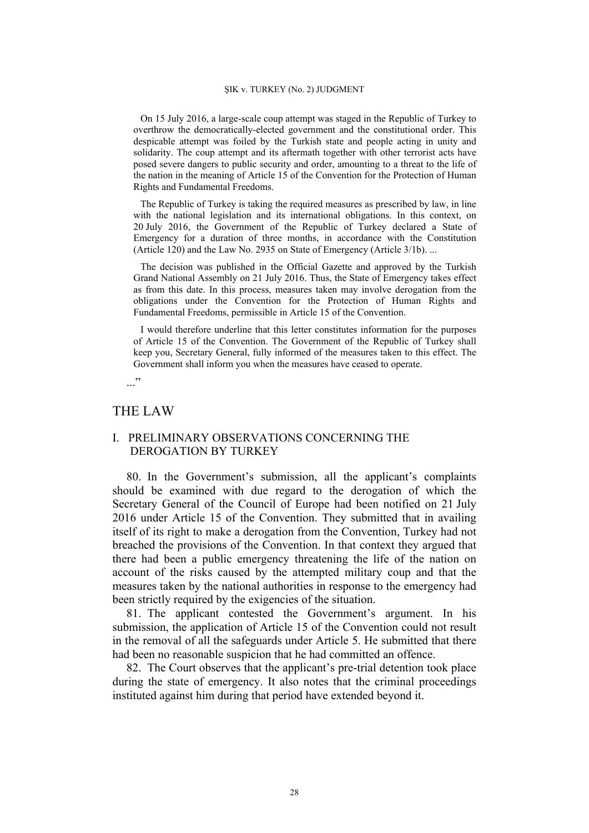On 15 July 2016, a large-scale coup attempt was staged in the Republic of Turkey to overthrow the democratically-elected government and the constitutional order. This despicable attempt was foiled by the Turkish state and people acting in unity and solidarity. The coup attempt and its aftermath together with other terrorist acts have posed severe dangers to public security and order, amounting to a threat to the life of the nation in the meaning of Article 15 of the Convention for the Protection of Human Rights and Fundamental Freedoms.

The Republic of Turkey is taking the required measures as prescribed by law, in line with the national legislation and its international obligations. In this context, on 20 July 2016, the Government of the Republic of Turkey declared a State of Emergency for a duration of three months, in accordance with the Constitution (Article 120) and the Law No. 2935 on State of Emergency (Article 3/1b). ...

The decision was published in the Official Gazette and approved by the Turkish Grand National Assembly on 21 July 2016. Thus, the State of Emergency takes effect as from this date. In this process, measures taken may involve derogation from the obligations under the Convention for the Protection of Human Rights and Fundamental Freedoms, permissible in Article 15 of the Convention.

I would therefore underline that this letter constitutes information for the purposes of Article 15 of the Convention. The Government of the Republic of Turkey shall keep you, Secretary General, fully informed of the measures taken to this effect. The Government shall inform you when the measures have ceased to operate.

..."

# THE LAW

# I. PRELIMINARY OBSERVATIONS CONCERNING THE DEROGATION BY TURKEY

80. In the Government's submission, all the applicant's complaints should be examined with due regard to the derogation of which the Secretary General of the Council of Europe had been notified on 21 July 2016 under Article 15 of the Convention. They submitted that in availing itself of its right to make a derogation from the Convention, Turkey had not breached the provisions of the Convention. In that context they argued that there had been a public emergency threatening the life of the nation on account of the risks caused by the attempted military coup and that the measures taken by the national authorities in response to the emergency had been strictly required by the exigencies of the situation.

81. The applicant contested the Government's argument. In his submission, the application of Article 15 of the Convention could not result in the removal of all the safeguards under Article 5. He submitted that there had been no reasonable suspicion that he had committed an offence.

82. The Court observes that the applicant's pre-trial detention took place during the state of emergency. It also notes that the criminal proceedings instituted against him during that period have extended beyond it.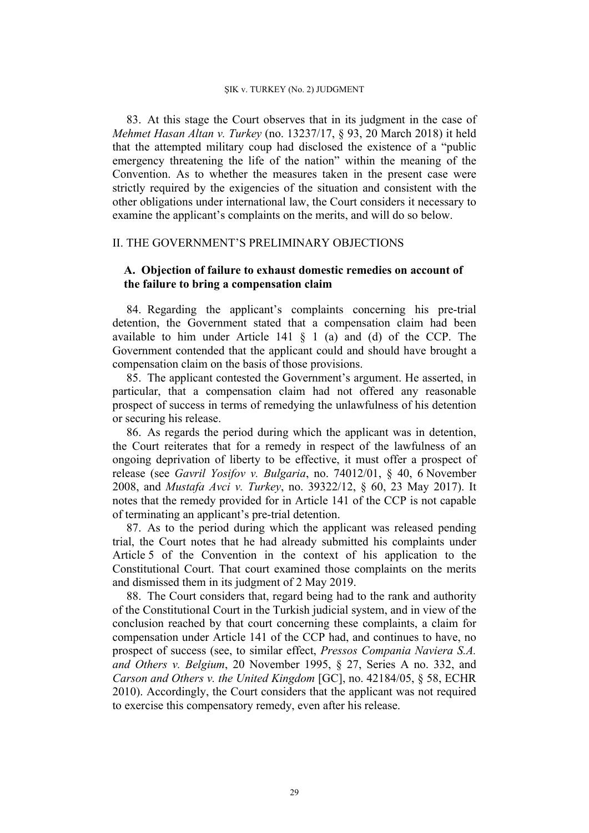83. At this stage the Court observes that in its judgment in the case of *Mehmet Hasan Altan v. Turkey* (no. 13237/17, § 93, 20 March 2018) it held that the attempted military coup had disclosed the existence of a "public emergency threatening the life of the nation" within the meaning of the Convention. As to whether the measures taken in the present case were strictly required by the exigencies of the situation and consistent with the other obligations under international law, the Court considers it necessary to examine the applicant's complaints on the merits, and will do so below.

# II. THE GOVERNMENT'S PRELIMINARY OBJECTIONS

# **A. Objection of failure to exhaust domestic remedies on account of the failure to bring a compensation claim**

84. Regarding the applicant's complaints concerning his pre-trial detention, the Government stated that a compensation claim had been available to him under Article 141 § 1 (a) and (d) of the CCP. The Government contended that the applicant could and should have brought a compensation claim on the basis of those provisions.

85. The applicant contested the Government's argument. He asserted, in particular, that a compensation claim had not offered any reasonable prospect of success in terms of remedying the unlawfulness of his detention or securing his release.

86. As regards the period during which the applicant was in detention, the Court reiterates that for a remedy in respect of the lawfulness of an ongoing deprivation of liberty to be effective, it must offer a prospect of release (see *Gavril Yosifov v. Bulgaria*, no. 74012/01, § 40, 6 November 2008, and *Mustafa Avci v. Turkey*, no. 39322/12, § 60, 23 May 2017). It notes that the remedy provided for in Article 141 of the CCP is not capable of terminating an applicant's pre-trial detention.

87. As to the period during which the applicant was released pending trial, the Court notes that he had already submitted his complaints under Article 5 of the Convention in the context of his application to the Constitutional Court. That court examined those complaints on the merits and dismissed them in its judgment of 2 May 2019.

88. The Court considers that, regard being had to the rank and authority of the Constitutional Court in the Turkish judicial system, and in view of the conclusion reached by that court concerning these complaints, a claim for compensation under Article 141 of the CCP had, and continues to have, no prospect of success (see, to similar effect, *Pressos Compania Naviera S.A. and Others v. Belgium*, 20 November 1995, § 27, Series A no. 332, and *Carson and Others v. the United Kingdom* [GC], no. 42184/05, § 58, ECHR 2010). Accordingly, the Court considers that the applicant was not required to exercise this compensatory remedy, even after his release.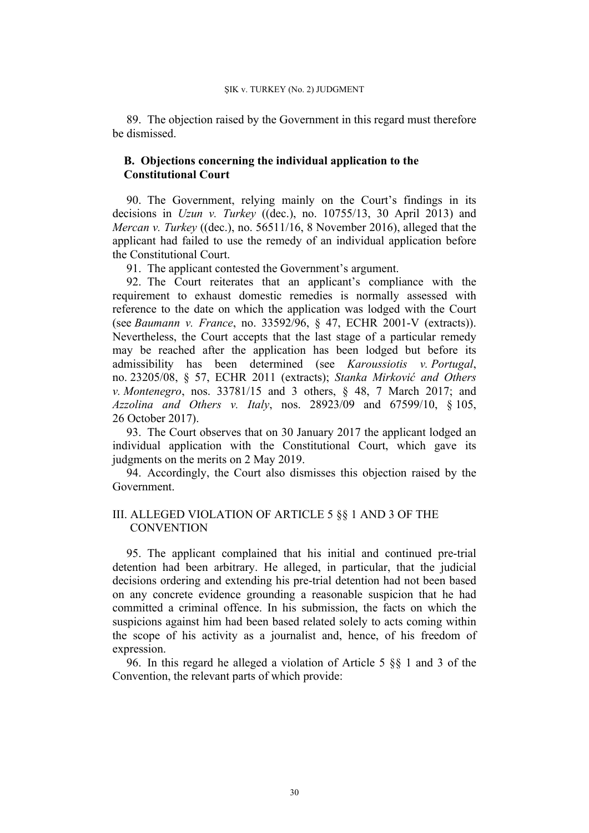89. The objection raised by the Government in this regard must therefore be dismissed.

# **B. Objections concerning the individual application to the Constitutional Court**

90. The Government, relying mainly on the Court's findings in its decisions in *Uzun v. Turkey* ((dec.), no. 10755/13, 30 April 2013) and *Mercan v. Turkey* ((dec.), no. 56511/16, 8 November 2016), alleged that the applicant had failed to use the remedy of an individual application before the Constitutional Court.

91. The applicant contested the Government's argument.

92. The Court reiterates that an applicant's compliance with the requirement to exhaust domestic remedies is normally assessed with reference to the date on which the application was lodged with the Court (see *Baumann v. France*, no. 33592/96, § 47, ECHR 2001-V (extracts)). Nevertheless, the Court accepts that the last stage of a particular remedy may be reached after the application has been lodged but before its admissibility has been determined (see *Karoussiotis v. Portugal*, no. 23205/08, § 57, ECHR 2011 (extracts); *Stanka Mirković and Others v. Montenegro*, nos. 33781/15 and 3 others, § 48, 7 March 2017; and *Azzolina and Others v. Italy*, nos. 28923/09 and 67599/10, § 105, 26 October 2017).

93. The Court observes that on 30 January 2017 the applicant lodged an individual application with the Constitutional Court, which gave its judgments on the merits on 2 May 2019.

94. Accordingly, the Court also dismisses this objection raised by the Government.

# III. ALLEGED VIOLATION OF ARTICLE 5 §§ 1 AND 3 OF THE **CONVENTION**

95. The applicant complained that his initial and continued pre-trial detention had been arbitrary. He alleged, in particular, that the judicial decisions ordering and extending his pre-trial detention had not been based on any concrete evidence grounding a reasonable suspicion that he had committed a criminal offence. In his submission, the facts on which the suspicions against him had been based related solely to acts coming within the scope of his activity as a journalist and, hence, of his freedom of expression.

96. In this regard he alleged a violation of Article 5 §§ 1 and 3 of the Convention, the relevant parts of which provide: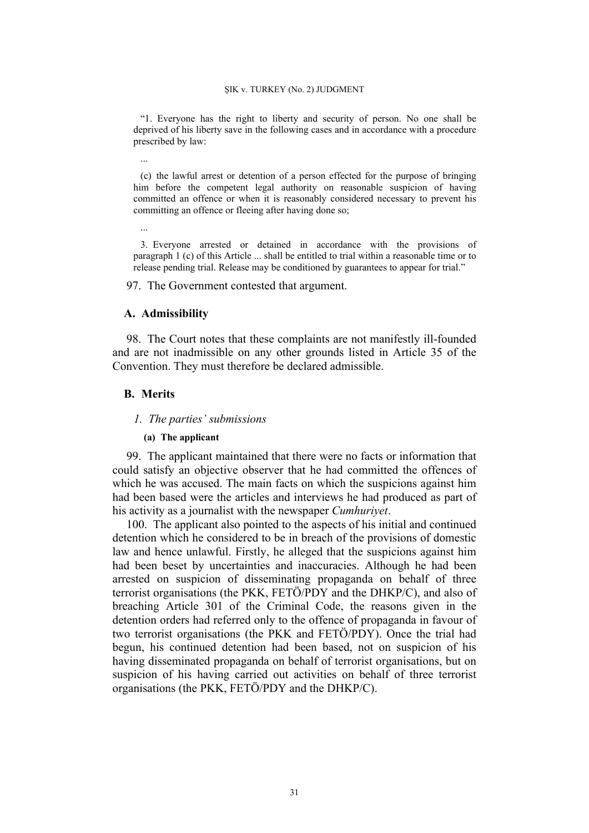"1. Everyone has the right to liberty and security of person. No one shall be deprived of his liberty save in the following cases and in accordance with a procedure prescribed by law:

(c) the lawful arrest or detention of a person effected for the purpose of bringing him before the competent legal authority on reasonable suspicion of having committed an offence or when it is reasonably considered necessary to prevent his committing an offence or fleeing after having done so;

3. Everyone arrested or detained in accordance with the provisions of paragraph 1 (c) of this Article ... shall be entitled to trial within a reasonable time or to release pending trial. Release may be conditioned by guarantees to appear for trial."

97. The Government contested that argument.

### **A. Admissibility**

98. The Court notes that these complaints are not manifestly ill-founded and are not inadmissible on any other grounds listed in Article 35 of the Convention. They must therefore be declared admissible.

## **B. Merits**

...

...

#### *1. The parties' submissions*

### **(a) The applicant**

99. The applicant maintained that there were no facts or information that could satisfy an objective observer that he had committed the offences of which he was accused. The main facts on which the suspicions against him had been based were the articles and interviews he had produced as part of his activity as a journalist with the newspaper *Cumhuriyet*.

100. The applicant also pointed to the aspects of his initial and continued detention which he considered to be in breach of the provisions of domestic law and hence unlawful. Firstly, he alleged that the suspicions against him had been beset by uncertainties and inaccuracies. Although he had been arrested on suspicion of disseminating propaganda on behalf of three terrorist organisations (the PKK, FETÖ/PDY and the DHKP/C), and also of breaching Article 301 of the Criminal Code, the reasons given in the detention orders had referred only to the offence of propaganda in favour of two terrorist organisations (the PKK and FETÖ/PDY). Once the trial had begun, his continued detention had been based, not on suspicion of his having disseminated propaganda on behalf of terrorist organisations, but on suspicion of his having carried out activities on behalf of three terrorist organisations (the PKK, FETÖ/PDY and the DHKP/C).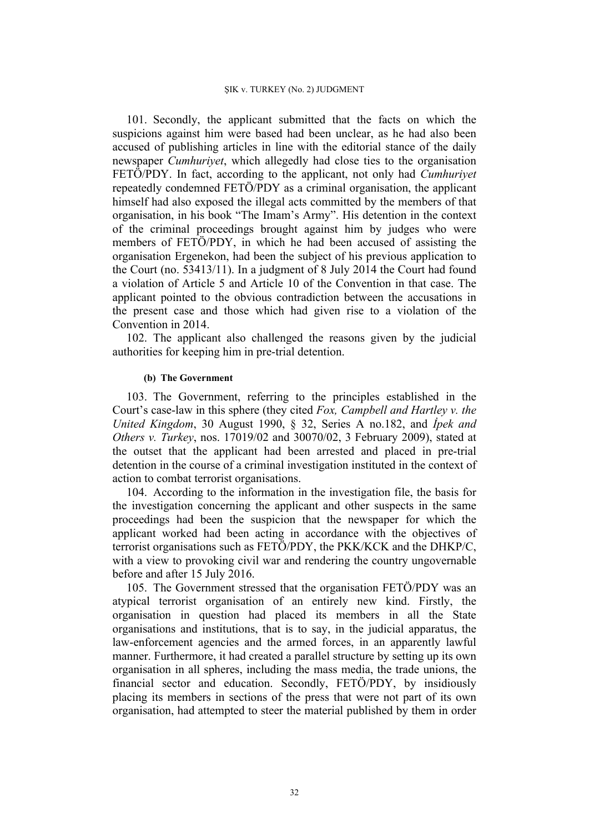101. Secondly, the applicant submitted that the facts on which the suspicions against him were based had been unclear, as he had also been accused of publishing articles in line with the editorial stance of the daily newspaper *Cumhuriyet*, which allegedly had close ties to the organisation FETÖ/PDY. In fact, according to the applicant, not only had *Cumhuriyet* repeatedly condemned FETÖ/PDY as a criminal organisation, the applicant himself had also exposed the illegal acts committed by the members of that organisation, in his book "The Imam's Army". His detention in the context of the criminal proceedings brought against him by judges who were members of FETÖ/PDY, in which he had been accused of assisting the organisation Ergenekon, had been the subject of his previous application to the Court (no. 53413/11). In a judgment of 8 July 2014 the Court had found a violation of Article 5 and Article 10 of the Convention in that case. The applicant pointed to the obvious contradiction between the accusations in the present case and those which had given rise to a violation of the Convention in 2014.

102. The applicant also challenged the reasons given by the judicial authorities for keeping him in pre-trial detention.

### **(b) The Government**

103. The Government, referring to the principles established in the Court's case-law in this sphere (they cited *Fox, Campbell and Hartley v. the United Kingdom*, 30 August 1990, § 32, Series A no.182, and *İpek and Others v. Turkey*, nos. 17019/02 and 30070/02, 3 February 2009), stated at the outset that the applicant had been arrested and placed in pre-trial detention in the course of a criminal investigation instituted in the context of action to combat terrorist organisations.

104. According to the information in the investigation file, the basis for the investigation concerning the applicant and other suspects in the same proceedings had been the suspicion that the newspaper for which the applicant worked had been acting in accordance with the objectives of terrorist organisations such as FETÖ/PDY, the PKK/KCK and the DHKP/C, with a view to provoking civil war and rendering the country ungovernable before and after 15 July 2016.

105. The Government stressed that the organisation FETÖ/PDY was an atypical terrorist organisation of an entirely new kind. Firstly, the organisation in question had placed its members in all the State organisations and institutions, that is to say, in the judicial apparatus, the law-enforcement agencies and the armed forces, in an apparently lawful manner. Furthermore, it had created a parallel structure by setting up its own organisation in all spheres, including the mass media, the trade unions, the financial sector and education. Secondly, FETÖ/PDY, by insidiously placing its members in sections of the press that were not part of its own organisation, had attempted to steer the material published by them in order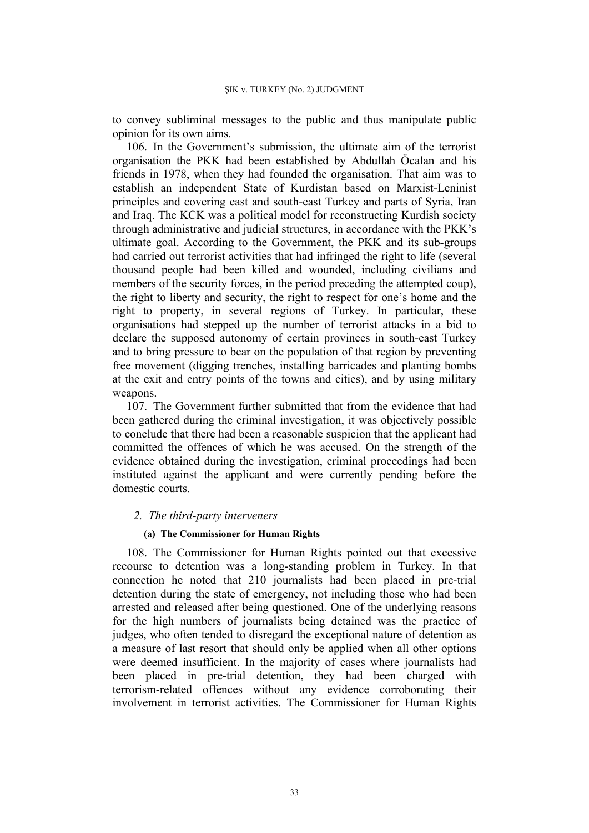to convey subliminal messages to the public and thus manipulate public opinion for its own aims.

106. In the Government's submission, the ultimate aim of the terrorist organisation the PKK had been established by Abdullah Öcalan and his friends in 1978, when they had founded the organisation. That aim was to establish an independent State of Kurdistan based on Marxist-Leninist principles and covering east and south-east Turkey and parts of Syria, Iran and Iraq. The KCK was a political model for reconstructing Kurdish society through administrative and judicial structures, in accordance with the PKK's ultimate goal. According to the Government, the PKK and its sub-groups had carried out terrorist activities that had infringed the right to life (several thousand people had been killed and wounded, including civilians and members of the security forces, in the period preceding the attempted coup), the right to liberty and security, the right to respect for one's home and the right to property, in several regions of Turkey. In particular, these organisations had stepped up the number of terrorist attacks in a bid to declare the supposed autonomy of certain provinces in south-east Turkey and to bring pressure to bear on the population of that region by preventing free movement (digging trenches, installing barricades and planting bombs at the exit and entry points of the towns and cities), and by using military weapons.

107. The Government further submitted that from the evidence that had been gathered during the criminal investigation, it was objectively possible to conclude that there had been a reasonable suspicion that the applicant had committed the offences of which he was accused. On the strength of the evidence obtained during the investigation, criminal proceedings had been instituted against the applicant and were currently pending before the domestic courts.

### *2. The third-party interveners*

## **(a) The Commissioner for Human Rights**

108. The Commissioner for Human Rights pointed out that excessive recourse to detention was a long-standing problem in Turkey. In that connection he noted that 210 journalists had been placed in pre-trial detention during the state of emergency, not including those who had been arrested and released after being questioned. One of the underlying reasons for the high numbers of journalists being detained was the practice of judges, who often tended to disregard the exceptional nature of detention as a measure of last resort that should only be applied when all other options were deemed insufficient. In the majority of cases where journalists had been placed in pre-trial detention, they had been charged with terrorism-related offences without any evidence corroborating their involvement in terrorist activities. The Commissioner for Human Rights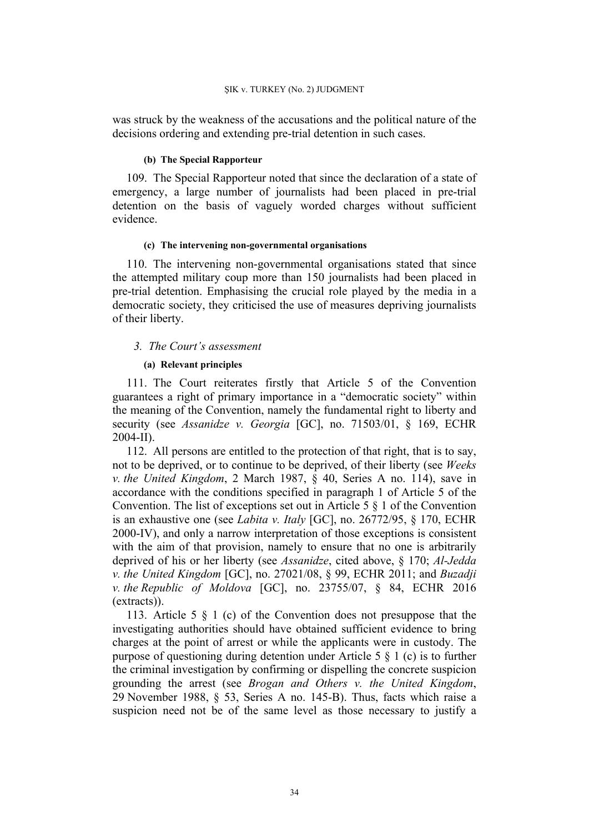was struck by the weakness of the accusations and the political nature of the decisions ordering and extending pre-trial detention in such cases.

#### **(b) The Special Rapporteur**

109. The Special Rapporteur noted that since the declaration of a state of emergency, a large number of journalists had been placed in pre-trial detention on the basis of vaguely worded charges without sufficient evidence.

#### **(c) The intervening non-governmental organisations**

110. The intervening non-governmental organisations stated that since the attempted military coup more than 150 journalists had been placed in pre-trial detention. Emphasising the crucial role played by the media in a democratic society, they criticised the use of measures depriving journalists of their liberty.

### *3. The Court's assessment*

### **(a) Relevant principles**

111. The Court reiterates firstly that Article 5 of the Convention guarantees a right of primary importance in a "democratic society" within the meaning of the Convention, namely the fundamental right to liberty and security (see *Assanidze v. Georgia* [GC], no. 71503/01, § 169, ECHR 2004-II).

112. All persons are entitled to the protection of that right, that is to say, not to be deprived, or to continue to be deprived, of their liberty (see *Weeks v. the United Kingdom*, 2 March 1987, § 40, Series A no. 114), save in accordance with the conditions specified in paragraph 1 of Article 5 of the Convention. The list of exceptions set out in Article 5 § 1 of the Convention is an exhaustive one (see *Labita v. Italy* [GC], no. 26772/95, § 170, ECHR 2000-IV), and only a narrow interpretation of those exceptions is consistent with the aim of that provision, namely to ensure that no one is arbitrarily deprived of his or her liberty (see *Assanidze*, cited above, § 170; *Al-Jedda v. the United Kingdom* [GC], no. 27021/08, § 99, ECHR 2011; and *Buzadji v. the Republic of Moldova* [GC], no. 23755/07, § 84, ECHR 2016 (extracts)).

113. Article 5 § 1 (c) of the Convention does not presuppose that the investigating authorities should have obtained sufficient evidence to bring charges at the point of arrest or while the applicants were in custody. The purpose of questioning during detention under Article 5 § 1 (c) is to further the criminal investigation by confirming or dispelling the concrete suspicion grounding the arrest (see *Brogan and Others v. the United Kingdom*, 29 November 1988, § 53, Series A no. 145-B). Thus, facts which raise a suspicion need not be of the same level as those necessary to justify a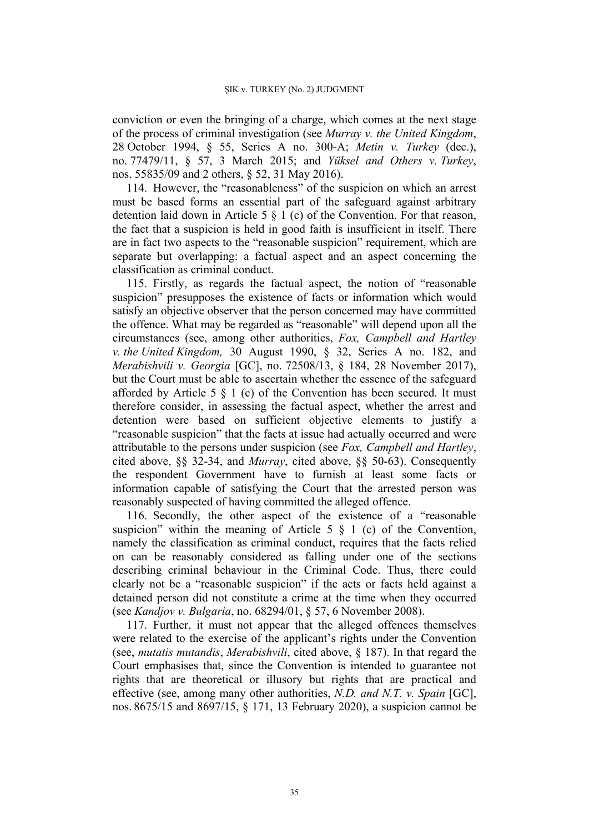conviction or even the bringing of a charge, which comes at the next stage of the process of criminal investigation (see *Murray v. the United Kingdom*, 28 October 1994, § 55, Series A no. 300-A; *Metin v. Turkey* (dec.), no. 77479/11, § 57, 3 March 2015; and *Yüksel and Others v. Turkey*, nos. 55835/09 and 2 others, § 52, 31 May 2016).

114. However, the "reasonableness" of the suspicion on which an arrest must be based forms an essential part of the safeguard against arbitrary detention laid down in Article 5 § 1 (c) of the Convention. For that reason, the fact that a suspicion is held in good faith is insufficient in itself. There are in fact two aspects to the "reasonable suspicion" requirement, which are separate but overlapping: a factual aspect and an aspect concerning the classification as criminal conduct.

115. Firstly, as regards the factual aspect, the notion of "reasonable suspicion" presupposes the existence of facts or information which would satisfy an objective observer that the person concerned may have committed the offence. What may be regarded as "reasonable" will depend upon all the circumstances (see, among other authorities, *Fox, Campbell and Hartley v. the United Kingdom,* 30 August 1990, § 32, Series A no. 182, and *Merabishvili v. Georgia* [GC], no. 72508/13, § 184, 28 November 2017), but the Court must be able to ascertain whether the essence of the safeguard afforded by Article 5  $\S$  1 (c) of the Convention has been secured. It must therefore consider, in assessing the factual aspect, whether the arrest and detention were based on sufficient objective elements to justify a "reasonable suspicion" that the facts at issue had actually occurred and were attributable to the persons under suspicion (see *Fox, Campbell and Hartley*, cited above, §§ 32-34, and *Murray*, cited above, §§ 50-63). Consequently the respondent Government have to furnish at least some facts or information capable of satisfying the Court that the arrested person was reasonably suspected of having committed the alleged offence.

116. Secondly, the other aspect of the existence of a "reasonable suspicion" within the meaning of Article  $5 \t S 1$  (c) of the Convention, namely the classification as criminal conduct, requires that the facts relied on can be reasonably considered as falling under one of the sections describing criminal behaviour in the Criminal Code. Thus, there could clearly not be a "reasonable suspicion" if the acts or facts held against a detained person did not constitute a crime at the time when they occurred (see *Kandjov v. Bulgaria*, no. 68294/01, § 57, 6 November 2008).

117. Further, it must not appear that the alleged offences themselves were related to the exercise of the applicant's rights under the Convention (see, *mutatis mutandis*, *Merabishvili*, cited above, § 187). In that regard the Court emphasises that, since the Convention is intended to guarantee not rights that are theoretical or illusory but rights that are practical and effective (see, among many other authorities, *N.D. and N.T. v. Spain* [GC], nos. 8675/15 and 8697/15, § 171, 13 February 2020), a suspicion cannot be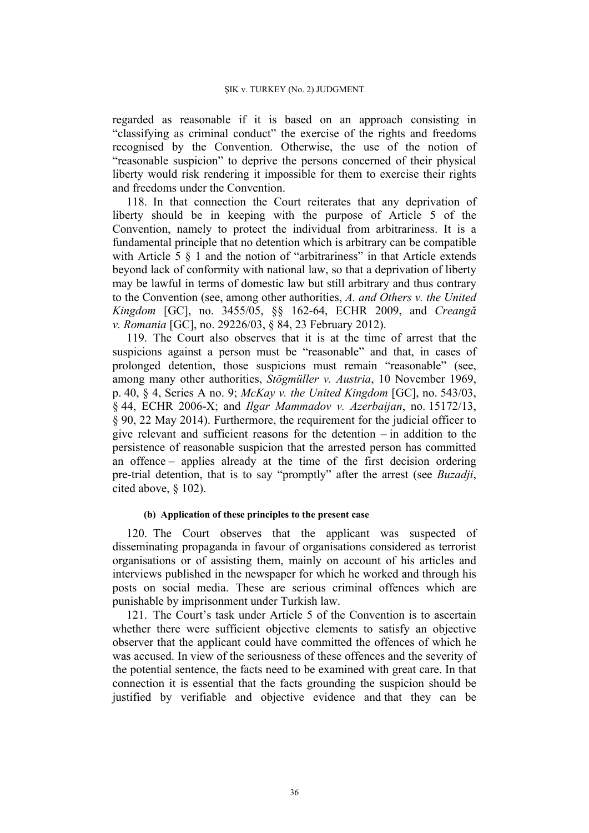regarded as reasonable if it is based on an approach consisting in "classifying as criminal conduct" the exercise of the rights and freedoms recognised by the Convention. Otherwise, the use of the notion of "reasonable suspicion" to deprive the persons concerned of their physical liberty would risk rendering it impossible for them to exercise their rights and freedoms under the Convention.

118. In that connection the Court reiterates that any deprivation of liberty should be in keeping with the purpose of Article 5 of the Convention, namely to protect the individual from arbitrariness. It is a fundamental principle that no detention which is arbitrary can be compatible with Article 5  $\S$  1 and the notion of "arbitrariness" in that Article extends beyond lack of conformity with national law, so that a deprivation of liberty may be lawful in terms of domestic law but still arbitrary and thus contrary to the Convention (see, among other authorities, *A. and Others v. the United Kingdom* [GC], no. 3455/05, §§ 162-64, ECHR 2009, and *Creangă v. Romania* [GC], no. 29226/03, § 84, 23 February 2012).

119. The Court also observes that it is at the time of arrest that the suspicions against a person must be "reasonable" and that, in cases of prolonged detention, those suspicions must remain "reasonable" (see, among many other authorities, *Stögmüller v. Austria*, 10 November 1969, p. 40, § 4, Series A no. 9; *McKay v. the United Kingdom* [GC], no. 543/03, § 44, ECHR 2006-X; and *Ilgar Mammadov v. Azerbaijan*, no. 15172/13, § 90, 22 May 2014). Furthermore, the requirement for the judicial officer to give relevant and sufficient reasons for the detention – in addition to the persistence of reasonable suspicion that the arrested person has committed an offence – applies already at the time of the first decision ordering pre-trial detention, that is to say "promptly" after the arrest (see *Buzadji*, cited above, § 102).

## **(b) Application of these principles to the present case**

120. The Court observes that the applicant was suspected of disseminating propaganda in favour of organisations considered as terrorist organisations or of assisting them, mainly on account of his articles and interviews published in the newspaper for which he worked and through his posts on social media. These are serious criminal offences which are punishable by imprisonment under Turkish law.

121. The Court's task under Article 5 of the Convention is to ascertain whether there were sufficient objective elements to satisfy an objective observer that the applicant could have committed the offences of which he was accused. In view of the seriousness of these offences and the severity of the potential sentence, the facts need to be examined with great care. In that connection it is essential that the facts grounding the suspicion should be justified by verifiable and objective evidence and that they can be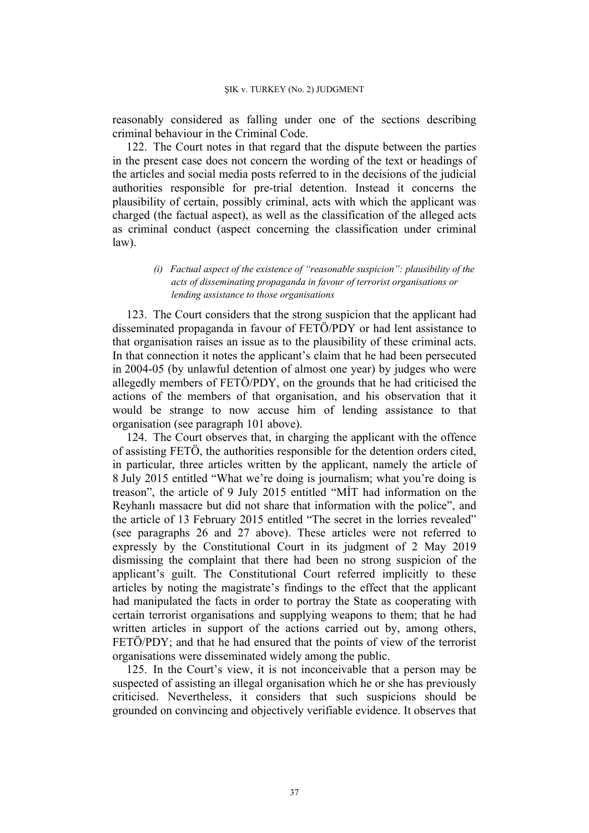reasonably considered as falling under one of the sections describing criminal behaviour in the Criminal Code.

122. The Court notes in that regard that the dispute between the parties in the present case does not concern the wording of the text or headings of the articles and social media posts referred to in the decisions of the judicial authorities responsible for pre-trial detention. Instead it concerns the plausibility of certain, possibly criminal, acts with which the applicant was charged (the factual aspect), as well as the classification of the alleged acts as criminal conduct (aspect concerning the classification under criminal law).

> *(i) Factual aspect of the existence of "reasonable suspicion": plausibility of the acts of disseminating propaganda in favour of terrorist organisations or lending assistance to those organisations*

123. The Court considers that the strong suspicion that the applicant had disseminated propaganda in favour of FETÖ/PDY or had lent assistance to that organisation raises an issue as to the plausibility of these criminal acts. In that connection it notes the applicant's claim that he had been persecuted in 2004-05 (by unlawful detention of almost one year) by judges who were allegedly members of FETÖ/PDY, on the grounds that he had criticised the actions of the members of that organisation, and his observation that it would be strange to now accuse him of lending assistance to that organisation (see paragraph 101 above).

124. The Court observes that, in charging the applicant with the offence of assisting FETÖ, the authorities responsible for the detention orders cited, in particular, three articles written by the applicant, namely the article of 8 July 2015 entitled "What we're doing is journalism; what you're doing is treason", the article of 9 July 2015 entitled "MİT had information on the Reyhanlı massacre but did not share that information with the police", and the article of 13 February 2015 entitled "The secret in the lorries revealed" (see paragraphs 26 and 27 above). These articles were not referred to expressly by the Constitutional Court in its judgment of 2 May 2019 dismissing the complaint that there had been no strong suspicion of the applicant's guilt. The Constitutional Court referred implicitly to these articles by noting the magistrate's findings to the effect that the applicant had manipulated the facts in order to portray the State as cooperating with certain terrorist organisations and supplying weapons to them; that he had written articles in support of the actions carried out by, among others, FETÖ/PDY; and that he had ensured that the points of view of the terrorist organisations were disseminated widely among the public.

125. In the Court's view, it is not inconceivable that a person may be suspected of assisting an illegal organisation which he or she has previously criticised. Nevertheless, it considers that such suspicions should be grounded on convincing and objectively verifiable evidence. It observes that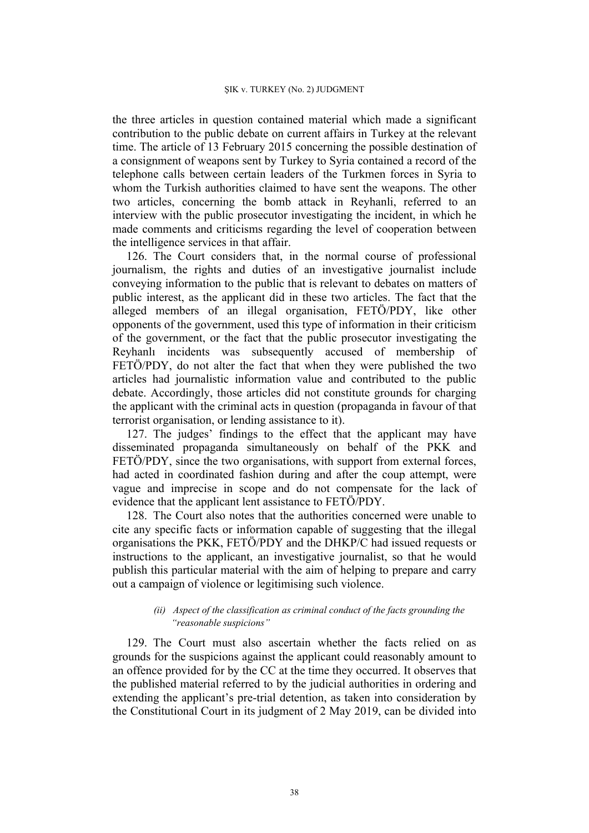the three articles in question contained material which made a significant contribution to the public debate on current affairs in Turkey at the relevant time. The article of 13 February 2015 concerning the possible destination of a consignment of weapons sent by Turkey to Syria contained a record of the telephone calls between certain leaders of the Turkmen forces in Syria to whom the Turkish authorities claimed to have sent the weapons. The other two articles, concerning the bomb attack in Reyhanli, referred to an interview with the public prosecutor investigating the incident, in which he made comments and criticisms regarding the level of cooperation between the intelligence services in that affair.

126. The Court considers that, in the normal course of professional journalism, the rights and duties of an investigative journalist include conveying information to the public that is relevant to debates on matters of public interest, as the applicant did in these two articles. The fact that the alleged members of an illegal organisation, FETÖ/PDY, like other opponents of the government, used this type of information in their criticism of the government, or the fact that the public prosecutor investigating the Reyhanlı incidents was subsequently accused of membership of FETÖ/PDY, do not alter the fact that when they were published the two articles had journalistic information value and contributed to the public debate. Accordingly, those articles did not constitute grounds for charging the applicant with the criminal acts in question (propaganda in favour of that terrorist organisation, or lending assistance to it).

127. The judges' findings to the effect that the applicant may have disseminated propaganda simultaneously on behalf of the PKK and FETÖ/PDY, since the two organisations, with support from external forces, had acted in coordinated fashion during and after the coup attempt, were vague and imprecise in scope and do not compensate for the lack of evidence that the applicant lent assistance to FETÖ/PDY.

128. The Court also notes that the authorities concerned were unable to cite any specific facts or information capable of suggesting that the illegal organisations the PKK, FETÖ/PDY and the DHKP/C had issued requests or instructions to the applicant, an investigative journalist, so that he would publish this particular material with the aim of helping to prepare and carry out a campaign of violence or legitimising such violence.

### *(ii) Aspect of the classification as criminal conduct of the facts grounding the "reasonable suspicions"*

129. The Court must also ascertain whether the facts relied on as grounds for the suspicions against the applicant could reasonably amount to an offence provided for by the CC at the time they occurred. It observes that the published material referred to by the judicial authorities in ordering and extending the applicant's pre-trial detention, as taken into consideration by the Constitutional Court in its judgment of 2 May 2019, can be divided into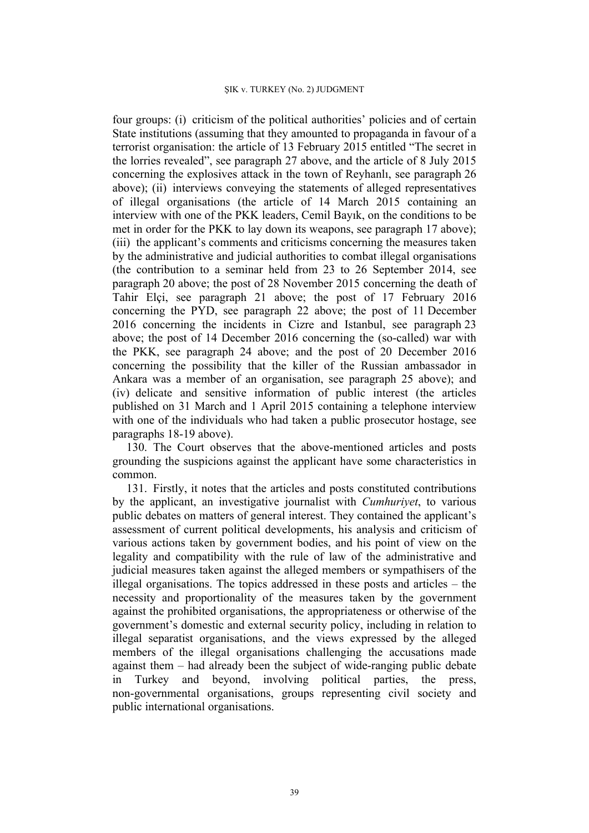four groups: (i) criticism of the political authorities' policies and of certain State institutions (assuming that they amounted to propaganda in favour of a terrorist organisation: the article of 13 February 2015 entitled "The secret in the lorries revealed", see paragraph 27 above, and the article of 8 July 2015 concerning the explosives attack in the town of Reyhanlı, see paragraph 26 above); (ii) interviews conveying the statements of alleged representatives of illegal organisations (the article of 14 March 2015 containing an interview with one of the PKK leaders, Cemil Bayık, on the conditions to be met in order for the PKK to lay down its weapons, see paragraph 17 above); (iii) the applicant's comments and criticisms concerning the measures taken by the administrative and judicial authorities to combat illegal organisations (the contribution to a seminar held from 23 to 26 September 2014, see paragraph 20 above; the post of 28 November 2015 concerning the death of Tahir Elçi, see paragraph 21 above; the post of 17 February 2016 concerning the PYD, see paragraph 22 above; the post of 11 December 2016 concerning the incidents in Cizre and Istanbul, see paragraph 23 above; the post of 14 December 2016 concerning the (so-called) war with the PKK, see paragraph 24 above; and the post of 20 December 2016 concerning the possibility that the killer of the Russian ambassador in Ankara was a member of an organisation, see paragraph 25 above); and (iv) delicate and sensitive information of public interest (the articles published on 31 March and 1 April 2015 containing a telephone interview with one of the individuals who had taken a public prosecutor hostage, see paragraphs 18-19 above).

130. The Court observes that the above-mentioned articles and posts grounding the suspicions against the applicant have some characteristics in common.

131. Firstly, it notes that the articles and posts constituted contributions by the applicant, an investigative journalist with *Cumhuriyet*, to various public debates on matters of general interest. They contained the applicant's assessment of current political developments, his analysis and criticism of various actions taken by government bodies, and his point of view on the legality and compatibility with the rule of law of the administrative and judicial measures taken against the alleged members or sympathisers of the illegal organisations. The topics addressed in these posts and articles – the necessity and proportionality of the measures taken by the government against the prohibited organisations, the appropriateness or otherwise of the government's domestic and external security policy, including in relation to illegal separatist organisations, and the views expressed by the alleged members of the illegal organisations challenging the accusations made against them – had already been the subject of wide-ranging public debate in Turkey and beyond, involving political parties, the press, non-governmental organisations, groups representing civil society and public international organisations.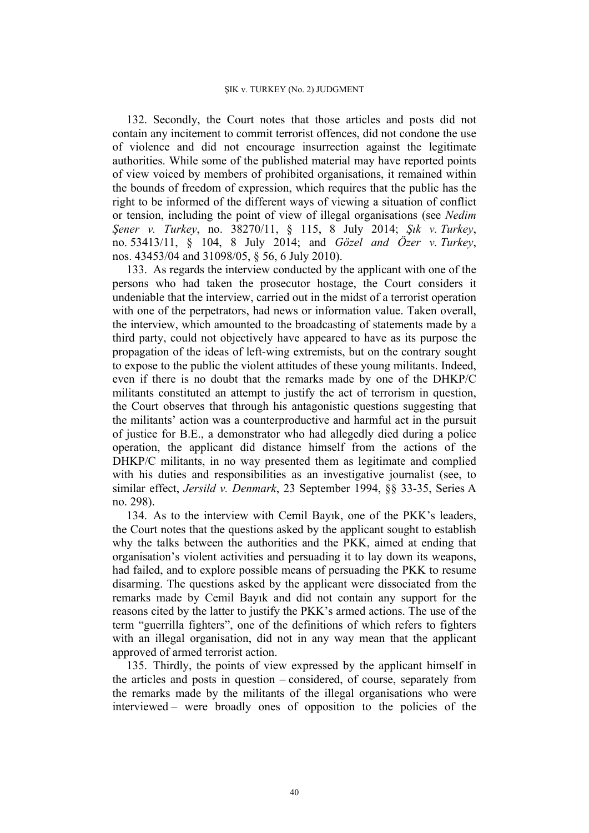132. Secondly, the Court notes that those articles and posts did not contain any incitement to commit terrorist offences, did not condone the use of violence and did not encourage insurrection against the legitimate authorities. While some of the published material may have reported points of view voiced by members of prohibited organisations, it remained within the bounds of freedom of expression, which requires that the public has the right to be informed of the different ways of viewing a situation of conflict or tension, including the point of view of illegal organisations (see *Nedim Şener v. Turkey*, no. 38270/11, § 115, 8 July 2014; *Şık v. Turkey*, no. 53413/11, § 104, 8 July 2014; and *Gözel and Özer v. Turkey*, nos. 43453/04 and 31098/05, § 56, 6 July 2010).

133. As regards the interview conducted by the applicant with one of the persons who had taken the prosecutor hostage, the Court considers it undeniable that the interview, carried out in the midst of a terrorist operation with one of the perpetrators, had news or information value. Taken overall, the interview, which amounted to the broadcasting of statements made by a third party, could not objectively have appeared to have as its purpose the propagation of the ideas of left-wing extremists, but on the contrary sought to expose to the public the violent attitudes of these young militants. Indeed, even if there is no doubt that the remarks made by one of the DHKP/C militants constituted an attempt to justify the act of terrorism in question, the Court observes that through his antagonistic questions suggesting that the militants' action was a counterproductive and harmful act in the pursuit of justice for B.E., a demonstrator who had allegedly died during a police operation, the applicant did distance himself from the actions of the DHKP/C militants, in no way presented them as legitimate and complied with his duties and responsibilities as an investigative journalist (see, to similar effect, *Jersild v. Denmark*, 23 September 1994, §§ 33-35, Series A no. 298).

134. As to the interview with Cemil Bayık, one of the PKK's leaders, the Court notes that the questions asked by the applicant sought to establish why the talks between the authorities and the PKK, aimed at ending that organisation's violent activities and persuading it to lay down its weapons, had failed, and to explore possible means of persuading the PKK to resume disarming. The questions asked by the applicant were dissociated from the remarks made by Cemil Bayık and did not contain any support for the reasons cited by the latter to justify the PKK's armed actions. The use of the term "guerrilla fighters", one of the definitions of which refers to fighters with an illegal organisation, did not in any way mean that the applicant approved of armed terrorist action.

135. Thirdly, the points of view expressed by the applicant himself in the articles and posts in question – considered, of course, separately from the remarks made by the militants of the illegal organisations who were interviewed – were broadly ones of opposition to the policies of the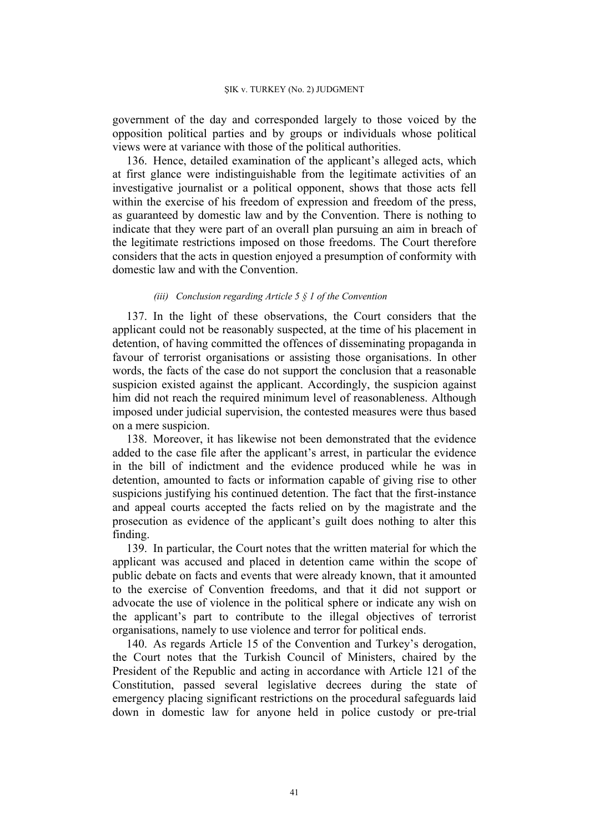government of the day and corresponded largely to those voiced by the opposition political parties and by groups or individuals whose political views were at variance with those of the political authorities.

136. Hence, detailed examination of the applicant's alleged acts, which at first glance were indistinguishable from the legitimate activities of an investigative journalist or a political opponent, shows that those acts fell within the exercise of his freedom of expression and freedom of the press, as guaranteed by domestic law and by the Convention. There is nothing to indicate that they were part of an overall plan pursuing an aim in breach of the legitimate restrictions imposed on those freedoms. The Court therefore considers that the acts in question enjoyed a presumption of conformity with domestic law and with the Convention.

#### *(iii) Conclusion regarding Article 5 § 1 of the Convention*

137. In the light of these observations, the Court considers that the applicant could not be reasonably suspected, at the time of his placement in detention, of having committed the offences of disseminating propaganda in favour of terrorist organisations or assisting those organisations. In other words, the facts of the case do not support the conclusion that a reasonable suspicion existed against the applicant. Accordingly, the suspicion against him did not reach the required minimum level of reasonableness. Although imposed under judicial supervision, the contested measures were thus based on a mere suspicion.

138. Moreover, it has likewise not been demonstrated that the evidence added to the case file after the applicant's arrest, in particular the evidence in the bill of indictment and the evidence produced while he was in detention, amounted to facts or information capable of giving rise to other suspicions justifying his continued detention. The fact that the first-instance and appeal courts accepted the facts relied on by the magistrate and the prosecution as evidence of the applicant's guilt does nothing to alter this finding.

139. In particular, the Court notes that the written material for which the applicant was accused and placed in detention came within the scope of public debate on facts and events that were already known, that it amounted to the exercise of Convention freedoms, and that it did not support or advocate the use of violence in the political sphere or indicate any wish on the applicant's part to contribute to the illegal objectives of terrorist organisations, namely to use violence and terror for political ends.

140. As regards Article 15 of the Convention and Turkey's derogation, the Court notes that the Turkish Council of Ministers, chaired by the President of the Republic and acting in accordance with Article 121 of the Constitution, passed several legislative decrees during the state of emergency placing significant restrictions on the procedural safeguards laid down in domestic law for anyone held in police custody or pre-trial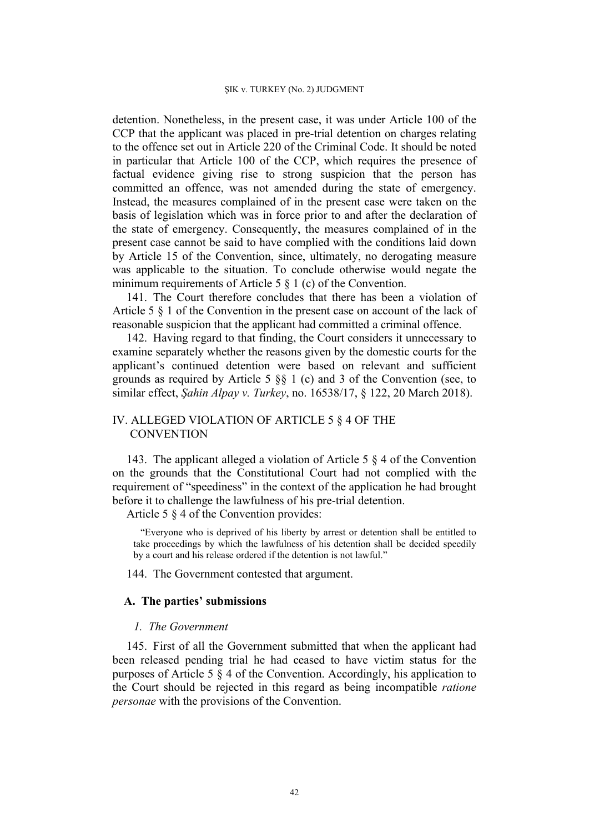detention. Nonetheless, in the present case, it was under Article 100 of the CCP that the applicant was placed in pre-trial detention on charges relating to the offence set out in Article 220 of the Criminal Code. It should be noted in particular that Article 100 of the CCP, which requires the presence of factual evidence giving rise to strong suspicion that the person has committed an offence, was not amended during the state of emergency. Instead, the measures complained of in the present case were taken on the basis of legislation which was in force prior to and after the declaration of the state of emergency. Consequently, the measures complained of in the present case cannot be said to have complied with the conditions laid down by Article 15 of the Convention, since, ultimately, no derogating measure was applicable to the situation. To conclude otherwise would negate the minimum requirements of Article 5 § 1 (c) of the Convention.

141. The Court therefore concludes that there has been a violation of Article 5 § 1 of the Convention in the present case on account of the lack of reasonable suspicion that the applicant had committed a criminal offence.

142. Having regard to that finding, the Court considers it unnecessary to examine separately whether the reasons given by the domestic courts for the applicant's continued detention were based on relevant and sufficient grounds as required by Article 5 §§ 1 (c) and 3 of the Convention (see, to similar effect, *Şahin Alpay v. Turkey*, no. 16538/17, § 122, 20 March 2018).

# IV. ALLEGED VIOLATION OF ARTICLE 5 § 4 OF THE **CONVENTION**

143. The applicant alleged a violation of Article 5 § 4 of the Convention on the grounds that the Constitutional Court had not complied with the requirement of "speediness" in the context of the application he had brought before it to challenge the lawfulness of his pre-trial detention.

Article 5 § 4 of the Convention provides:

"Everyone who is deprived of his liberty by arrest or detention shall be entitled to take proceedings by which the lawfulness of his detention shall be decided speedily by a court and his release ordered if the detention is not lawful."

144. The Government contested that argument.

## **A. The parties' submissions**

## *1. The Government*

145. First of all the Government submitted that when the applicant had been released pending trial he had ceased to have victim status for the purposes of Article 5 § 4 of the Convention. Accordingly, his application to the Court should be rejected in this regard as being incompatible *ratione personae* with the provisions of the Convention.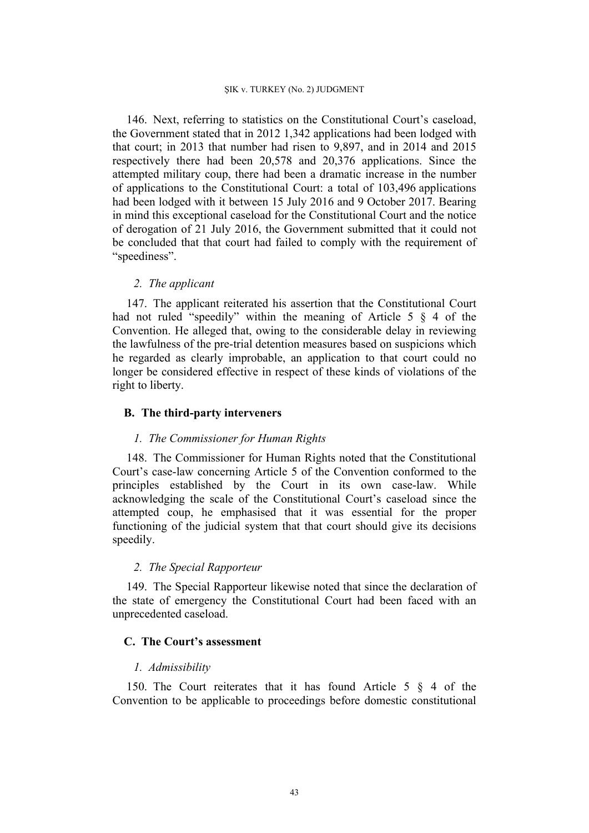146. Next, referring to statistics on the Constitutional Court's caseload, the Government stated that in 2012 1,342 applications had been lodged with that court; in 2013 that number had risen to 9,897, and in 2014 and 2015 respectively there had been 20,578 and 20,376 applications. Since the attempted military coup, there had been a dramatic increase in the number of applications to the Constitutional Court: a total of 103,496 applications had been lodged with it between 15 July 2016 and 9 October 2017. Bearing in mind this exceptional caseload for the Constitutional Court and the notice of derogation of 21 July 2016, the Government submitted that it could not be concluded that that court had failed to comply with the requirement of "speediness".

## *2. The applicant*

147. The applicant reiterated his assertion that the Constitutional Court had not ruled "speedily" within the meaning of Article 5 § 4 of the Convention. He alleged that, owing to the considerable delay in reviewing the lawfulness of the pre-trial detention measures based on suspicions which he regarded as clearly improbable, an application to that court could no longer be considered effective in respect of these kinds of violations of the right to liberty.

## **B. The third-party interveners**

## *1. The Commissioner for Human Rights*

148. The Commissioner for Human Rights noted that the Constitutional Court's case-law concerning Article 5 of the Convention conformed to the principles established by the Court in its own case-law. While acknowledging the scale of the Constitutional Court's caseload since the attempted coup, he emphasised that it was essential for the proper functioning of the judicial system that that court should give its decisions speedily.

# *2. The Special Rapporteur*

149. The Special Rapporteur likewise noted that since the declaration of the state of emergency the Constitutional Court had been faced with an unprecedented caseload.

### **C. The Court's assessment**

### *1. Admissibility*

150. The Court reiterates that it has found Article 5 § 4 of the Convention to be applicable to proceedings before domestic constitutional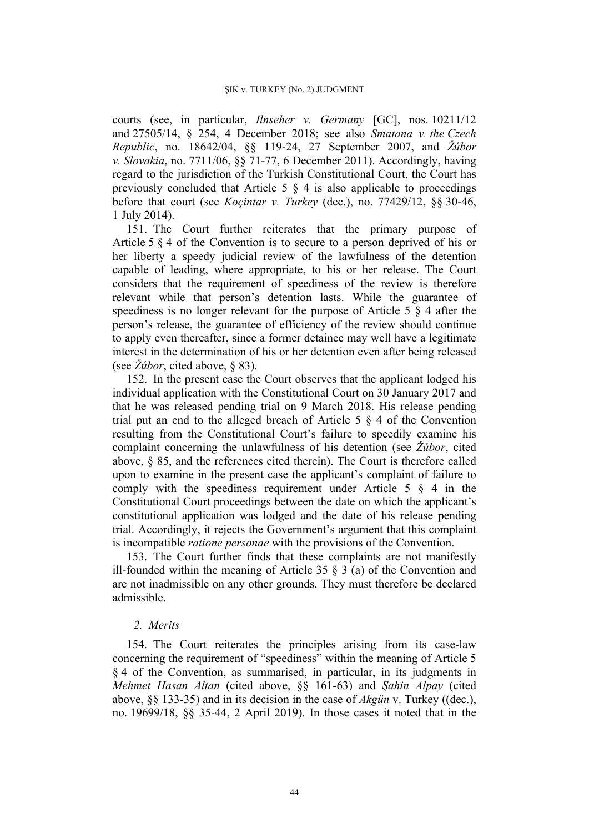courts (see, in particular, *Ilnseher v. Germany* [GC], nos. 10211/12 and 27505/14, § 254, 4 December 2018; see also *Smatana v. the Czech Republic*, no. 18642/04, §§ 119-24, 27 September 2007, and *Žúbor v. Slovakia*, no. 7711/06, §§ 71-77, 6 December 2011). Accordingly, having regard to the jurisdiction of the Turkish Constitutional Court, the Court has previously concluded that Article 5  $\S$  4 is also applicable to proceedings before that court (see *Koçintar v. Turkey* (dec.), no. 77429/12, §§ 30-46, 1 July 2014).

151. The Court further reiterates that the primary purpose of Article 5 § 4 of the Convention is to secure to a person deprived of his or her liberty a speedy judicial review of the lawfulness of the detention capable of leading, where appropriate, to his or her release. The Court considers that the requirement of speediness of the review is therefore relevant while that person's detention lasts. While the guarantee of speediness is no longer relevant for the purpose of Article 5 § 4 after the person's release, the guarantee of efficiency of the review should continue to apply even thereafter, since a former detainee may well have a legitimate interest in the determination of his or her detention even after being released (see *Žúbor*, cited above, § 83).

152. In the present case the Court observes that the applicant lodged his individual application with the Constitutional Court on 30 January 2017 and that he was released pending trial on 9 March 2018. His release pending trial put an end to the alleged breach of Article 5 § 4 of the Convention resulting from the Constitutional Court's failure to speedily examine his complaint concerning the unlawfulness of his detention (see *Žúbor*, cited above, § 85, and the references cited therein). The Court is therefore called upon to examine in the present case the applicant's complaint of failure to comply with the speediness requirement under Article  $5 \& 4$  in the Constitutional Court proceedings between the date on which the applicant's constitutional application was lodged and the date of his release pending trial. Accordingly, it rejects the Government's argument that this complaint is incompatible *ratione personae* with the provisions of the Convention.

153. The Court further finds that these complaints are not manifestly ill-founded within the meaning of Article 35  $\frac{8}{3}$  (a) of the Convention and are not inadmissible on any other grounds. They must therefore be declared admissible.

## *2. Merits*

154. The Court reiterates the principles arising from its case-law concerning the requirement of "speediness" within the meaning of Article 5 § 4 of the Convention, as summarised, in particular, in its judgments in *Mehmet Hasan Altan* (cited above, §§ 161-63) and *Şahin Alpay* (cited above, §§ 133-35) and in its decision in the case of *Akgün* v. Turkey ((dec.), no. 19699/18, §§ 35-44, 2 April 2019). In those cases it noted that in the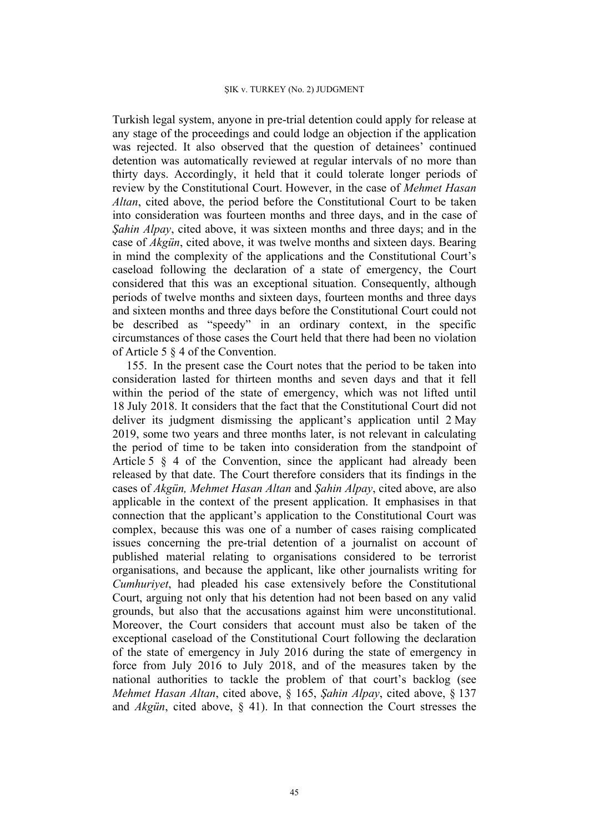Turkish legal system, anyone in pre-trial detention could apply for release at any stage of the proceedings and could lodge an objection if the application was rejected. It also observed that the question of detainees' continued detention was automatically reviewed at regular intervals of no more than thirty days. Accordingly, it held that it could tolerate longer periods of review by the Constitutional Court. However, in the case of *Mehmet Hasan Altan*, cited above, the period before the Constitutional Court to be taken into consideration was fourteen months and three days, and in the case of *Şahin Alpay*, cited above, it was sixteen months and three days; and in the case of *Akgün*, cited above, it was twelve months and sixteen days. Bearing in mind the complexity of the applications and the Constitutional Court's caseload following the declaration of a state of emergency, the Court considered that this was an exceptional situation. Consequently, although periods of twelve months and sixteen days, fourteen months and three days and sixteen months and three days before the Constitutional Court could not be described as "speedy" in an ordinary context, in the specific circumstances of those cases the Court held that there had been no violation of Article 5 § 4 of the Convention.

155. In the present case the Court notes that the period to be taken into consideration lasted for thirteen months and seven days and that it fell within the period of the state of emergency, which was not lifted until 18 July 2018. It considers that the fact that the Constitutional Court did not deliver its judgment dismissing the applicant's application until 2 May 2019, some two years and three months later, is not relevant in calculating the period of time to be taken into consideration from the standpoint of Article 5 § 4 of the Convention, since the applicant had already been released by that date. The Court therefore considers that its findings in the cases of *Akgün, Mehmet Hasan Altan* and *Şahin Alpay*, cited above, are also applicable in the context of the present application. It emphasises in that connection that the applicant's application to the Constitutional Court was complex, because this was one of a number of cases raising complicated issues concerning the pre-trial detention of a journalist on account of published material relating to organisations considered to be terrorist organisations, and because the applicant, like other journalists writing for *Cumhuriyet*, had pleaded his case extensively before the Constitutional Court, arguing not only that his detention had not been based on any valid grounds, but also that the accusations against him were unconstitutional. Moreover, the Court considers that account must also be taken of the exceptional caseload of the Constitutional Court following the declaration of the state of emergency in July 2016 during the state of emergency in force from July 2016 to July 2018, and of the measures taken by the national authorities to tackle the problem of that court's backlog (see *Mehmet Hasan Altan*, cited above, § 165, *Şahin Alpay*, cited above, § 137 and *Akgün*, cited above, § 41). In that connection the Court stresses the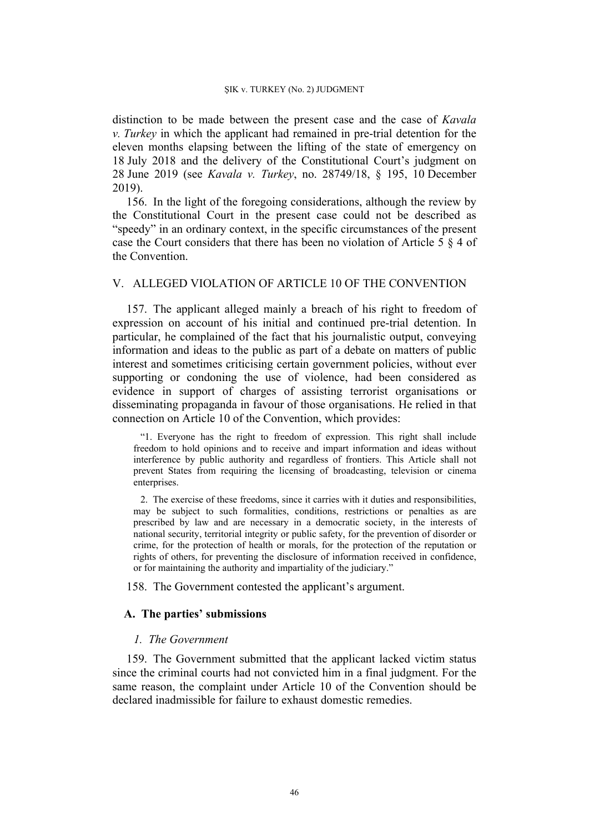distinction to be made between the present case and the case of *Kavala v. Turkey* in which the applicant had remained in pre-trial detention for the eleven months elapsing between the lifting of the state of emergency on 18 July 2018 and the delivery of the Constitutional Court's judgment on 28 June 2019 (see *Kavala v. Turkey*, no. 28749/18, § 195, 10 December 2019).

156. In the light of the foregoing considerations, although the review by the Constitutional Court in the present case could not be described as "speedy" in an ordinary context, in the specific circumstances of the present case the Court considers that there has been no violation of Article 5 § 4 of the Convention.

### V. ALLEGED VIOLATION OF ARTICLE 10 OF THE CONVENTION

157. The applicant alleged mainly a breach of his right to freedom of expression on account of his initial and continued pre-trial detention. In particular, he complained of the fact that his journalistic output, conveying information and ideas to the public as part of a debate on matters of public interest and sometimes criticising certain government policies, without ever supporting or condoning the use of violence, had been considered as evidence in support of charges of assisting terrorist organisations or disseminating propaganda in favour of those organisations. He relied in that connection on Article 10 of the Convention, which provides:

"1. Everyone has the right to freedom of expression. This right shall include freedom to hold opinions and to receive and impart information and ideas without interference by public authority and regardless of frontiers. This Article shall not prevent States from requiring the licensing of broadcasting, television or cinema enterprises.

2. The exercise of these freedoms, since it carries with it duties and responsibilities, may be subject to such formalities, conditions, restrictions or penalties as are prescribed by law and are necessary in a democratic society, in the interests of national security, territorial integrity or public safety, for the prevention of disorder or crime, for the protection of health or morals, for the protection of the reputation or rights of others, for preventing the disclosure of information received in confidence, or for maintaining the authority and impartiality of the judiciary."

158. The Government contested the applicant's argument.

## **A. The parties' submissions**

## *1. The Government*

159. The Government submitted that the applicant lacked victim status since the criminal courts had not convicted him in a final judgment. For the same reason, the complaint under Article 10 of the Convention should be declared inadmissible for failure to exhaust domestic remedies.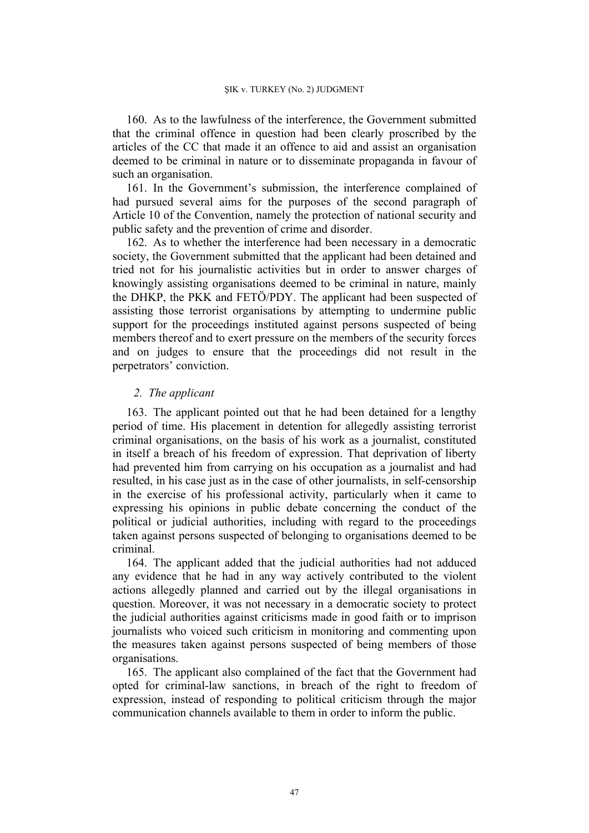160. As to the lawfulness of the interference, the Government submitted that the criminal offence in question had been clearly proscribed by the articles of the CC that made it an offence to aid and assist an organisation deemed to be criminal in nature or to disseminate propaganda in favour of such an organisation.

161. In the Government's submission, the interference complained of had pursued several aims for the purposes of the second paragraph of Article 10 of the Convention, namely the protection of national security and public safety and the prevention of crime and disorder.

162. As to whether the interference had been necessary in a democratic society, the Government submitted that the applicant had been detained and tried not for his journalistic activities but in order to answer charges of knowingly assisting organisations deemed to be criminal in nature, mainly the DHKP, the PKK and FETÖ/PDY. The applicant had been suspected of assisting those terrorist organisations by attempting to undermine public support for the proceedings instituted against persons suspected of being members thereof and to exert pressure on the members of the security forces and on judges to ensure that the proceedings did not result in the perpetrators' conviction.

### *2. The applicant*

163. The applicant pointed out that he had been detained for a lengthy period of time. His placement in detention for allegedly assisting terrorist criminal organisations, on the basis of his work as a journalist, constituted in itself a breach of his freedom of expression. That deprivation of liberty had prevented him from carrying on his occupation as a journalist and had resulted, in his case just as in the case of other journalists, in self-censorship in the exercise of his professional activity, particularly when it came to expressing his opinions in public debate concerning the conduct of the political or judicial authorities, including with regard to the proceedings taken against persons suspected of belonging to organisations deemed to be criminal.

164. The applicant added that the judicial authorities had not adduced any evidence that he had in any way actively contributed to the violent actions allegedly planned and carried out by the illegal organisations in question. Moreover, it was not necessary in a democratic society to protect the judicial authorities against criticisms made in good faith or to imprison journalists who voiced such criticism in monitoring and commenting upon the measures taken against persons suspected of being members of those organisations.

165. The applicant also complained of the fact that the Government had opted for criminal-law sanctions, in breach of the right to freedom of expression, instead of responding to political criticism through the major communication channels available to them in order to inform the public.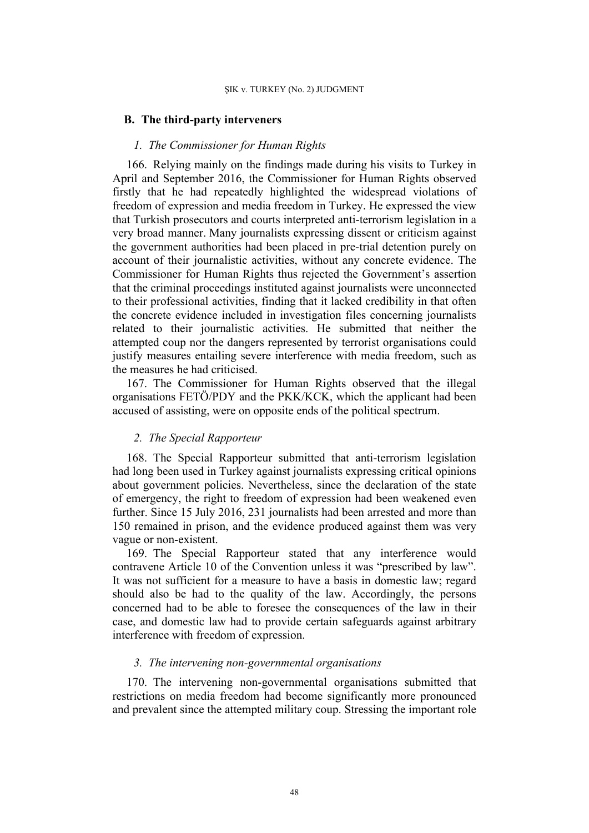## **B. The third-party interveners**

## *1. The Commissioner for Human Rights*

166. Relying mainly on the findings made during his visits to Turkey in April and September 2016, the Commissioner for Human Rights observed firstly that he had repeatedly highlighted the widespread violations of freedom of expression and media freedom in Turkey. He expressed the view that Turkish prosecutors and courts interpreted anti-terrorism legislation in a very broad manner. Many journalists expressing dissent or criticism against the government authorities had been placed in pre-trial detention purely on account of their journalistic activities, without any concrete evidence. The Commissioner for Human Rights thus rejected the Government's assertion that the criminal proceedings instituted against journalists were unconnected to their professional activities, finding that it lacked credibility in that often the concrete evidence included in investigation files concerning journalists related to their journalistic activities. He submitted that neither the attempted coup nor the dangers represented by terrorist organisations could justify measures entailing severe interference with media freedom, such as the measures he had criticised.

167. The Commissioner for Human Rights observed that the illegal organisations FETÖ/PDY and the PKK/KCK, which the applicant had been accused of assisting, were on opposite ends of the political spectrum.

# *2. The Special Rapporteur*

168. The Special Rapporteur submitted that anti-terrorism legislation had long been used in Turkey against journalists expressing critical opinions about government policies. Nevertheless, since the declaration of the state of emergency, the right to freedom of expression had been weakened even further. Since 15 July 2016, 231 journalists had been arrested and more than 150 remained in prison, and the evidence produced against them was very vague or non-existent.

169. The Special Rapporteur stated that any interference would contravene Article 10 of the Convention unless it was "prescribed by law". It was not sufficient for a measure to have a basis in domestic law; regard should also be had to the quality of the law. Accordingly, the persons concerned had to be able to foresee the consequences of the law in their case, and domestic law had to provide certain safeguards against arbitrary interference with freedom of expression.

### *3. The intervening non-governmental organisations*

170. The intervening non-governmental organisations submitted that restrictions on media freedom had become significantly more pronounced and prevalent since the attempted military coup. Stressing the important role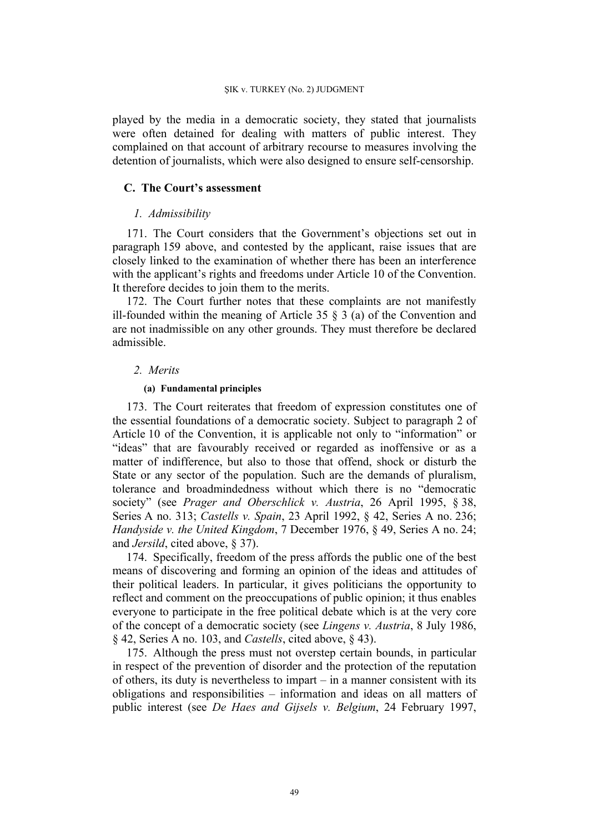played by the media in a democratic society, they stated that journalists were often detained for dealing with matters of public interest. They complained on that account of arbitrary recourse to measures involving the detention of journalists, which were also designed to ensure self-censorship.

## **C. The Court's assessment**

## *1. Admissibility*

171. The Court considers that the Government's objections set out in paragraph 159 above, and contested by the applicant, raise issues that are closely linked to the examination of whether there has been an interference with the applicant's rights and freedoms under Article 10 of the Convention. It therefore decides to join them to the merits.

172. The Court further notes that these complaints are not manifestly ill-founded within the meaning of Article 35  $\S$  3 (a) of the Convention and are not inadmissible on any other grounds. They must therefore be declared admissible.

## *2. Merits*

### **(a) Fundamental principles**

173. The Court reiterates that freedom of expression constitutes one of the essential foundations of a democratic society. Subject to paragraph 2 of Article 10 of the Convention, it is applicable not only to "information" or "ideas" that are favourably received or regarded as inoffensive or as a matter of indifference, but also to those that offend, shock or disturb the State or any sector of the population. Such are the demands of pluralism, tolerance and broadmindedness without which there is no "democratic society" (see *Prager and Oberschlick v. Austria*, 26 April 1995, § 38, Series A no. 313; *Castells v. Spain*, 23 April 1992, § 42, Series A no. 236; *Handyside v. the United Kingdom*, 7 December 1976, § 49, Series A no. 24; and *Jersild*, cited above, § 37).

174. Specifically, freedom of the press affords the public one of the best means of discovering and forming an opinion of the ideas and attitudes of their political leaders. In particular, it gives politicians the opportunity to reflect and comment on the preoccupations of public opinion; it thus enables everyone to participate in the free political debate which is at the very core of the concept of a democratic society (see *Lingens v. Austria*, 8 July 1986, § 42, Series A no. 103, and *Castells*, cited above, § 43).

175. Although the press must not overstep certain bounds, in particular in respect of the prevention of disorder and the protection of the reputation of others, its duty is nevertheless to impart – in a manner consistent with its obligations and responsibilities – information and ideas on all matters of public interest (see *De Haes and Gijsels v. Belgium*, 24 February 1997,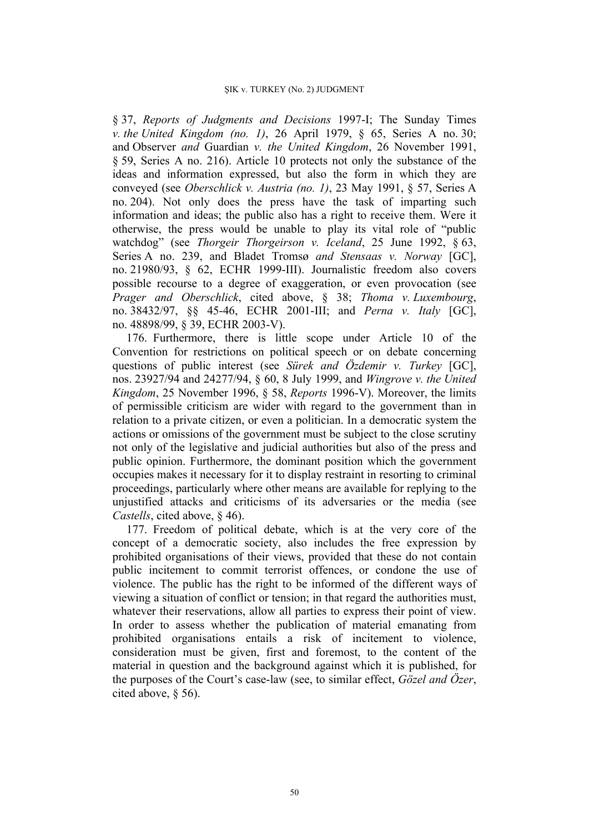§ 37, *Reports of Judgments and Decisions* 1997-I; The Sunday Times *v. the United Kingdom (no. 1)*, 26 April 1979, § 65, Series A no. 30; and Observer *and* Guardian *v. the United Kingdom*, 26 November 1991, § 59, Series A no. 216). Article 10 protects not only the substance of the ideas and information expressed, but also the form in which they are conveyed (see *Oberschlick v. Austria (no. 1)*, 23 May 1991, § 57, Series A no. 204). Not only does the press have the task of imparting such information and ideas; the public also has a right to receive them. Were it otherwise, the press would be unable to play its vital role of "public watchdog" (see *Thorgeir Thorgeirson v. Iceland*, 25 June 1992, § 63, Series A no. 239, and Bladet Tromsø *and Stensaas v. Norway* [GC], no. 21980/93, § 62, ECHR 1999-III). Journalistic freedom also covers possible recourse to a degree of exaggeration, or even provocation (see *Prager and Oberschlick*, cited above, § 38; *Thoma v. Luxembourg*, no. 38432/97, §§ 45-46, ECHR 2001-III; and *Perna v. Italy* [GC], no. 48898/99, § 39, ECHR 2003-V).

176. Furthermore, there is little scope under Article 10 of the Convention for restrictions on political speech or on debate concerning questions of public interest (see *Sürek and Özdemir v. Turkey* [GC], nos. 23927/94 and 24277/94, § 60, 8 July 1999, and *Wingrove v. the United Kingdom*, 25 November 1996, § 58, *Reports* 1996-V). Moreover, the limits of permissible criticism are wider with regard to the government than in relation to a private citizen, or even a politician. In a democratic system the actions or omissions of the government must be subject to the close scrutiny not only of the legislative and judicial authorities but also of the press and public opinion. Furthermore, the dominant position which the government occupies makes it necessary for it to display restraint in resorting to criminal proceedings, particularly where other means are available for replying to the unjustified attacks and criticisms of its adversaries or the media (see *Castells*, cited above, § 46).

177. Freedom of political debate, which is at the very core of the concept of a democratic society, also includes the free expression by prohibited organisations of their views, provided that these do not contain public incitement to commit terrorist offences, or condone the use of violence. The public has the right to be informed of the different ways of viewing a situation of conflict or tension; in that regard the authorities must, whatever their reservations, allow all parties to express their point of view. In order to assess whether the publication of material emanating from prohibited organisations entails a risk of incitement to violence, consideration must be given, first and foremost, to the content of the material in question and the background against which it is published, for the purposes of the Court's case-law (see, to similar effect, *Gözel and Özer*, cited above, § 56).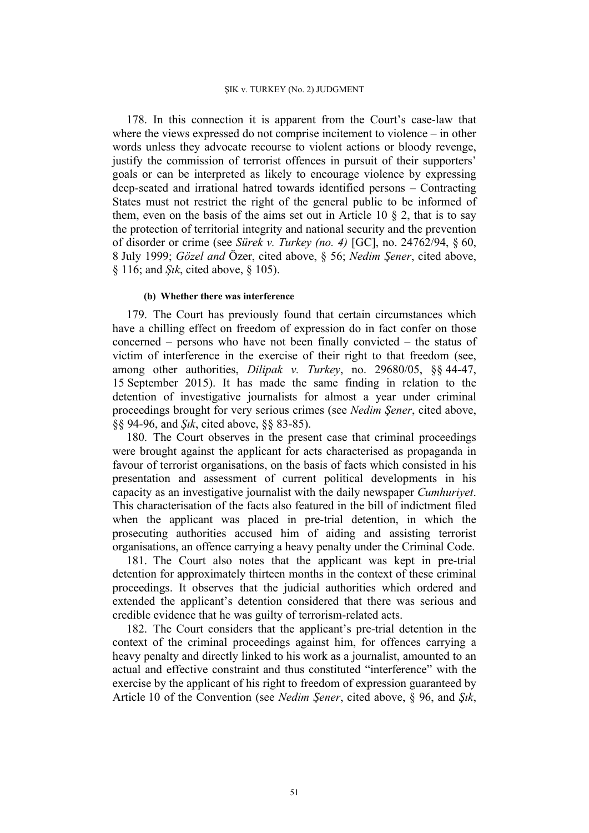178. In this connection it is apparent from the Court's case-law that where the views expressed do not comprise incitement to violence – in other words unless they advocate recourse to violent actions or bloody revenge, justify the commission of terrorist offences in pursuit of their supporters' goals or can be interpreted as likely to encourage violence by expressing deep-seated and irrational hatred towards identified persons – Contracting States must not restrict the right of the general public to be informed of them, even on the basis of the aims set out in Article 10  $\S$  2, that is to say the protection of territorial integrity and national security and the prevention of disorder or crime (see *Sürek v. Turkey (no. 4)* [GC], no. 24762/94, § 60, 8 July 1999; *Gözel and* Özer, cited above, § 56; *Nedim Şener*, cited above, § 116; and *Şık*, cited above, § 105).

#### **(b) Whether there was interference**

179. The Court has previously found that certain circumstances which have a chilling effect on freedom of expression do in fact confer on those concerned – persons who have not been finally convicted – the status of victim of interference in the exercise of their right to that freedom (see, among other authorities, *Dilipak v. Turkey*, no. 29680/05, §§ 44-47, 15 September 2015). It has made the same finding in relation to the detention of investigative journalists for almost a year under criminal proceedings brought for very serious crimes (see *Nedim Şener*, cited above, §§ 94-96, and *Şık*, cited above, §§ 83-85).

180. The Court observes in the present case that criminal proceedings were brought against the applicant for acts characterised as propaganda in favour of terrorist organisations, on the basis of facts which consisted in his presentation and assessment of current political developments in his capacity as an investigative journalist with the daily newspaper *Cumhuriyet*. This characterisation of the facts also featured in the bill of indictment filed when the applicant was placed in pre-trial detention, in which the prosecuting authorities accused him of aiding and assisting terrorist organisations, an offence carrying a heavy penalty under the Criminal Code.

181. The Court also notes that the applicant was kept in pre-trial detention for approximately thirteen months in the context of these criminal proceedings. It observes that the judicial authorities which ordered and extended the applicant's detention considered that there was serious and credible evidence that he was guilty of terrorism-related acts.

182. The Court considers that the applicant's pre-trial detention in the context of the criminal proceedings against him, for offences carrying a heavy penalty and directly linked to his work as a journalist, amounted to an actual and effective constraint and thus constituted "interference" with the exercise by the applicant of his right to freedom of expression guaranteed by Article 10 of the Convention (see *Nedim Şener*, cited above, § 96, and *Şık*,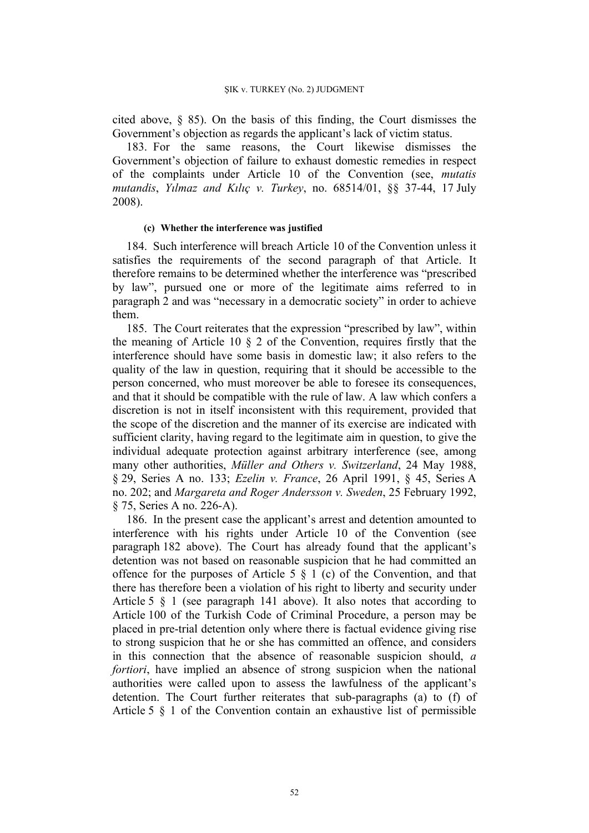cited above, § 85). On the basis of this finding, the Court dismisses the Government's objection as regards the applicant's lack of victim status.

183. For the same reasons, the Court likewise dismisses the Government's objection of failure to exhaust domestic remedies in respect of the complaints under Article 10 of the Convention (see, *mutatis mutandis*, *Yılmaz and Kılıç v. Turkey*, no. 68514/01, §§ 37-44, 17 July 2008).

#### **(c) Whether the interference was justified**

184. Such interference will breach Article 10 of the Convention unless it satisfies the requirements of the second paragraph of that Article. It therefore remains to be determined whether the interference was "prescribed by law", pursued one or more of the legitimate aims referred to in paragraph 2 and was "necessary in a democratic society" in order to achieve them.

185. The Court reiterates that the expression "prescribed by law", within the meaning of Article 10 § 2 of the Convention, requires firstly that the interference should have some basis in domestic law; it also refers to the quality of the law in question, requiring that it should be accessible to the person concerned, who must moreover be able to foresee its consequences, and that it should be compatible with the rule of law. A law which confers a discretion is not in itself inconsistent with this requirement, provided that the scope of the discretion and the manner of its exercise are indicated with sufficient clarity, having regard to the legitimate aim in question, to give the individual adequate protection against arbitrary interference (see, among many other authorities, *Müller and Others v. Switzerland*, 24 May 1988, § 29, Series A no. 133; *Ezelin v. France*, 26 April 1991, § 45, Series A no. 202; and *Margareta and Roger Andersson v. Sweden*, 25 February 1992, § 75, Series A no. 226-A).

186. In the present case the applicant's arrest and detention amounted to interference with his rights under Article 10 of the Convention (see paragraph 182 above). The Court has already found that the applicant's detention was not based on reasonable suspicion that he had committed an offence for the purposes of Article 5  $\S$  1 (c) of the Convention, and that there has therefore been a violation of his right to liberty and security under Article 5 § 1 (see paragraph 141 above). It also notes that according to Article 100 of the Turkish Code of Criminal Procedure, a person may be placed in pre-trial detention only where there is factual evidence giving rise to strong suspicion that he or she has committed an offence, and considers in this connection that the absence of reasonable suspicion should, *a fortiori*, have implied an absence of strong suspicion when the national authorities were called upon to assess the lawfulness of the applicant's detention. The Court further reiterates that sub-paragraphs (a) to (f) of Article 5 § 1 of the Convention contain an exhaustive list of permissible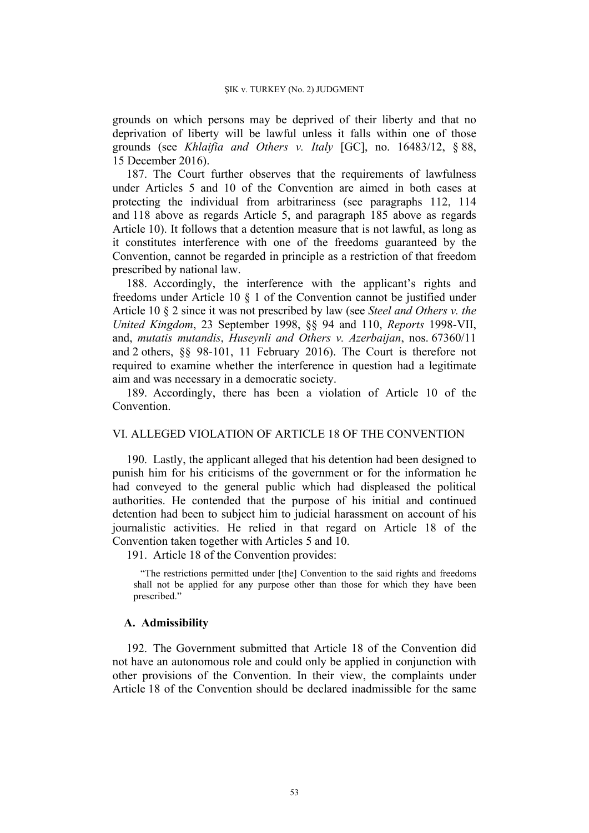grounds on which persons may be deprived of their liberty and that no deprivation of liberty will be lawful unless it falls within one of those grounds (see *Khlaifia and Others v. Italy* [GC], no. 16483/12, § 88, 15 December 2016).

187. The Court further observes that the requirements of lawfulness under Articles 5 and 10 of the Convention are aimed in both cases at protecting the individual from arbitrariness (see paragraphs 112, 114 and 118 above as regards Article 5, and paragraph 185 above as regards Article 10). It follows that a detention measure that is not lawful, as long as it constitutes interference with one of the freedoms guaranteed by the Convention, cannot be regarded in principle as a restriction of that freedom prescribed by national law.

188. Accordingly, the interference with the applicant's rights and freedoms under Article 10 § 1 of the Convention cannot be justified under Article 10 § 2 since it was not prescribed by law (see *Steel and Others v. the United Kingdom*, 23 September 1998, §§ 94 and 110, *Reports* 1998-VII, and, *mutatis mutandis*, *Huseynli and Others v. Azerbaijan*, nos. 67360/11 and 2 others, §§ 98-101, 11 February 2016). The Court is therefore not required to examine whether the interference in question had a legitimate aim and was necessary in a democratic society.

189. Accordingly, there has been a violation of Article 10 of the Convention.

## VI. ALLEGED VIOLATION OF ARTICLE 18 OF THE CONVENTION

190. Lastly, the applicant alleged that his detention had been designed to punish him for his criticisms of the government or for the information he had conveyed to the general public which had displeased the political authorities. He contended that the purpose of his initial and continued detention had been to subject him to judicial harassment on account of his journalistic activities. He relied in that regard on Article 18 of the Convention taken together with Articles 5 and 10.

191. Article 18 of the Convention provides:

"The restrictions permitted under [the] Convention to the said rights and freedoms shall not be applied for any purpose other than those for which they have been prescribed."

## **A. Admissibility**

192. The Government submitted that Article 18 of the Convention did not have an autonomous role and could only be applied in conjunction with other provisions of the Convention. In their view, the complaints under Article 18 of the Convention should be declared inadmissible for the same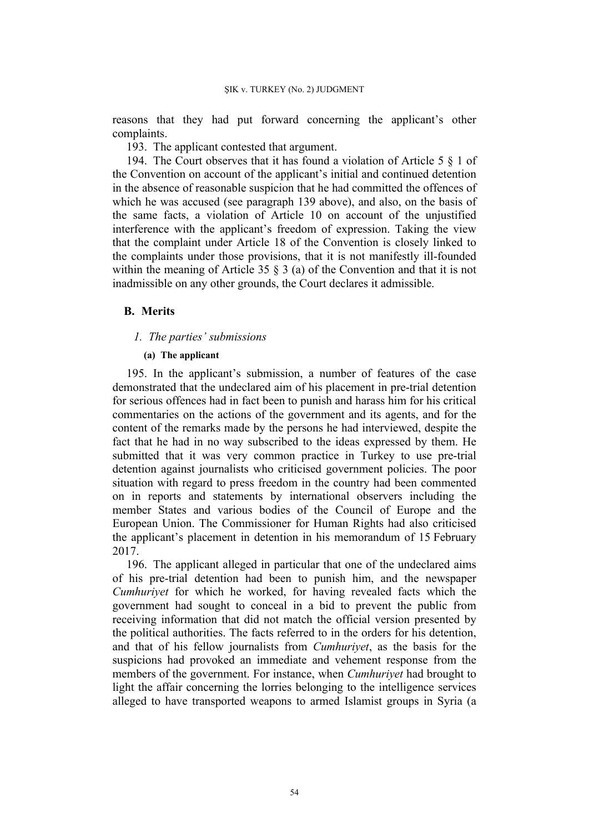reasons that they had put forward concerning the applicant's other complaints.

193. The applicant contested that argument.

194. The Court observes that it has found a violation of Article 5 § 1 of the Convention on account of the applicant's initial and continued detention in the absence of reasonable suspicion that he had committed the offences of which he was accused (see paragraph 139 above), and also, on the basis of the same facts, a violation of Article 10 on account of the unjustified interference with the applicant's freedom of expression. Taking the view that the complaint under Article 18 of the Convention is closely linked to the complaints under those provisions, that it is not manifestly ill-founded within the meaning of Article 35 § 3 (a) of the Convention and that it is not inadmissible on any other grounds, the Court declares it admissible.

## **B. Merits**

### *1. The parties' submissions*

## **(a) The applicant**

195. In the applicant's submission, a number of features of the case demonstrated that the undeclared aim of his placement in pre-trial detention for serious offences had in fact been to punish and harass him for his critical commentaries on the actions of the government and its agents, and for the content of the remarks made by the persons he had interviewed, despite the fact that he had in no way subscribed to the ideas expressed by them. He submitted that it was very common practice in Turkey to use pre-trial detention against journalists who criticised government policies. The poor situation with regard to press freedom in the country had been commented on in reports and statements by international observers including the member States and various bodies of the Council of Europe and the European Union. The Commissioner for Human Rights had also criticised the applicant's placement in detention in his memorandum of 15 February 2017.

196. The applicant alleged in particular that one of the undeclared aims of his pre-trial detention had been to punish him, and the newspaper *Cumhuriyet* for which he worked, for having revealed facts which the government had sought to conceal in a bid to prevent the public from receiving information that did not match the official version presented by the political authorities. The facts referred to in the orders for his detention, and that of his fellow journalists from *Cumhuriyet*, as the basis for the suspicions had provoked an immediate and vehement response from the members of the government. For instance, when *Cumhuriyet* had brought to light the affair concerning the lorries belonging to the intelligence services alleged to have transported weapons to armed Islamist groups in Syria (a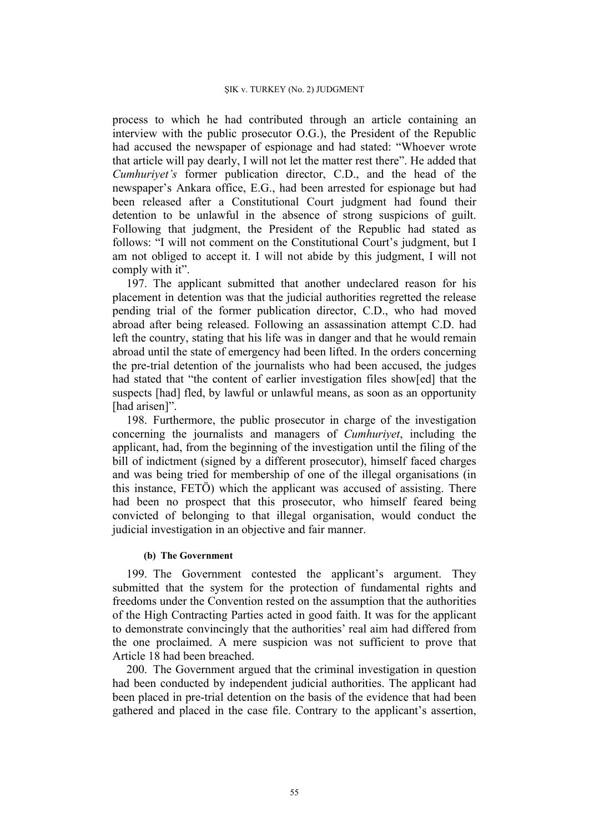process to which he had contributed through an article containing an interview with the public prosecutor O.G.), the President of the Republic had accused the newspaper of espionage and had stated: "Whoever wrote that article will pay dearly, I will not let the matter rest there". He added that *Cumhuriyet's* former publication director, C.D., and the head of the newspaper's Ankara office, E.G., had been arrested for espionage but had been released after a Constitutional Court judgment had found their detention to be unlawful in the absence of strong suspicions of guilt. Following that judgment, the President of the Republic had stated as follows: "I will not comment on the Constitutional Court's judgment, but I am not obliged to accept it. I will not abide by this judgment, I will not comply with it".

197. The applicant submitted that another undeclared reason for his placement in detention was that the judicial authorities regretted the release pending trial of the former publication director, C.D., who had moved abroad after being released. Following an assassination attempt C.D. had left the country, stating that his life was in danger and that he would remain abroad until the state of emergency had been lifted. In the orders concerning the pre-trial detention of the journalists who had been accused, the judges had stated that "the content of earlier investigation files show[ed] that the suspects [had] fled, by lawful or unlawful means, as soon as an opportunity [had arisen]".

198. Furthermore, the public prosecutor in charge of the investigation concerning the journalists and managers of *Cumhuriyet*, including the applicant, had, from the beginning of the investigation until the filing of the bill of indictment (signed by a different prosecutor), himself faced charges and was being tried for membership of one of the illegal organisations (in this instance, FETÖ) which the applicant was accused of assisting. There had been no prospect that this prosecutor, who himself feared being convicted of belonging to that illegal organisation, would conduct the judicial investigation in an objective and fair manner.

### **(b) The Government**

199. The Government contested the applicant's argument. They submitted that the system for the protection of fundamental rights and freedoms under the Convention rested on the assumption that the authorities of the High Contracting Parties acted in good faith. It was for the applicant to demonstrate convincingly that the authorities' real aim had differed from the one proclaimed. A mere suspicion was not sufficient to prove that Article 18 had been breached.

200. The Government argued that the criminal investigation in question had been conducted by independent judicial authorities. The applicant had been placed in pre-trial detention on the basis of the evidence that had been gathered and placed in the case file. Contrary to the applicant's assertion,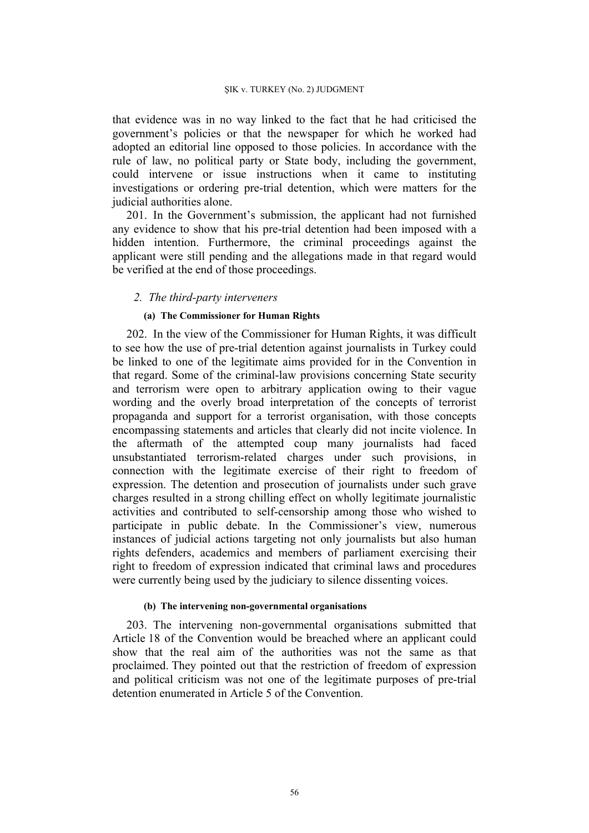that evidence was in no way linked to the fact that he had criticised the government's policies or that the newspaper for which he worked had adopted an editorial line opposed to those policies. In accordance with the rule of law, no political party or State body, including the government, could intervene or issue instructions when it came to instituting investigations or ordering pre-trial detention, which were matters for the judicial authorities alone.

201. In the Government's submission, the applicant had not furnished any evidence to show that his pre-trial detention had been imposed with a hidden intention. Furthermore, the criminal proceedings against the applicant were still pending and the allegations made in that regard would be verified at the end of those proceedings.

## *2. The third-party interveners*

### **(a) The Commissioner for Human Rights**

202. In the view of the Commissioner for Human Rights, it was difficult to see how the use of pre-trial detention against journalists in Turkey could be linked to one of the legitimate aims provided for in the Convention in that regard. Some of the criminal-law provisions concerning State security and terrorism were open to arbitrary application owing to their vague wording and the overly broad interpretation of the concepts of terrorist propaganda and support for a terrorist organisation, with those concepts encompassing statements and articles that clearly did not incite violence. In the aftermath of the attempted coup many journalists had faced unsubstantiated terrorism-related charges under such provisions, in connection with the legitimate exercise of their right to freedom of expression. The detention and prosecution of journalists under such grave charges resulted in a strong chilling effect on wholly legitimate journalistic activities and contributed to self-censorship among those who wished to participate in public debate. In the Commissioner's view, numerous instances of judicial actions targeting not only journalists but also human rights defenders, academics and members of parliament exercising their right to freedom of expression indicated that criminal laws and procedures were currently being used by the judiciary to silence dissenting voices.

### **(b) The intervening non-governmental organisations**

203. The intervening non-governmental organisations submitted that Article 18 of the Convention would be breached where an applicant could show that the real aim of the authorities was not the same as that proclaimed. They pointed out that the restriction of freedom of expression and political criticism was not one of the legitimate purposes of pre-trial detention enumerated in Article 5 of the Convention.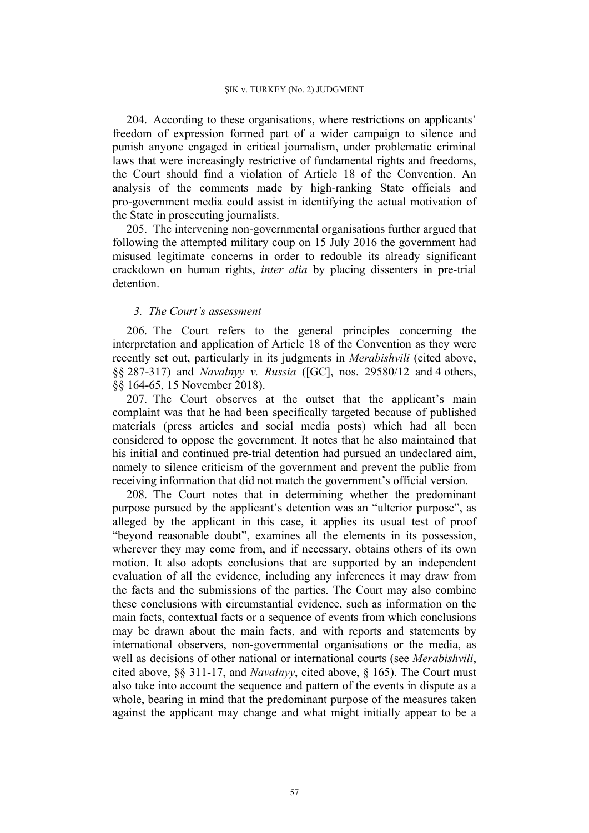204. According to these organisations, where restrictions on applicants' freedom of expression formed part of a wider campaign to silence and punish anyone engaged in critical journalism, under problematic criminal laws that were increasingly restrictive of fundamental rights and freedoms, the Court should find a violation of Article 18 of the Convention. An analysis of the comments made by high-ranking State officials and pro-government media could assist in identifying the actual motivation of the State in prosecuting journalists.

205. The intervening non-governmental organisations further argued that following the attempted military coup on 15 July 2016 the government had misused legitimate concerns in order to redouble its already significant crackdown on human rights, *inter alia* by placing dissenters in pre-trial detention.

## *3. The Court's assessment*

206. The Court refers to the general principles concerning the interpretation and application of Article 18 of the Convention as they were recently set out, particularly in its judgments in *Merabishvili* (cited above, §§ 287-317) and *Navalnyy v. Russia* ([GC], nos. 29580/12 and 4 others, §§ 164-65, 15 November 2018).

207. The Court observes at the outset that the applicant's main complaint was that he had been specifically targeted because of published materials (press articles and social media posts) which had all been considered to oppose the government. It notes that he also maintained that his initial and continued pre-trial detention had pursued an undeclared aim, namely to silence criticism of the government and prevent the public from receiving information that did not match the government's official version.

208. The Court notes that in determining whether the predominant purpose pursued by the applicant's detention was an "ulterior purpose", as alleged by the applicant in this case, it applies its usual test of proof "beyond reasonable doubt", examines all the elements in its possession, wherever they may come from, and if necessary, obtains others of its own motion. It also adopts conclusions that are supported by an independent evaluation of all the evidence, including any inferences it may draw from the facts and the submissions of the parties. The Court may also combine these conclusions with circumstantial evidence, such as information on the main facts, contextual facts or a sequence of events from which conclusions may be drawn about the main facts, and with reports and statements by international observers, non-governmental organisations or the media, as well as decisions of other national or international courts (see *Merabishvili*, cited above, §§ 311-17, and *Navalnyy*, cited above, § 165). The Court must also take into account the sequence and pattern of the events in dispute as a whole, bearing in mind that the predominant purpose of the measures taken against the applicant may change and what might initially appear to be a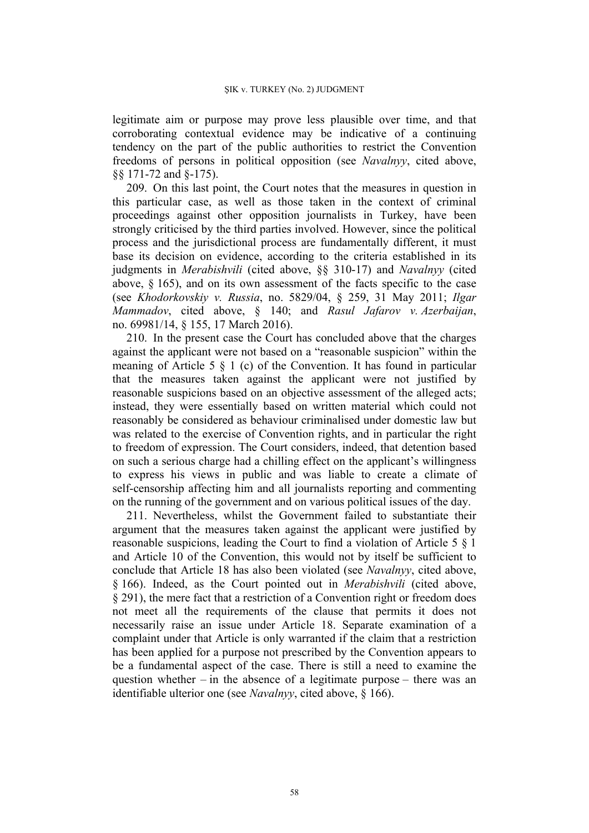legitimate aim or purpose may prove less plausible over time, and that corroborating contextual evidence may be indicative of a continuing tendency on the part of the public authorities to restrict the Convention freedoms of persons in political opposition (see *Navalnyy*, cited above, §§ 171-72 and §-175).

209. On this last point, the Court notes that the measures in question in this particular case, as well as those taken in the context of criminal proceedings against other opposition journalists in Turkey, have been strongly criticised by the third parties involved. However, since the political process and the jurisdictional process are fundamentally different, it must base its decision on evidence, according to the criteria established in its judgments in *Merabishvili* (cited above, §§ 310-17) and *Navalnyy* (cited above,  $\S$  165), and on its own assessment of the facts specific to the case (see *Khodorkovskiy v. Russia*, no. 5829/04, § 259, 31 May 2011; *Ilgar Mammadov*, cited above, § 140; and *Rasul Jafarov v. Azerbaijan*, no. 69981/14, § 155, 17 March 2016).

210. In the present case the Court has concluded above that the charges against the applicant were not based on a "reasonable suspicion" within the meaning of Article 5 § 1 (c) of the Convention. It has found in particular that the measures taken against the applicant were not justified by reasonable suspicions based on an objective assessment of the alleged acts; instead, they were essentially based on written material which could not reasonably be considered as behaviour criminalised under domestic law but was related to the exercise of Convention rights, and in particular the right to freedom of expression. The Court considers, indeed, that detention based on such a serious charge had a chilling effect on the applicant's willingness to express his views in public and was liable to create a climate of self-censorship affecting him and all journalists reporting and commenting on the running of the government and on various political issues of the day.

211. Nevertheless, whilst the Government failed to substantiate their argument that the measures taken against the applicant were justified by reasonable suspicions, leading the Court to find a violation of Article 5 § 1 and Article 10 of the Convention, this would not by itself be sufficient to conclude that Article 18 has also been violated (see *Navalnyy*, cited above, § 166). Indeed, as the Court pointed out in *Merabishvili* (cited above, § 291), the mere fact that a restriction of a Convention right or freedom does not meet all the requirements of the clause that permits it does not necessarily raise an issue under Article 18. Separate examination of a complaint under that Article is only warranted if the claim that a restriction has been applied for a purpose not prescribed by the Convention appears to be a fundamental aspect of the case. There is still a need to examine the question whether – in the absence of a legitimate purpose – there was an identifiable ulterior one (see *Navalnyy*, cited above, § 166).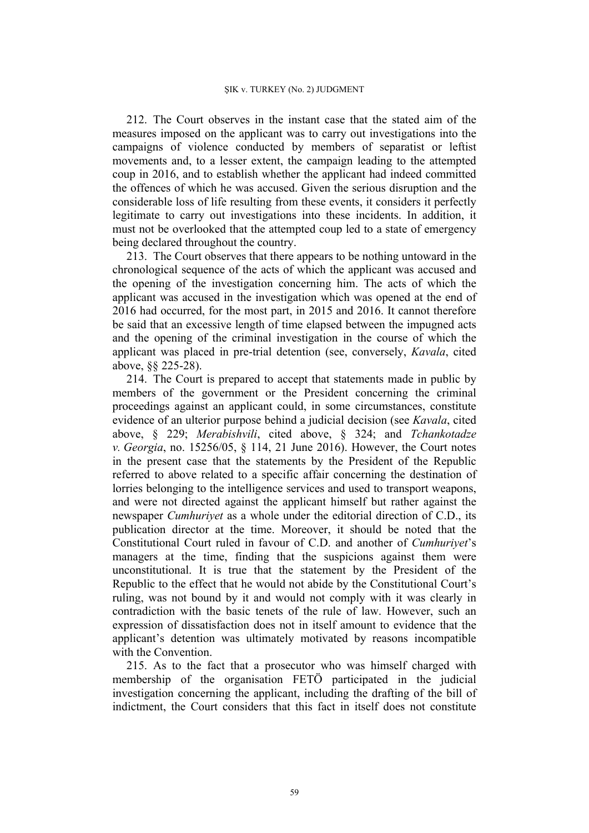212. The Court observes in the instant case that the stated aim of the measures imposed on the applicant was to carry out investigations into the campaigns of violence conducted by members of separatist or leftist movements and, to a lesser extent, the campaign leading to the attempted coup in 2016, and to establish whether the applicant had indeed committed the offences of which he was accused. Given the serious disruption and the considerable loss of life resulting from these events, it considers it perfectly legitimate to carry out investigations into these incidents. In addition, it must not be overlooked that the attempted coup led to a state of emergency being declared throughout the country.

213. The Court observes that there appears to be nothing untoward in the chronological sequence of the acts of which the applicant was accused and the opening of the investigation concerning him. The acts of which the applicant was accused in the investigation which was opened at the end of 2016 had occurred, for the most part, in 2015 and 2016. It cannot therefore be said that an excessive length of time elapsed between the impugned acts and the opening of the criminal investigation in the course of which the applicant was placed in pre-trial detention (see, conversely, *Kavala*, cited above, §§ 225-28).

214. The Court is prepared to accept that statements made in public by members of the government or the President concerning the criminal proceedings against an applicant could, in some circumstances, constitute evidence of an ulterior purpose behind a judicial decision (see *Kavala*, cited above, § 229; *Merabishvili*, cited above, § 324; and *Tchankotadze v. Georgia*, no. 15256/05, § 114, 21 June 2016). However, the Court notes in the present case that the statements by the President of the Republic referred to above related to a specific affair concerning the destination of lorries belonging to the intelligence services and used to transport weapons, and were not directed against the applicant himself but rather against the newspaper *Cumhuriyet* as a whole under the editorial direction of C.D., its publication director at the time. Moreover, it should be noted that the Constitutional Court ruled in favour of C.D. and another of *Cumhuriyet*'s managers at the time, finding that the suspicions against them were unconstitutional. It is true that the statement by the President of the Republic to the effect that he would not abide by the Constitutional Court's ruling, was not bound by it and would not comply with it was clearly in contradiction with the basic tenets of the rule of law. However, such an expression of dissatisfaction does not in itself amount to evidence that the applicant's detention was ultimately motivated by reasons incompatible with the Convention.

215. As to the fact that a prosecutor who was himself charged with membership of the organisation FETÖ participated in the judicial investigation concerning the applicant, including the drafting of the bill of indictment, the Court considers that this fact in itself does not constitute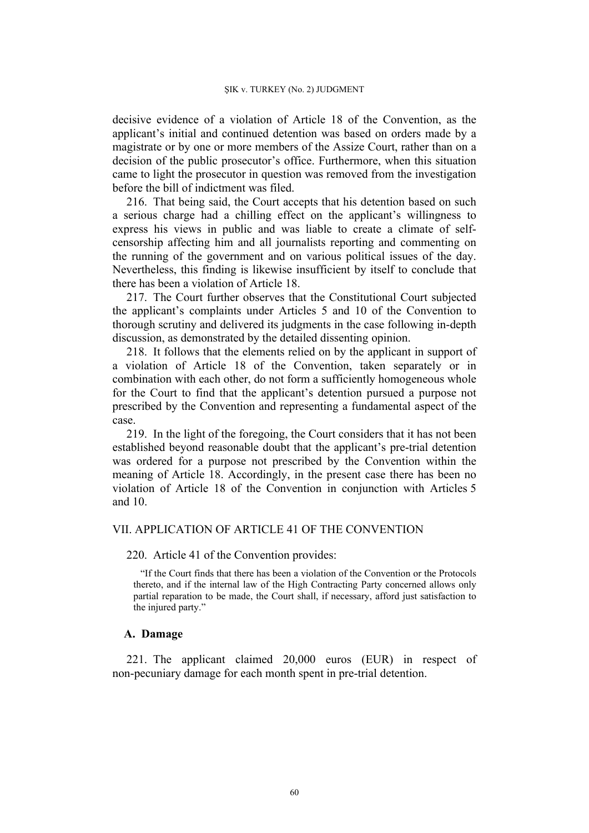decisive evidence of a violation of Article 18 of the Convention, as the applicant's initial and continued detention was based on orders made by a magistrate or by one or more members of the Assize Court, rather than on a decision of the public prosecutor's office. Furthermore, when this situation came to light the prosecutor in question was removed from the investigation before the bill of indictment was filed.

216. That being said, the Court accepts that his detention based on such a serious charge had a chilling effect on the applicant's willingness to express his views in public and was liable to create a climate of selfcensorship affecting him and all journalists reporting and commenting on the running of the government and on various political issues of the day. Nevertheless, this finding is likewise insufficient by itself to conclude that there has been a violation of Article 18.

217. The Court further observes that the Constitutional Court subjected the applicant's complaints under Articles 5 and 10 of the Convention to thorough scrutiny and delivered its judgments in the case following in-depth discussion, as demonstrated by the detailed dissenting opinion.

218. It follows that the elements relied on by the applicant in support of a violation of Article 18 of the Convention, taken separately or in combination with each other, do not form a sufficiently homogeneous whole for the Court to find that the applicant's detention pursued a purpose not prescribed by the Convention and representing a fundamental aspect of the case.

219. In the light of the foregoing, the Court considers that it has not been established beyond reasonable doubt that the applicant's pre-trial detention was ordered for a purpose not prescribed by the Convention within the meaning of Article 18. Accordingly, in the present case there has been no violation of Article 18 of the Convention in conjunction with Articles 5 and 10.

# VII. APPLICATION OF ARTICLE 41 OF THE CONVENTION

#### 220. Article 41 of the Convention provides:

"If the Court finds that there has been a violation of the Convention or the Protocols thereto, and if the internal law of the High Contracting Party concerned allows only partial reparation to be made, the Court shall, if necessary, afford just satisfaction to the injured party."

### **A. Damage**

221. The applicant claimed 20,000 euros (EUR) in respect of non-pecuniary damage for each month spent in pre-trial detention.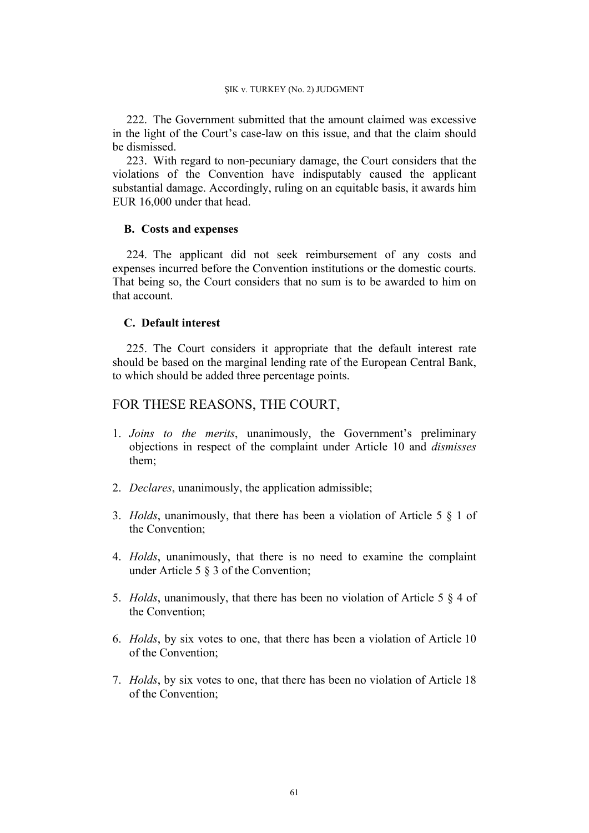222. The Government submitted that the amount claimed was excessive in the light of the Court's case-law on this issue, and that the claim should be dismissed.

223. With regard to non-pecuniary damage, the Court considers that the violations of the Convention have indisputably caused the applicant substantial damage. Accordingly, ruling on an equitable basis, it awards him EUR 16,000 under that head.

# **B. Costs and expenses**

224. The applicant did not seek reimbursement of any costs and expenses incurred before the Convention institutions or the domestic courts. That being so, the Court considers that no sum is to be awarded to him on that account.

# **C. Default interest**

225. The Court considers it appropriate that the default interest rate should be based on the marginal lending rate of the European Central Bank, to which should be added three percentage points.

# FOR THESE REASONS, THE COURT,

- 1. *Joins to the merits*, unanimously, the Government's preliminary objections in respect of the complaint under Article 10 and *dismisses* them;
- 2. *Declares*, unanimously, the application admissible;
- 3. *Holds*, unanimously, that there has been a violation of Article 5 § 1 of the Convention;
- 4. *Holds*, unanimously, that there is no need to examine the complaint under Article 5 § 3 of the Convention;
- 5. *Holds*, unanimously, that there has been no violation of Article 5 § 4 of the Convention;
- 6. *Holds*, by six votes to one, that there has been a violation of Article 10 of the Convention;
- 7. *Holds*, by six votes to one, that there has been no violation of Article 18 of the Convention;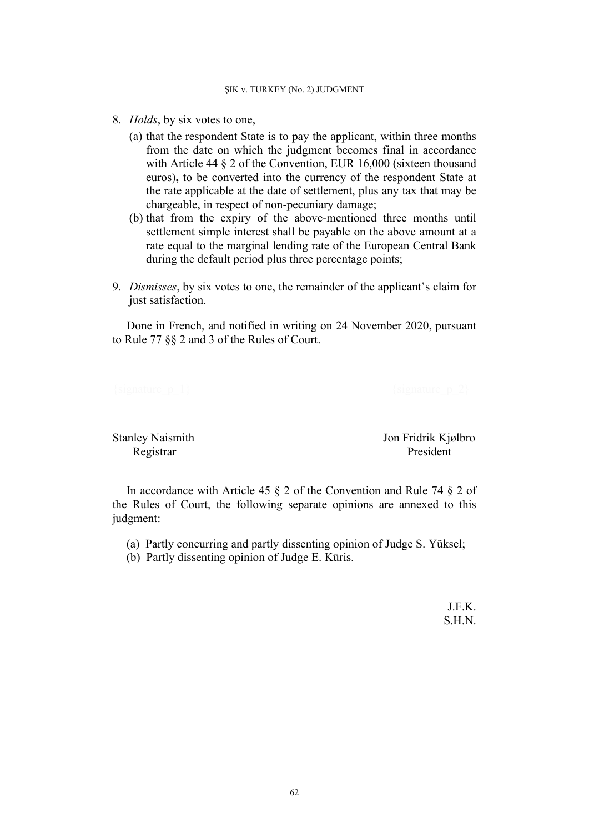- 8. *Holds*, by six votes to one,
	- (a) that the respondent State is to pay the applicant, within three months from the date on which the judgment becomes final in accordance with Article 44  $\S$  2 of the Convention, EUR 16,000 (sixteen thousand euros)**,** to be converted into the currency of the respondent State at the rate applicable at the date of settlement, plus any tax that may be chargeable, in respect of non-pecuniary damage;
	- (b) that from the expiry of the above-mentioned three months until settlement simple interest shall be payable on the above amount at a rate equal to the marginal lending rate of the European Central Bank during the default period plus three percentage points;
- 9. *Dismisses*, by six votes to one, the remainder of the applicant's claim for just satisfaction.

Done in French, and notified in writing on 24 November 2020, pursuant to Rule 77 §§ 2 and 3 of the Rules of Court.

Stanley Naismith Jon Fridrik Kjølbro

Registrar President

In accordance with Article 45 § 2 of the Convention and Rule 74 § 2 of the Rules of Court, the following separate opinions are annexed to this judgment:

- (a) Partly concurring and partly dissenting opinion of Judge S. Yüksel;
- (b) Partly dissenting opinion of Judge E. Kūris.

J.F.K. S.H.N.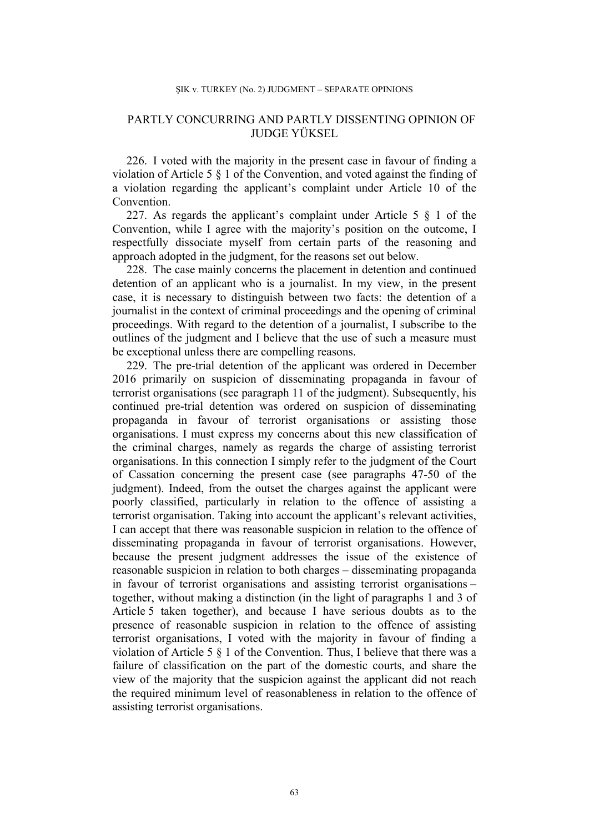# PARTLY CONCURRING AND PARTLY DISSENTING OPINION OF JUDGE YÜKSEL

226. I voted with the majority in the present case in favour of finding a violation of Article 5 § 1 of the Convention, and voted against the finding of a violation regarding the applicant's complaint under Article 10 of the Convention.

227. As regards the applicant's complaint under Article 5 § 1 of the Convention, while I agree with the majority's position on the outcome, I respectfully dissociate myself from certain parts of the reasoning and approach adopted in the judgment, for the reasons set out below.

228. The case mainly concerns the placement in detention and continued detention of an applicant who is a journalist. In my view, in the present case, it is necessary to distinguish between two facts: the detention of a journalist in the context of criminal proceedings and the opening of criminal proceedings. With regard to the detention of a journalist, I subscribe to the outlines of the judgment and I believe that the use of such a measure must be exceptional unless there are compelling reasons.

229. The pre-trial detention of the applicant was ordered in December 2016 primarily on suspicion of disseminating propaganda in favour of terrorist organisations (see paragraph 11 of the judgment). Subsequently, his continued pre-trial detention was ordered on suspicion of disseminating propaganda in favour of terrorist organisations or assisting those organisations. I must express my concerns about this new classification of the criminal charges, namely as regards the charge of assisting terrorist organisations. In this connection I simply refer to the judgment of the Court of Cassation concerning the present case (see paragraphs 47-50 of the judgment). Indeed, from the outset the charges against the applicant were poorly classified, particularly in relation to the offence of assisting a terrorist organisation. Taking into account the applicant's relevant activities, I can accept that there was reasonable suspicion in relation to the offence of disseminating propaganda in favour of terrorist organisations. However, because the present judgment addresses the issue of the existence of reasonable suspicion in relation to both charges – disseminating propaganda in favour of terrorist organisations and assisting terrorist organisations – together, without making a distinction (in the light of paragraphs 1 and 3 of Article 5 taken together), and because I have serious doubts as to the presence of reasonable suspicion in relation to the offence of assisting terrorist organisations, I voted with the majority in favour of finding a violation of Article 5 § 1 of the Convention. Thus, I believe that there was a failure of classification on the part of the domestic courts, and share the view of the majority that the suspicion against the applicant did not reach the required minimum level of reasonableness in relation to the offence of assisting terrorist organisations.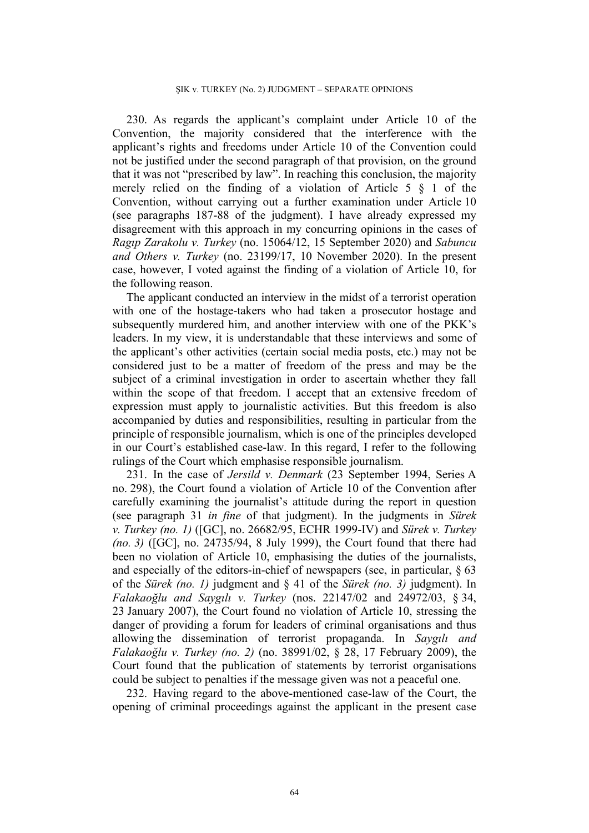230. As regards the applicant's complaint under Article 10 of the Convention, the majority considered that the interference with the applicant's rights and freedoms under Article 10 of the Convention could not be justified under the second paragraph of that provision, on the ground that it was not "prescribed by law". In reaching this conclusion, the majority merely relied on the finding of a violation of Article 5 § 1 of the Convention, without carrying out a further examination under Article 10 (see paragraphs 187-88 of the judgment). I have already expressed my disagreement with this approach in my concurring opinions in the cases of *Ragıp Zarakolu v. Turkey* (no. 15064/12, 15 September 2020) and *Sabuncu and Others v. Turkey* (no. 23199/17, 10 November 2020). In the present case, however, I voted against the finding of a violation of Article 10, for the following reason.

The applicant conducted an interview in the midst of a terrorist operation with one of the hostage-takers who had taken a prosecutor hostage and subsequently murdered him, and another interview with one of the PKK's leaders. In my view, it is understandable that these interviews and some of the applicant's other activities (certain social media posts, etc.) may not be considered just to be a matter of freedom of the press and may be the subject of a criminal investigation in order to ascertain whether they fall within the scope of that freedom. I accept that an extensive freedom of expression must apply to journalistic activities. But this freedom is also accompanied by duties and responsibilities, resulting in particular from the principle of responsible journalism, which is one of the principles developed in our Court's established case-law. In this regard, I refer to the following rulings of the Court which emphasise responsible journalism.

231. In the case of *Jersild v. Denmark* (23 September 1994, Series A no. 298), the Court found a violation of Article 10 of the Convention after carefully examining the journalist's attitude during the report in question (see paragraph 31 *in fine* of that judgment). In the judgments in *Sürek v. Turkey (no. 1)* ([GC], no. 26682/95, ECHR 1999-IV) and *Sürek v. Turkey (no. 3)* ([GC], no. 24735/94, 8 July 1999), the Court found that there had been no violation of Article 10, emphasising the duties of the journalists, and especially of the editors-in-chief of newspapers (see, in particular,  $\& 63$ of the *Sürek (no. 1)* judgment and § 41 of the *Sürek (no. 3)* judgment). In *Falakaoğlu and Saygılı v. Turkey* (nos. 22147/02 and 24972/03, § 34, 23 January 2007), the Court found no violation of Article 10, stressing the danger of providing a forum for leaders of criminal organisations and thus allowing the dissemination of terrorist propaganda. In *Saygılı and Falakaoğlu v. Turkey (no. 2)* (no. 38991/02, § 28, 17 February 2009), the Court found that the publication of statements by terrorist organisations could be subject to penalties if the message given was not a peaceful one.

232. Having regard to the above-mentioned case-law of the Court, the opening of criminal proceedings against the applicant in the present case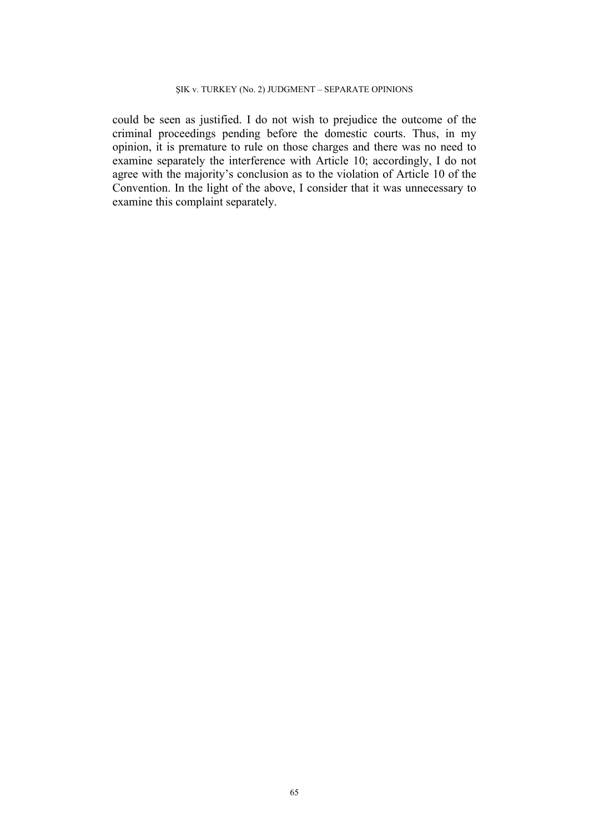could be seen as justified. I do not wish to prejudice the outcome of the criminal proceedings pending before the domestic courts. Thus, in my opinion, it is premature to rule on those charges and there was no need to examine separately the interference with Article 10; accordingly, I do not agree with the majority's conclusion as to the violation of Article 10 of the Convention. In the light of the above, I consider that it was unnecessary to examine this complaint separately.